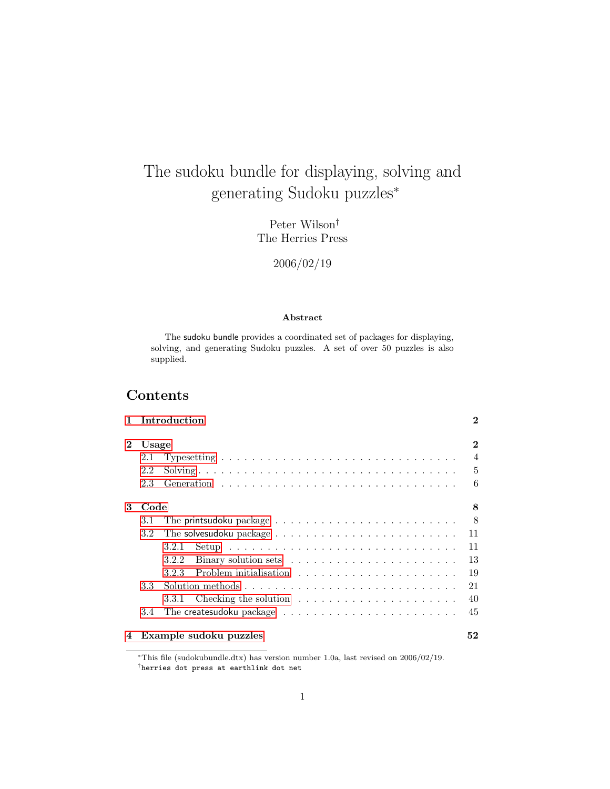# The sudoku bundle for displaying, solving and generating Sudoku puzzles<sup>∗</sup>

Peter Wilson† The Herries Press

2006/02/19

#### Abstract

The sudoku bundle provides a coordinated set of packages for displaying, solving, and generating Sudoku puzzles. A set of over 50 puzzles is also supplied.

## Contents

|              |                  | 1 Introduction                                                                             | $\bf{2}$       |  |  |  |  |  |  |  |  |
|--------------|------------------|--------------------------------------------------------------------------------------------|----------------|--|--|--|--|--|--|--|--|
| $\mathbf{2}$ |                  | Usage                                                                                      |                |  |  |  |  |  |  |  |  |
|              | 2.1              | Typesetting $\ldots \ldots \ldots \ldots \ldots \ldots \ldots \ldots \ldots \ldots \ldots$ | $\overline{4}$ |  |  |  |  |  |  |  |  |
|              | 2.2              |                                                                                            | $\overline{5}$ |  |  |  |  |  |  |  |  |
|              | 2.3              |                                                                                            | 6              |  |  |  |  |  |  |  |  |
| 3<br>Code    |                  |                                                                                            | 8              |  |  |  |  |  |  |  |  |
|              | 3.1              | The printsudoku package $\ldots \ldots \ldots \ldots \ldots \ldots \ldots \ldots$          | 8              |  |  |  |  |  |  |  |  |
|              | 3.2              |                                                                                            | 11             |  |  |  |  |  |  |  |  |
|              |                  | 3.2.1                                                                                      | 11             |  |  |  |  |  |  |  |  |
|              |                  | 3.2.2                                                                                      | 13             |  |  |  |  |  |  |  |  |
|              |                  | 3.2.3                                                                                      | 19             |  |  |  |  |  |  |  |  |
|              | 3.3 <sub>1</sub> |                                                                                            | 21             |  |  |  |  |  |  |  |  |
|              |                  | Checking the solution $\ldots \ldots \ldots \ldots \ldots \ldots \ldots$<br>3.3.1          | 40             |  |  |  |  |  |  |  |  |
|              | 3.4              |                                                                                            | 45             |  |  |  |  |  |  |  |  |
| 4            |                  | Example sudoku puzzles                                                                     | 52             |  |  |  |  |  |  |  |  |

<sup>∗</sup>This file (sudokubundle.dtx) has version number 1.0a, last revised on 2006/02/19. †herries dot press at earthlink dot net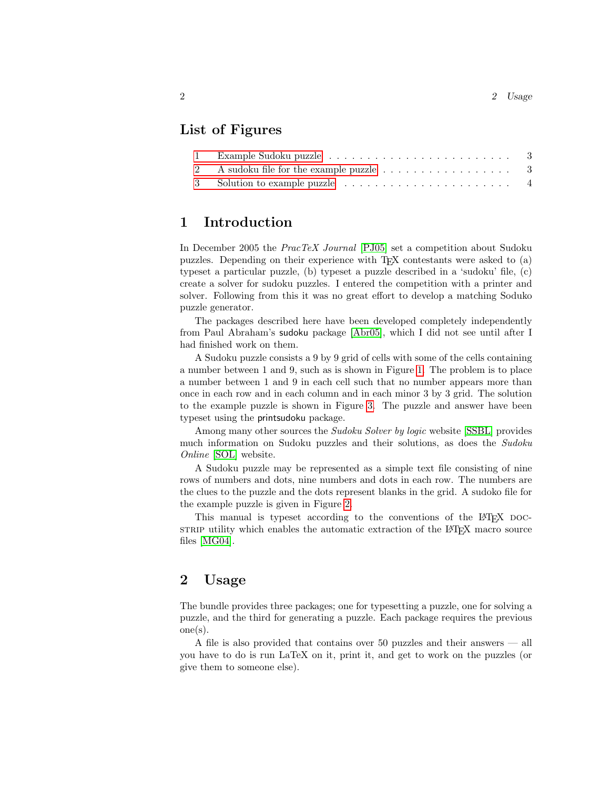## List of Figures

| 2 A sudoku file for the example puzzle $\dots \dots \dots \dots \dots \dots$ 3 |  |
|--------------------------------------------------------------------------------|--|
|                                                                                |  |

## <span id="page-1-0"></span>1 Introduction

In December 2005 the PracTeX Journal [\[PJ05\]](#page-80-0) set a competition about Sudoku puzzles. Depending on their experience with TEX contestants were asked to (a) typeset a particular puzzle, (b) typeset a puzzle described in a 'sudoku' file, (c) create a solver for sudoku puzzles. I entered the competition with a printer and solver. Following from this it was no great effort to develop a matching Soduko puzzle generator.

The packages described here have been developed completely independently from Paul Abraham's sudoku package [\[Abr05\]](#page-80-1), which I did not see until after I had finished work on them.

A Sudoku puzzle consists a 9 by 9 grid of cells with some of the cells containing a number between 1 and 9, such as is shown in Figure [1.](#page-2-0) The problem is to place a number between 1 and 9 in each cell such that no number appears more than once in each row and in each column and in each minor 3 by 3 grid. The solution to the example puzzle is shown in Figure [3.](#page-3-1) The puzzle and answer have been typeset using the printsudoku package.

Among many other sources the *Sudoku Solver by logic* website [\[SSBL\]](#page-80-2) provides much information on Sudoku puzzles and their solutions, as does the Sudoku Online [\[SOL\]](#page-80-3) website.

A Sudoku puzzle may be represented as a simple text file consisting of nine rows of numbers and dots, nine numbers and dots in each row. The numbers are the clues to the puzzle and the dots represent blanks in the grid. A sudoko file for the example puzzle is given in Figure [2.](#page-2-1)

This manual is typeset according to the conventions of the LAT<sub>EX</sub> DOCstrip utility which enables the automatic extraction of the LAT<sub>EX</sub> macro source files [\[MG04\]](#page-80-4).

## <span id="page-1-1"></span>2 Usage

The bundle provides three packages; one for typesetting a puzzle, one for solving a puzzle, and the third for generating a puzzle. Each package requires the previous one(s).

A file is also provided that contains over 50 puzzles and their answers — all you have to do is run LaTeX on it, print it, and get to work on the puzzles (or give them to someone else).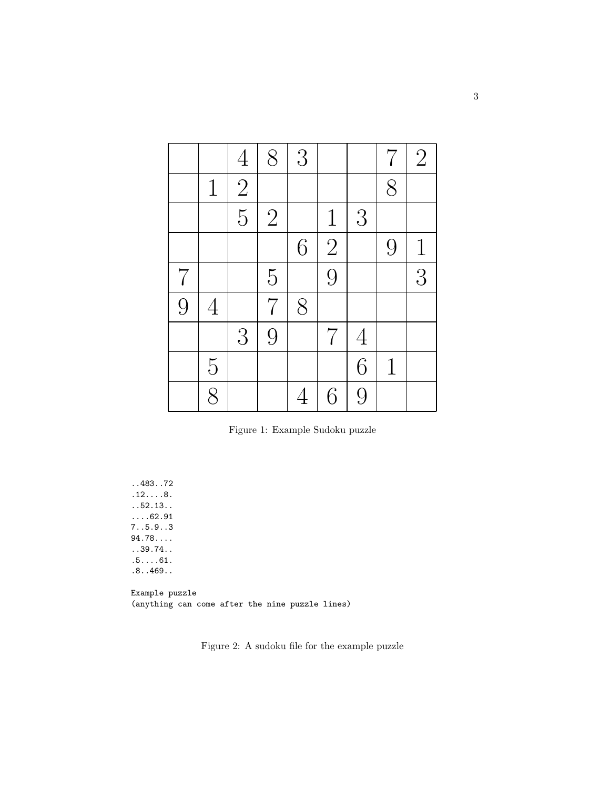|       |                | $\overline{4}$ | 8              | 3 |                |                | $\overline{7}$ | $\overline{2}$ |
|-------|----------------|----------------|----------------|---|----------------|----------------|----------------|----------------|
|       | $\mathbf 1$    | $\overline{2}$ |                |   |                |                | 8              |                |
|       |                | $\overline{5}$ | $\overline{2}$ |   | $\mathbf{1}$   | 3              |                |                |
|       |                |                |                | 6 | $\overline{2}$ |                | 9              | $\mathbf{1}$   |
| $7\,$ |                |                | $\overline{5}$ |   | $\overline{9}$ |                |                | $\overline{3}$ |
| 9     | $\overline{4}$ |                | $\overline{7}$ | 8 |                |                |                |                |
|       |                | 3              | 9              |   | $\overline{7}$ | $\overline{4}$ |                |                |
|       | $\overline{5}$ |                |                |   |                | 6              | $\mathbf 1$    |                |
|       | $\overline{8}$ |                |                |   | 6              | 9              |                |                |

<span id="page-2-0"></span>Figure 1: Example Sudoku puzzle

..483..72  $.12...8.$ ..52.13.. ....62.91 7..5.9..3 94.78.... ..39.74.. .5....61. .8..469..

Example puzzle (anything can come after the nine puzzle lines)

<span id="page-2-1"></span>Figure 2: A sudoku file for the example puzzle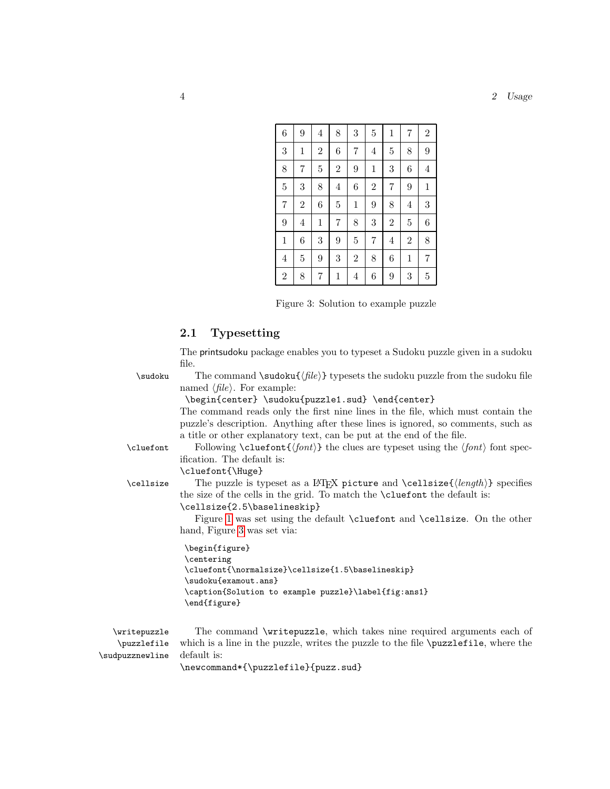#### 4 2 Usage

| 6              | 9              | $\overline{4}$ | 8              | 3              | $\overline{5}$ | $\mathbf{1}$   | $\overline{7}$ | $\overline{2}$   |
|----------------|----------------|----------------|----------------|----------------|----------------|----------------|----------------|------------------|
| 3              | $\mathbf 1$    | $\overline{2}$ | 6              | $\overline{7}$ | $\overline{4}$ | $\overline{5}$ | 8              | 9                |
| 8              | 7              | $\overline{5}$ | $\overline{2}$ | 9              | $\mathbf{1}$   | 3              | 6              | $\overline{4}$   |
| $\overline{5}$ | 3              | 8              | 4              | 6              | $\overline{2}$ | $\overline{7}$ | 9              | $\mathbf 1$      |
| $\overline{7}$ | $\overline{2}$ | 6              | $\overline{5}$ | 1              | 9              | 8              | $\overline{4}$ | $\boldsymbol{3}$ |
| 9              | $\overline{4}$ | $\mathbf{1}$   | 7              | 8              | 3              | $\overline{2}$ | $\overline{5}$ | 6                |
| $\mathbf 1$    | 6              | 3              | 9              | $\overline{5}$ | $\overline{7}$ | $\overline{4}$ | $\overline{2}$ | 8                |
| $\overline{4}$ | $\overline{5}$ | 9              | 3              | $\overline{2}$ | 8              | 6              | $\mathbf 1$    | 7                |
| $\overline{2}$ | 8              | 7              | $\mathbf 1$    | $\overline{4}$ | 6              | 9              | 3              | $\overline{5}$   |

<span id="page-3-1"></span>Figure 3: Solution to example puzzle

### <span id="page-3-0"></span>2.1 Typesetting

The printsudoku package enables you to typeset a Sudoku puzzle given in a sudoku file.

| \sudoku | The command $\s$ udoku $\{file\}$ typesets the sudoku puzzle from the sudoku file |
|---------|-----------------------------------------------------------------------------------|
|         | named $\langle file \rangle$ . For example:                                       |

\begin{center} \sudoku{puzzle1.sud} \end{center}

The command reads only the first nine lines in the file, which must contain the puzzle's description. Anything after these lines is ignored, so comments, such as a title or other explanatory text, can be put at the end of the file.

\cluefont Following \cluefont{ $\{font\}$  the clues are typeset using the  $\{font\}$  font spec-

ification. The default is:

\cluefont{\Huge}

\cellsize The puzzle is typeset as a LATEX picture and \cellsize{ $\langle length \rangle$ } specifies the size of the cells in the grid. To match the \cluefont the default is:

\cellsize{2.5\baselineskip}

Figure [1](#page-2-0) was set using the default \cluefont and \cellsize. On the other hand, Figure [3](#page-3-1) was set via:

```
\begin{figure}
\centering
\cluefont{\normalsize}\cellsize{1.5\baselineskip}
\sudoku{examout.ans}
\caption{Solution to example puzzle}\label{fig:ans1}
\end{figure}
```
\writepuzzle The command \writepuzzle, which takes nine required arguments each of \puzzlefile \sudpuzznewline which is a line in the puzzle, writes the puzzle to the file \puzzlefile, where the default is:

\newcommand\*{\puzzlefile}{puzz.sud}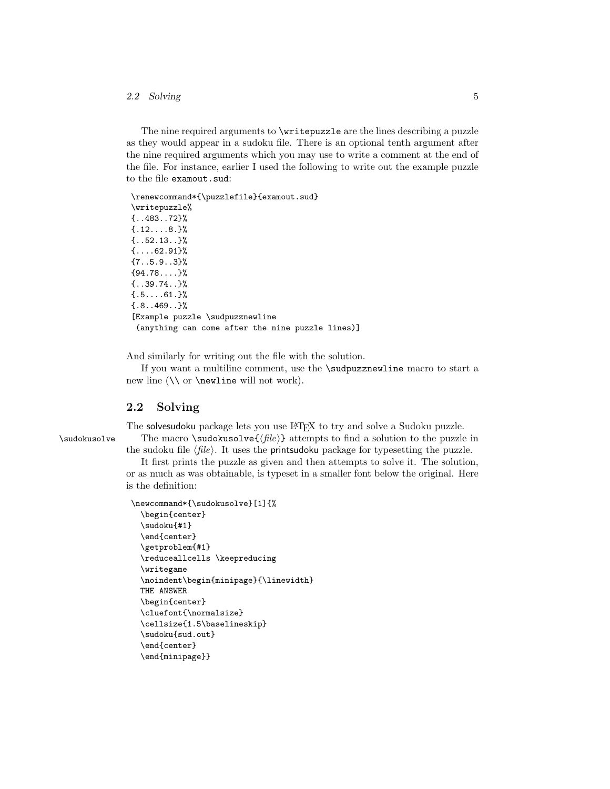#### 2.2 Solving 5

The nine required arguments to **\writepuzzle** are the lines describing a puzzle as they would appear in a sudoku file. There is an optional tenth argument after the nine required arguments which you may use to write a comment at the end of the file. For instance, earlier I used the following to write out the example puzzle to the file examout.sud:

\renewcommand\*{\puzzlefile}{examout.sud} \writepuzzle% {..483..72}%  ${12...8.}$  ${52.13..}$  ${...,62.91}$ % {7..5.9..3}% {94.78....}% {..39.74..}%  ${5.7.61.}$ {.8..469..}% [Example puzzle \sudpuzznewline (anything can come after the nine puzzle lines)]

And similarly for writing out the file with the solution.

If you want a multiline comment, use the \sudpuzznewline macro to start a new line  $(\nabla \cdot \mathbf{w})$  newline will not work).

#### <span id="page-4-0"></span>2.2 Solving

The solvesudoku package lets you use IATEX to try and solve a Sudoku puzzle. \sudokusolve The macro \sudokusolve{ $\langle file \rangle$ } attempts to find a solution to the puzzle in the sudoku file  $\langle file \rangle$ . It uses the printsudoku package for typesetting the puzzle.

> It first prints the puzzle as given and then attempts to solve it. The solution, or as much as was obtainable, is typeset in a smaller font below the original. Here is the definition:

```
\newcommand*{\sudokusolve}[1]{%
  \begin{center}
 \sudoku{#1}
  \end{center}
 \getproblem{#1}
  \reduceallcells \keepreducing
  \writegame
  \noindent\begin{minipage}{\linewidth}
 THE ANSWER
  \begin{center}
  \cluefont{\normalsize}
  \cellsize{1.5\baselineskip}
  \sudoku{sud.out}
  \end{center}
 \end{minipage}}
```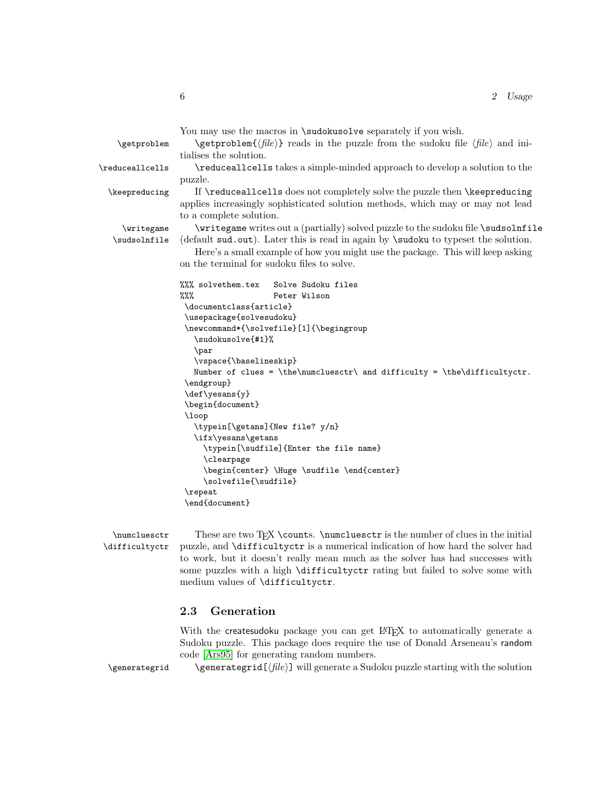|                            | You may use the macros in <b>\sudokusolve</b> separately if you wish.                                                       |
|----------------------------|-----------------------------------------------------------------------------------------------------------------------------|
| \getproblem                | $\setminus \text{getproblem}\{\text{file}\}\$ reads in the puzzle from the sudoku file $\langle \text{file}\rangle$ and in- |
|                            | tialises the solution.                                                                                                      |
| \reduceallcells            | \reduceallcells takes a simple-minded approach to develop a solution to the                                                 |
|                            | puzzle.                                                                                                                     |
| \keepreducing              | If \reduceallcells does not completely solve the puzzle then \keepreducing                                                  |
|                            | applies increasingly sophisticated solution methods, which may or may not lead                                              |
|                            | to a complete solution.                                                                                                     |
|                            | \writegame writes out a (partially) solved puzzle to the sudoku file \sudsolnfile                                           |
| \writegame<br>\sudsolnfile | (default sud.out). Later this is read in again by \sudoku to typeset the solution.                                          |
|                            |                                                                                                                             |
|                            | Here's a small example of how you might use the package. This will keep asking                                              |
|                            | on the terminal for sudoku files to solve.                                                                                  |
|                            | %%% solvethem.tex<br>Solve Sudoku files                                                                                     |
|                            | %%%<br>Peter Wilson                                                                                                         |
|                            | \documentclass{article}                                                                                                     |
|                            | \usepackage{solvesudoku}                                                                                                    |
|                            | \newcommand*{\solvefile}[1]{\begingroup                                                                                     |
|                            | \sudokusolve{#1}%                                                                                                           |
|                            | \par                                                                                                                        |
|                            | \vspace{\baselineskip}                                                                                                      |
|                            | Number of clues = \the\numcluesctr\ and difficulty = \the\difficultyctr.                                                    |
|                            | \endgroup}                                                                                                                  |
|                            | \def\yesans{y}                                                                                                              |
|                            | \begin{document}                                                                                                            |
|                            | \loop                                                                                                                       |
|                            | \typein[\getans]{New file? y/n}                                                                                             |
|                            | \ifx\yesans\getans<br>\typein[\sudfile]{Enter the file name}                                                                |
|                            | \clearpage                                                                                                                  |
|                            | \begin{center} \Huge \sudfile \end{center}                                                                                  |
|                            | \solvefile{\sudfile}                                                                                                        |
|                            | \repeat                                                                                                                     |
|                            |                                                                                                                             |

\end{document}

\numcluesctr These are two TEX \counts. \numcluesctr is the number of clues in the initial \difficultyctr puzzle, and \difficultyctr is a numerical indication of how hard the solver had puzzle, and **\difficultyctr** is a numerical indication of how hard the solver had to work, but it doesn't really mean much as the solver has had successes with some puzzles with a high \difficultyctr rating but failed to solve some with medium values of \difficultyctr.

### <span id="page-5-0"></span>2.3 Generation

With the createsudoku package you can get IATEX to automatically generate a Sudoku puzzle. This package does require the use of Donald Arseneau's random code [\[Ars95\]](#page-80-5) for generating random numbers.

 $\genfrac{\{}{}{\left| \int_{\text{left}} \right| \text{ with the solution}}{\text{deflection}}$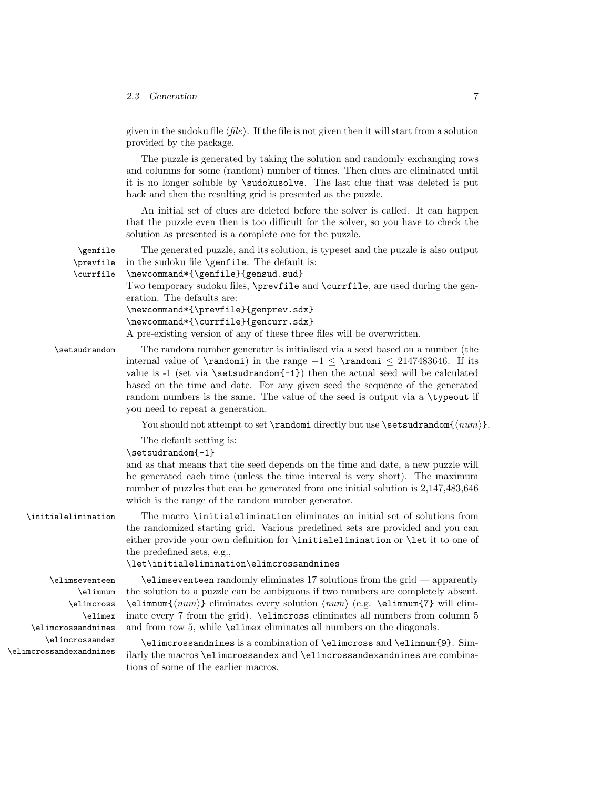#### 2.3 Generation 7

given in the sudoku file  $\langle file \rangle$ . If the file is not given then it will start from a solution provided by the package.

The puzzle is generated by taking the solution and randomly exchanging rows and columns for some (random) number of times. Then clues are eliminated until it is no longer soluble by \sudokusolve. The last clue that was deleted is put back and then the resulting grid is presented as the puzzle.

An initial set of clues are deleted before the solver is called. It can happen that the puzzle even then is too difficult for the solver, so you have to check the solution as presented is a complete one for the puzzle.

\genfile The generated puzzle, and its solution, is typeset and the puzzle is also output \prevfile \currfile in the sudoku file \genfile. The default is: \newcommand\*{\genfile}{gensud.sud} Two temporary sudoku files, \prevfile and \currfile, are used during the generation. The defaults are: \newcommand\*{\prevfile}{genprev.sdx} \newcommand\*{\currfile}{gencurr.sdx} A pre-existing version of any of these three files will be overwritten.

\setsudrandom The random number generater is initialised via a seed based on a number (the internal value of \randomi) in the range −1 ≤ \randomi ≤ 2147483646. If its value is  $-1$  (set via \setsudrandom $\{-1\}$ ) then the actual seed will be calculated based on the time and date. For any given seed the sequence of the generated random numbers is the same. The value of the seed is output via a \typeout if you need to repeat a generation.

You should not attempt to set  $\mathcal{S}$  and  $\mathcal{S}$  are  $\setminus$  is  $\setminus$  setsudrandom $\{\langle num \rangle\}$ .

The default setting is:

```
\setsudrandom{-1}
```
and as that means that the seed depends on the time and date, a new puzzle will be generated each time (unless the time interval is very short). The maximum number of puzzles that can be generated from one initial solution is 2,147,483,646 which is the range of the random number generator.

\initialelimination The macro \initialelimination eliminates an initial set of solutions from the randomized starting grid. Various predefined sets are provided and you can either provide your own definition for \initialelimination or \let it to one of the predefined sets, e.g.,

#### \let\initialelimination\elimcrossandnines

\elimnum \elimcross \elimex \elimcrossandnines \elimcrossandex \elimcrossandexandnines

\elimseventeen \elimseventeen randomly eliminates 17 solutions from the grid — apparently the solution to a puzzle can be ambiguous if two numbers are completely absent.  $\ell_{num} {\langle num \rangle}$  eliminates every solution  $\langle num \rangle$  (e.g. \elimnum{7} will eliminate every 7 from the grid).  $\ell$  increase eliminates all numbers from column 5 and from row 5, while \elimex eliminates all numbers on the diagonals.

> \elimcrossandnines is a combination of \elimcross and \elimnum{9}. Similarly the macros \elimcrossandex and \elimcrossandexandnines are combinations of some of the earlier macros.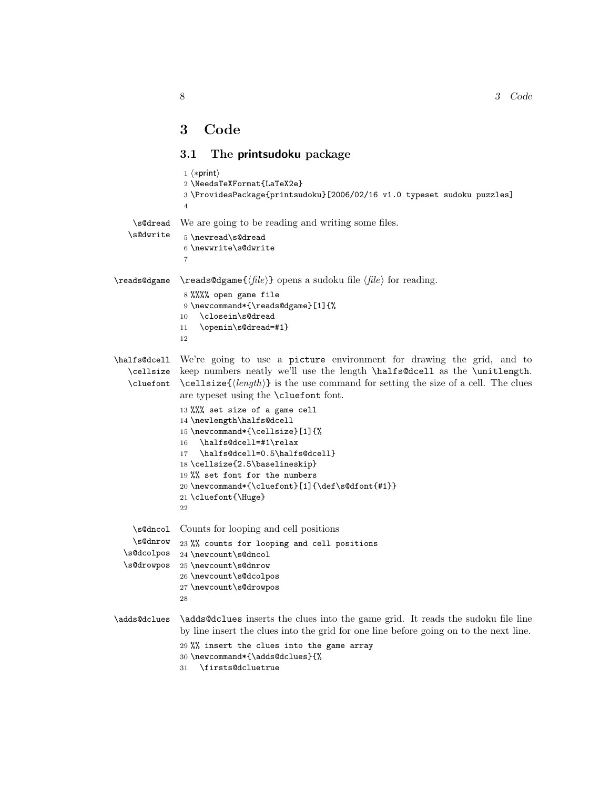## <span id="page-7-0"></span>3 Code

## <span id="page-7-1"></span>3.1 The printsudoku package

|                                                  | $1$ $\langle *print \rangle$<br>2 \NeedsTeXFormat{LaTeX2e}<br>3\ProvidesPackage{printsudoku}[2006/02/16 v1.0 typeset sudoku puzzles]<br>$\overline{4}$                                                                                                                                                                                                                                                                                                                                                                                                                                                                |
|--------------------------------------------------|-----------------------------------------------------------------------------------------------------------------------------------------------------------------------------------------------------------------------------------------------------------------------------------------------------------------------------------------------------------------------------------------------------------------------------------------------------------------------------------------------------------------------------------------------------------------------------------------------------------------------|
| \s@dread<br>\s@dwrite                            | We are going to be reading and writing some files.<br>5 \newread\s@dread<br>6 \newwrite\s@dwrite<br>7                                                                                                                                                                                                                                                                                                                                                                                                                                                                                                                 |
| \reads@dgame                                     | $\text{reads@dgame} \{ \langle file \rangle \}$ opens a sudoku file $\langle file \rangle$ for reading.<br>8 %%%% open game file<br>9 \newcommand*{\reads@dgame}[1]{%<br>\closein\s@dread<br>10<br>\openin\s@dread=#1}<br>11<br>12                                                                                                                                                                                                                                                                                                                                                                                    |
| \halfs@dcell<br>\cellsize<br>\cluefont           | We're going to use a picture environment for drawing the grid, and to<br>keep numbers neatly we'll use the length \halfs@dcell as the \unitlength.<br>$\mathcal{L}$ (length) is the use command for setting the size of a cell. The clues<br>are typeset using the <b>\cluefont</b> font.<br>13 %%% set size of a game cell<br>14 \newlength\halfs@dcell<br>15 \newcommand*{\cellsize}[1]{%<br>\halfs@dcell=#1\relax<br>16<br>\halfs@dcell=0.5\halfs@dcell}<br>17<br>18 \cellsize{2.5\baselineskip}<br>19 %% set font for the numbers<br>20 \newcommand*{\cluefont}[1]{\def\s@dfont{#1}}<br>21 \cluefont{\Huge}<br>22 |
| \s@dncol<br>\s@dnrow<br>\s@dcolpos<br>\s@drowpos | Counts for looping and cell positions<br>23 %% counts for looping and cell positions<br>24 \newcount\s@dncol<br>25 \newcount\s@dnrow<br>26 \newcount\s@dcolpos<br>27 \newcount\s@drowpos<br>28                                                                                                                                                                                                                                                                                                                                                                                                                        |
| \adds@dclues                                     | \adds@dclues inserts the clues into the game grid. It reads the sudoku file line<br>by line insert the clues into the grid for one line before going on to the next line.<br>29 %% insert the clues into the game array<br>30 \newcommand*{\adds@dclues}{%<br>\firsts@dcluetrue<br>31                                                                                                                                                                                                                                                                                                                                 |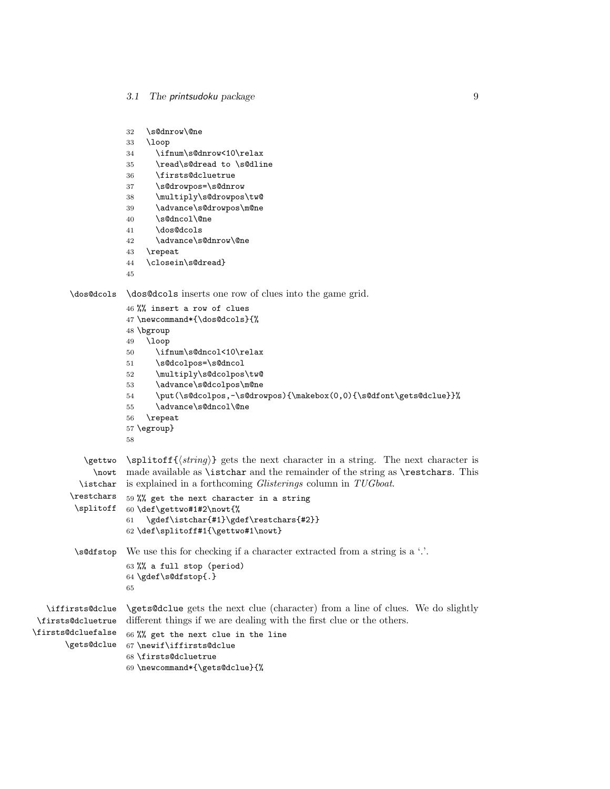```
32 \s@dnrow\@ne
                   33 \loop
                   34 \ifnum\s@dnrow<10\relax
                   35 \read\s@dread to \s@dline
                   36 \firsts@dcluetrue
                   37 \s@drowpos=\s@dnrow
                   38 \multiply\s@drowpos\tw@
                   39 \advance\s@drowpos\m@ne
                   40 \s@dncol\@ne
                   41 \dos@dcols
                   42 \advance\s@dnrow\@ne
                   43 \repeat
                   44 \closein\s@dread}
                   45
       \dos@dcols \dos@dcols inserts one row of clues into the game grid.
                   46 %% insert a row of clues
                   47 \newcommand*{\dos@dcols}{%
                   48 \bgroup
                   49 \loop
                   50 \ifnum\s@dncol<10\relax
                   51 \s@dcolpos=\s@dncol
                   52 \multiply\s@dcolpos\tw@
                   53 \advance\s@dcolpos\m@ne
                   54 \put(\s@dcolpos,-\s@drowpos){\makebox(0,0){\s@dfont\gets@dclue}}%
                   55 \advance\s@dncol\@ne
                   56 \repeat
                   57 \egroup}
                   58
           \setminus \{string\} gets the next character in a string. The next character is
             \nowt
made available as \istchar and the remainder of the string as \restchars. This
          \istchar
is explained in a forthcoming Glisterings column in TUGboat.
       \restchars
         \splitoff
60 \def\gettwo#1#2\nowt{%
                   59 %% get the next character in a string
                   61 \gdef\istchar{#1}\gdef\restchars{#2}}
                   62 \def\splitoff#1{\gettwo#1\nowt}
        \s@dfstop We use this for checking if a character extracted from a string is a '.'.
                   63 %% a full stop (period)
                   64 \gdef\s@dfstop{.}
                   65
  \iffirsts@dclue
\firsts@dcluetrue
\firsts@dcluefalse
      \gets@dclue
                   \gets@dclue gets the next clue (character) from a line of clues. We do slightly
                   different things if we are dealing with the first clue or the others.
                   66 %% get the next clue in the line
                  67 \newif\iffirsts@dclue
                   68 \firsts@dcluetrue
                   69 \newcommand*{\gets@dclue}{%
```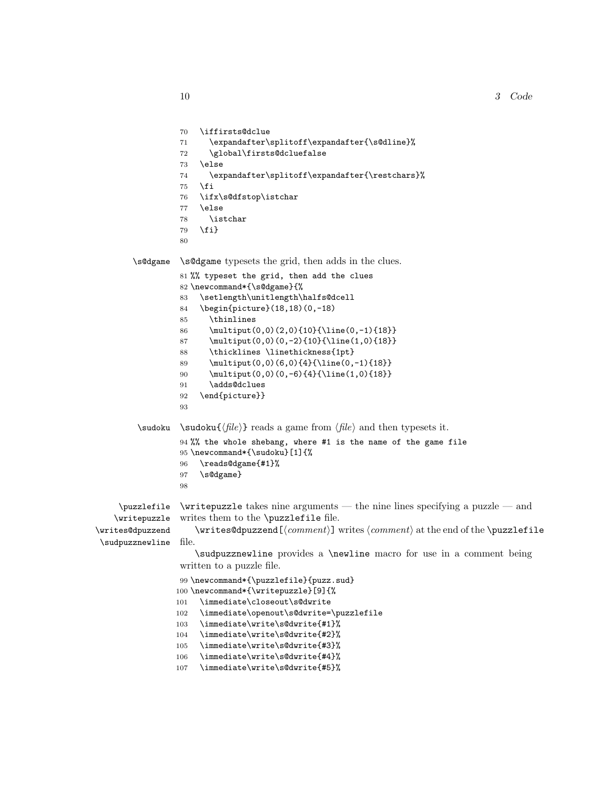#### 10 3 Code

```
70 \iffirsts@dclue
                  71 \expandafter\splitoff\expandafter{\s@dline}%
                  72 \global\firsts@dcluefalse
                  73 \else
                  74 \expandafter\splitoff\expandafter{\restchars}%
                  75 \overline{1}76 \ifx\s@dfstop\istchar
                  77 \else
                  78 \istchar
                  79 \fi}
                  80
        \s@dgame \s@dgame typesets the grid, then adds in the clues.
                  81 %% typeset the grid, then add the clues
                  82 \newcommand*{\s@dgame}{%
                  83 \setlength\unitlength\halfs@dcell
                  84 \begin{picture}(18,18)(0,-18)
                  85 \thinlines
                  86 \multiput(0,0)(2,0){10}{\line(0,-1){18}}
                  87 \multiput(0,0)(0,-2){10}{\line(1,0){18}}
                  88 \thicklines \linethickness{1pt}
                  89 \multiput(0,0)(6,0){4}{\line(0,-1){18}}
                  90 \multiput(0,0)(0,-6){4}{\line(1,0){18}}
                  91 \adds@dclues
                  92 \end{picture}}
                  93
        \sudoku \sudoku{\langle file \rangle} reads a game from \langle file \rangle and then typesets it.
                  94 %% the whole shebang, where #1 is the name of the game file
                  95 \newcommand*{\sudoku}[1]{%
                  96 \reads@dgame{#1}%
                  97 \s@dgame}
                  98
    \puzzlefile
   \writepuzzle
\writes@dpuzzend
\sudpuzznewline
                  \writepuzzle takes nine arguments — the nine lines specifying a puzzle — and
                  writes them to the \puzzlefile file.
                     \exists \mathbf{h}(\mathbf{h}) writes (comment) writes \mathbf{h} at the end of the \text{puzzlefile}file.
                     \sudpuzznewline provides a \newline macro for use in a comment being
                  written to a puzzle file.
                  99 \newcommand*{\puzzlefile}{puzz.sud}
                 100 \newcommand*{\writepuzzle}[9]{%
                 101 \immediate\closeout\s@dwrite
                 102 \immediate\openout\s@dwrite=\puzzlefile
                 103 \immediate\write\s@dwrite{#1}%
                 104 \immediate\write\s@dwrite{#2}%
                 105 \immediate\write\s@dwrite{#3}%
                 106 \immediate\write\s@dwrite{#4}%
                 107 \immediate\write\s@dwrite{#5}%
```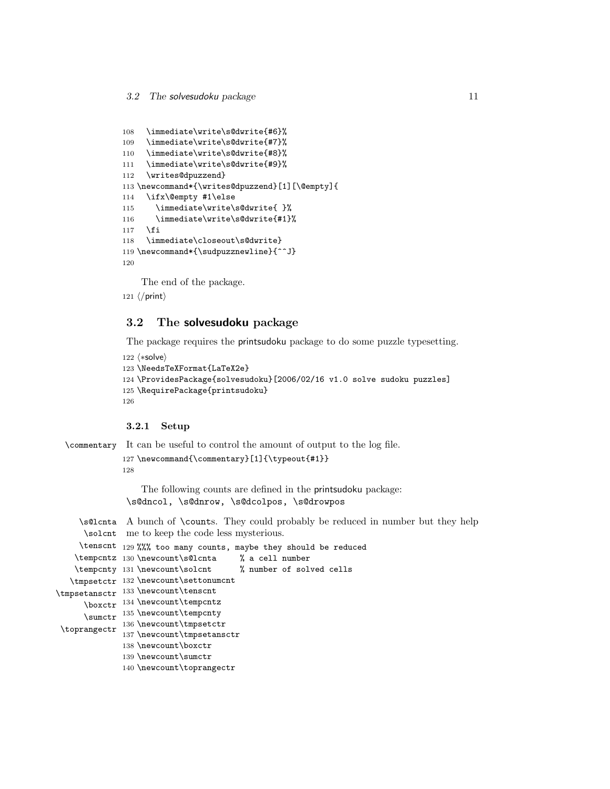```
108 \immediate\write\s@dwrite{#6}%
109 \immediate\write\s@dwrite{#7}%
110 \immediate\write\s@dwrite{#8}%
111 \immediate\write\s@dwrite{#9}%
112 \writes@dpuzzend}
113 \newcommand*{\writes@dpuzzend}[1][\@empty]{
114 \ifx\@empty #1\else
115 \immediate\write\s@dwrite{ }%
116 \immediate\write\s@dwrite{#1}%
117 \fi
118 \immediate\closeout\s@dwrite}
119 \newcommand*{\sudpuzznewline}{^^J}
120
```
The end of the package.

121  $\langle$ /print $\rangle$ 

### <span id="page-10-0"></span>3.2 The solvesudoku package

The package requires the printsudoku package to do some puzzle typesetting.

```
122 \langle *solve \rangle123 \NeedsTeXFormat{LaTeX2e}
124 \ProvidesPackage{solvesudoku}[2006/02/16 v1.0 solve sudoku puzzles]
125 \RequirePackage{printsudoku}
126
```
#### <span id="page-10-1"></span>3.2.1 Setup

```
\commentary It can be useful to control the amount of output to the log file.
             127 \newcommand{\commentary}[1]{\typeout{#1}}
             128
```
The following counts are defined in the printsudoku package: \s@dncol, \s@dnrow, \s@dcolpos, \s@drowpos

\s@lcnta A bunch of \counts. They could probably be reduced in number but they help \solcnt me to keep the code less mysterious.

```
\tenscnt 129 %%% too many counts, maybe they should be reduced
    \tempcntz 130 \newcount\s@lcnta % a cell number
   \tempcnty 131 \newcount\solcnt
   \tmpsetctr
132 \newcount\settonumcnt
\tmpsetansctr 133 \newcount\tenscnt
      \boxctr
134 \newcount\tempcntz
      \sumctr <sup>135</sup> \newcount\tempcnty
 \toprangectr 136 \newcount\tmpsetctr
                                         % number of solved cells
               137 \newcount\tmpsetansctr
              138 \newcount\boxctr
              139 \newcount\sumctr
              140 \newcount\toprangectr
```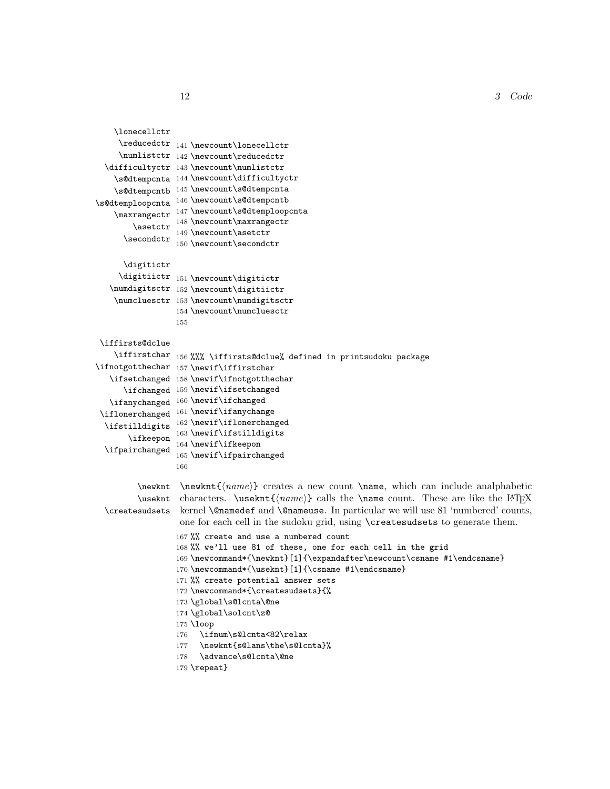12 3 Code

```
\lonecellctr
     \reducedctr 141 \newcount\lonecellctr
     \numlistctr 142 \newcount\reducedctr
  \difficultyctr
143 \newcount\numlistctr
    \s@dtempcnta
144 \newcount\difficultyctr
    \s@dtempcntb 145 \newcount\s@dtempcnta
\s@dtemploopcnta
146 \newcount\s@dtempcntb
    \maxrangectr
147 \newcount\s@dtemploopcnta
        \asetctr
      \secondctr
                  148 \newcount\maxrangectr
                  149 \newcount\asetctr
                  150 \newcount\secondctr
      \digitictr
     \digitiictr
151 \newcount\digitictr
   \numdigitsctr 152 \newcount\digitiictr
    \numcluesctr
153 \newcount\numdigitsctr
                 154 \newcount\numcluesctr
                 155
\iffirsts@dclue
    \iffirstchar 156 %%% \iffirsts@dclue% defined in printsudoku package
\ifnotgotthechar 157\newif\iffirstchar
   \ifsetchanged 158\newif\ifnotgotthechar
      \ifchanged
159 \newif\ifsetchanged
   \ifanychanged
160 \newif\ifchanged
 \iflonerchanged 161\newif\ifanychange
  \ifstilldigits <sup>162</sup> \newif\iflonerchanged
       \ifkeepon 163\newif\ifstilldigits
  \ifpairchanged 164 \newif\ifkeepon
                  165 \newif\ifpairchanged
                 166
         \newant {\newcommand{\nonparallel}{name}} creates a new count \name, which can include analphabetic
         \useknt characters. \useknt{\langle name \rangle} calls the \name count. These are like the LAT<sub>E</sub>X
  \createsudsets
kernel \@namedef and \@nameuse. In particular we will use 81 'numbered' counts,
                  one for each cell in the sudoku grid, using \createsudsets to generate them.
                  167 %% create and use a numbered count
                  168 %% we'll use 81 of these, one for each cell in the grid
                  169\newcommand*{\newknt}[1]{\expandafter\newcount\csname #1\endcsname}
                  170 \newcommand*{\useknt}[1]{\csname #1\endcsname}
                 171 %% create potential answer sets
                 172 \newcommand*{\createsudsets}{%
                 173 \global\s@lcnta\@ne
                 174 \global\solcnt\z@
                 175 \loop
                 176 \ifnum\s@lcnta<82\relax
                 177 \newknt{s@lans\the\s@lcnta}%
                 178 \advance\s@lcnta\@ne
                 179 \repeat}
```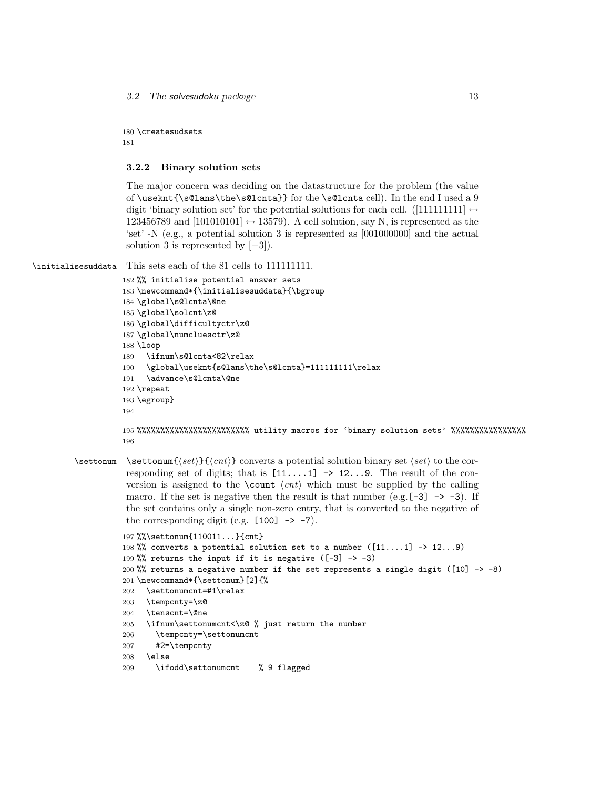3.2 The solvesudoku package 13

180 \createsudsets 181

#### <span id="page-12-0"></span>3.2.2 Binary solution sets

The major concern was deciding on the datastructure for the problem (the value of \useknt{\s@lans\the\s@lcnta}} for the \s@lcnta cell). In the end I used a 9 digit 'binary solution set' for the potential solutions for each cell. ([1111111111]  $\leftrightarrow$ 123456789 and  $[101010101] \leftrightarrow 13579$ . A cell solution, say N, is represented as the 'set' -N (e.g., a potential solution 3 is represented as [001000000] and the actual solution 3 is represented by  $[-3]$ ).

\initialisesuddata This sets each of the 81 cells to 111111111.

```
182 %% initialise potential answer sets
183 \newcommand*{\initialisesuddata}{\bgroup
184 \global\s@lcnta\@ne
185 \global\solcnt\z@
186 \global\difficultyctr\z@
187 \global\numcluesctr\z@
188 \loop
189 \ifnum\s@lcnta<82\relax
190 \global\useknt{s@lans\the\s@lcnta}=111111111\relax
191 \advance\s@lcnta\@ne
192 \repeat
193 \egroup}
194
```
195 %%%%%%%%%%%%%%%%%%%%%%%% utility macros for 'binary solution sets' %%%%%%%%%%%%%%%% 196

\settonum \settonum{hseti}{hcnti} converts a potential solution binary set hseti to the corresponding set of digits; that is  $[11...1] \rightarrow 12...9$ . The result of the conversion is assigned to the \count  $\langle ent \rangle$  which must be supplied by the calling macro. If the set is negative then the result is that number (e.g.  $[-3] \rightarrow -3$ ). If the set contains only a single non-zero entry, that is converted to the negative of the corresponding digit (e.g.  $[100] \rightarrow -7$ ).

```
197 %%\settonum{110011...}{cnt}
198 %% converts a potential solution set to a number ([11...1] \rightarrow 12...9)
199 %% returns the input if it is negative ([-3] \rightarrow -3)200 %% returns a negative number if the set represents a single digit ([10] -> -8)
201 \newcommand*{\settonum}[2]{%
202 \settonumcnt=#1\relax
203 \tempcnty=\z@
204 \tenscnt=\@ne
205 \ifnum\settonumcnt<\z@ % just return the number
206 \tempcnty=\settonumcnt
207 #2=\tempcnty
208 \else
209 \ifodd\settonumcnt % 9 flagged
```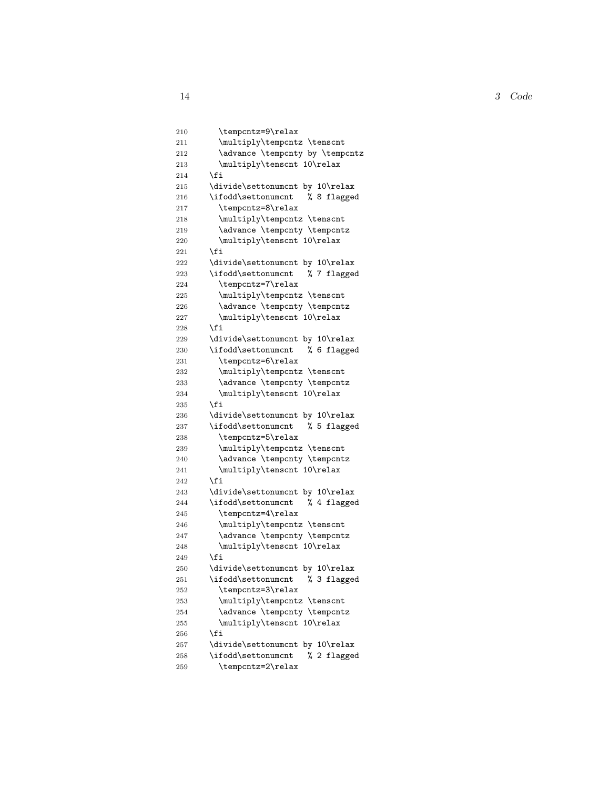14 3 Code

```
210 \tempcntz=9\relax
211 \multiply\tempcntz \tenscnt
212 \advance \tempcnty by \tempcntz
213 \multiply\tenscnt 10\relax
214 \overrightarrow{fi}215 \divide\settonumcnt by 10\relax
216 \ifodd\settonumcnt % 8 flagged
217 \tempcntz=8\relax
218 \multiply\tempcntz \tenscnt
219 \advance \tempcnty \tempcntz
220 \multiply\tenscnt 10\relax
221 \fi
222 \divide\settonumcnt by 10\relax
223 \ifodd\settonumcnt % 7 flagged
224 \tempcntz=7\relax
225 \multiply\tempcntz \tenscnt<br>226 \advance \tempcnty \tempcnt;
        \advance \tempcnty \tempcntz
227 \multiply\tenscnt 10\relax
228 \setminusfi
229 \divide\settonumcnt by 10\relax
230 \ifodd\settonumcnt % 6 flagged
231 \tempcntz=6\relax
232 \multiply\tempcntz \tenscnt
233 \advance \tempcnty \tempcntz
234 \multiply\tenscnt 10\relax
235 \fi
236 \divide\settonumcnt by 10\relax
237 \ifodd\settonumcnt % 5 flagged
238 \tempcntz=5\relax
239 \multiply\tempcntz \tenscnt
240 \advance \tempcnty \tempcntz
241 \multiply\tenscnt 10\relax
242 \fi
243 \divide\settonumcnt by 10\relax
244 \ifodd\settonumcnt % 4 flagged
245 \tempcntz=4\relax
246 \multiply\tempcntz \tenscnt
247 \advance \tempcnty \tempcntz
248 \multiply\tenscnt 10\relax
249 \setminusfi
250 \divide\settonumcnt by 10\relax
251 \ifodd\settonumcnt % 3 flagged
252 \tempcntz=3\relax
253 \multiply\tempcntz \tenscnt
254 \advance \tempcnty \tempcntz
255 \multiply\tenscnt 10\relax
256 \fi
257 \divide\settonumcnt by 10\relax
258 \ifodd\settonumcnt % 2 flagged
259 \tempcntz=2\relax
```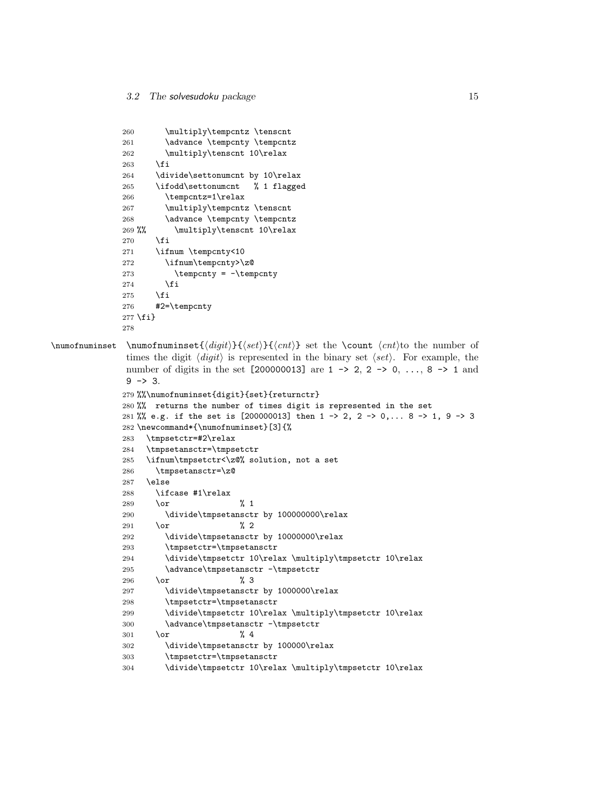```
260 \multiply\tempcntz \tenscnt
              261 \advance \tempcnty \tempcntz
              262 \multiply\tenscnt 10\relax
              263 \fi
              264 \divide\settonumcnt by 10\relax
              265 \ifodd\settonumcnt % 1 flagged
              266 \tempcntz=1\relax
              267 \multiply\tempcntz \tenscnt
              268 \advance \tempcnty \tempcntz
              269 %% \multiply\tenscnt 10\relax
              270 \fi
              271 \ifnum \tempcnty<10
              272 \ifnum\tempcnty>\z@
              273 \tempcnty = -\tempcnty
              274 \fi
              275 \fi
              276 #2=\tempcnty
              277 \fi}
              278
\sum_{\alpha} \numofnuminset {\langle \alpha t \rangle} set the \count \langle \alpha t \rangle to the number of
              times the digit \langle \text{digit} \rangle is represented in the binary set \langle \text{set} \rangle. For example, the
              number of digits in the set [200000013] are 1 -> 2, 2 -> 0, ..., 8 -> 1 and
              9 \rightarrow 3.279 %%\numofnuminset{digit}{set}{returnctr}
              280 %% returns the number of times digit is represented in the set
              281 %% e.g. if the set is [200000013] then 1 -> 2, 2 -> 0,... 8 -> 1, 9 -> 3
              282 \newcommand*{\numofnuminset}[3]{%
              283 \tmpsetctr=#2\relax
              284 \tmpsetansctr=\tmpsetctr
              285 \ifnum\tmpsetctr<\z@% solution, not a set
              286 \tmpsetansctr=\z@
              287 \else
              288 \ifcase #1\relax
              289 \or % 1
              290 \divide\tmpsetansctr by 100000000\relax
              291 \or % 2
              292 \divide\tmpsetansctr by 10000000\relax
              293 \tmpsetctr=\tmpsetansctr
              294 \divide\tmpsetctr 10\relax \multiply\tmpsetctr 10\relax
              295 \advance\tmpsetansctr -\tmpsetctr
              296 \or % 3
              297 \divide\tmpsetansctr by 1000000\relax
              298 \tmpsetctr=\tmpsetansctr
              299 \divide\tmpsetctr 10\relax \multiply\tmpsetctr 10\relax
              300 \advance\tmpsetansctr -\tmpsetctr
              301 \or % 4
              302 \divide\tmpsetansctr by 100000\relax
              303 \tmpsetctr=\tmpsetansctr
              304 \divide\tmpsetctr 10\relax \multiply\tmpsetctr 10\relax
```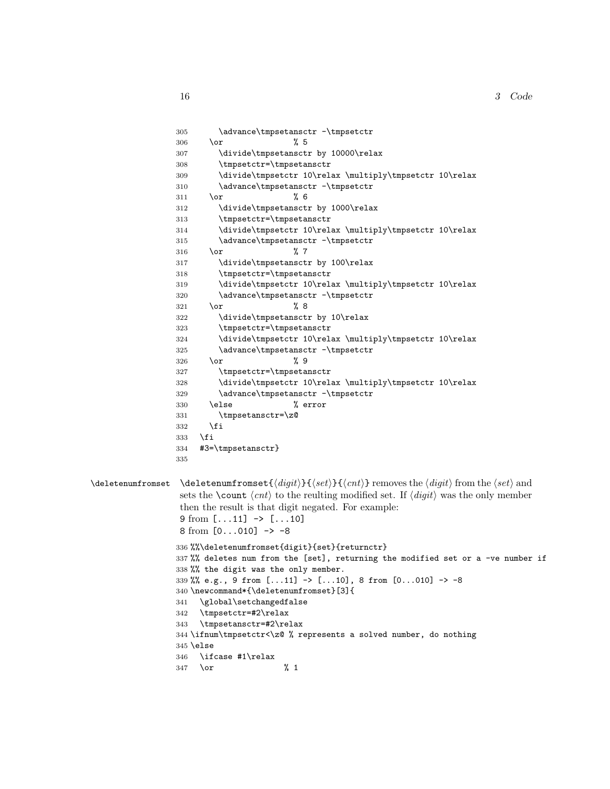```
305 \advance\tmpsetansctr -\tmpsetctr
                 306 \or \% 5307 \divide\tmpsetansctr by 10000\relax
                308 \tmpsetctr=\tmpsetansctr
                309 \divide\tmpsetctr 10\relax \multiply\tmpsetctr 10\relax
                310 \advance\tmpsetansctr -\tmpsetctr
                311 \or % 6
                312 \divide\tmpsetansctr by 1000\relax
                313 \tmpsetctr=\tmpsetansctr
                314 \divide\tmpsetctr 10\relax \multiply\tmpsetctr 10\relax
                315 \advance\tmpsetansctr -\tmpsetctr
                316 \or %7
                317 \divide\tmpsetansctr by 100\relax
                318 \tmpsetctr=\tmpsetansctr
                319 \divide\tmpsetctr 10\relax \multiply\tmpsetctr 10\relax
                320 \advance\tmpsetansctr -\tmpsetctr
                321 \text{ for } \% 8322 \divide\tmpsetansctr by 10\relax
                323 \tmpsetctr=\tmpsetansctr
                324 \divide\tmpsetctr 10\relax \multiply\tmpsetctr 10\relax
                325 \advance\tmpsetansctr -\tmpsetctr
                 326 \or \% 9
                327 \tmpsetctr=\tmpsetansctr
                328 \divide\tmpsetctr 10\relax \multiply\tmpsetctr 10\relax
                329 \advance\tmpsetansctr -\tmpsetctr
                330 \else % error
                331 \tmpsetansctr=\z@
                332 \fi
                333 \fi
                334 #3=\tmpsetansctr}
                335
\delta \deletenumfromset \delta_{\{right\}}{\digiti}}{\seti} removes the \delta from the \delta and
                 sets the \count \langle ent \rangle to the reulting modified set. If \langle digit \rangle was the only member
                 then the result is that digit negated. For example:
                 9 from [...11] \rightarrow [...10]8 from [0...010] \rightarrow -8336 %%\deletenumfromset{digit}{set}{returnctr}
                337 %% deletes num from the [set], returning the modified set or a -ve number if
                338 %% the digit was the only member.
                339 %% e.g., 9 from [...11] -> [...10], 8 from [0...010] -> -8
                340 \newcommand*{\deletenumfromset}[3]{
                341 \global\setchangedfalse
                342 \tmpsetctr=#2\relax
                343 \tmpsetansctr=#2\relax
                344 \ifnum\tmpsetctr<\z@ % represents a solved number, do nothing
                345 \else
                346 \ifcase #1\relax
                347 \or % 1
```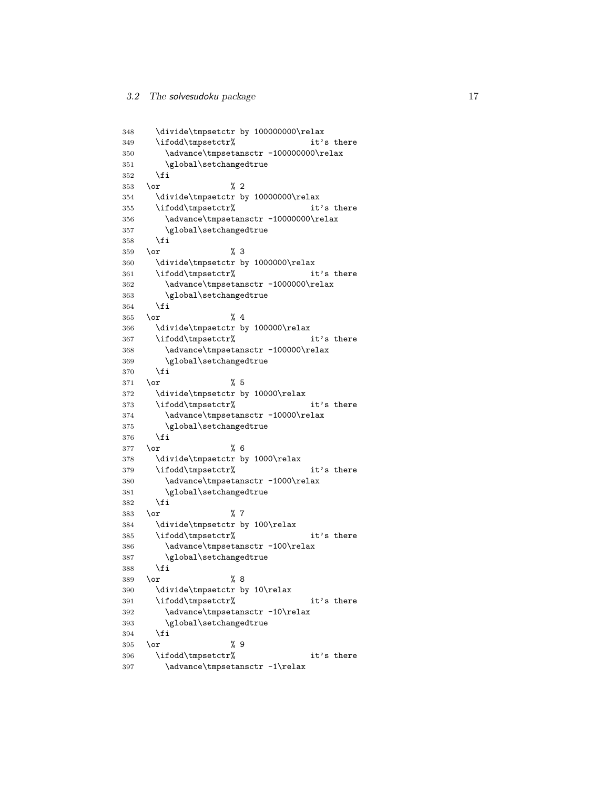```
348 \divide\tmpsetctr by 100000000\relax
349 \ifodd\tmpsetctr% it's there
350 \advance\tmpsetansctr -100000000\relax
351 \global\setchangedtrue
352 \overrightarrow{fi}353 \or % 2
354 \divide\tmpsetctr by 10000000\relax
355 \ifodd\tmpsetctr% it's there
356 \advance\tmpsetansctr -10000000\relax
357 \global\setchangedtrue
358 \fi
359 \or % 3
360 \divide\tmpsetctr by 1000000\relax
361 \ifodd\tmpsetctr% it's there
362 \advance\tmpsetansctr -1000000\relax
363 \global\setchangedtrue
364 \fi
365 \or % 4
366 \divide\tmpsetctr by 100000\relax
367 \ifodd\tmpsetctr% it's there
368 \advance\tmpsetansctr -100000\relax
369 \global\setchangedtrue
370 \fi
371 \or % 5
372 \divide\tmpsetctr by 10000\relax
373 \ifodd\tmpsetctr% it's there
374 \advance\tmpsetansctr -10000\relax
375 \global\setchangedtrue
376 \fi
377 \or % 6
378 \divide\tmpsetctr by 1000\relax
379 \ifodd\tmpsetctr% it's there
380 \advance\tmpsetansctr -1000\relax
381 \global\setchangedtrue
382 \fi
383 \or % 7
384 \divide\tmpsetctr by 100\relax
385 \ifodd\tmpsetctr% it's there
386 \advance\tmpsetansctr -100\relax
387 \global\setchangedtrue
388 \fi
389 \or % 8
390 \divide\tmpsetctr by 10\relax
391 \ifodd\tmpsetctr% it's there
392 \advance\tmpsetansctr -10\relax
393 \global\setchangedtrue
394 \fi
395 \or % 9
396 \ifodd\tmpsetctr% it's there
397 \advance\tmpsetansctr -1\relax
```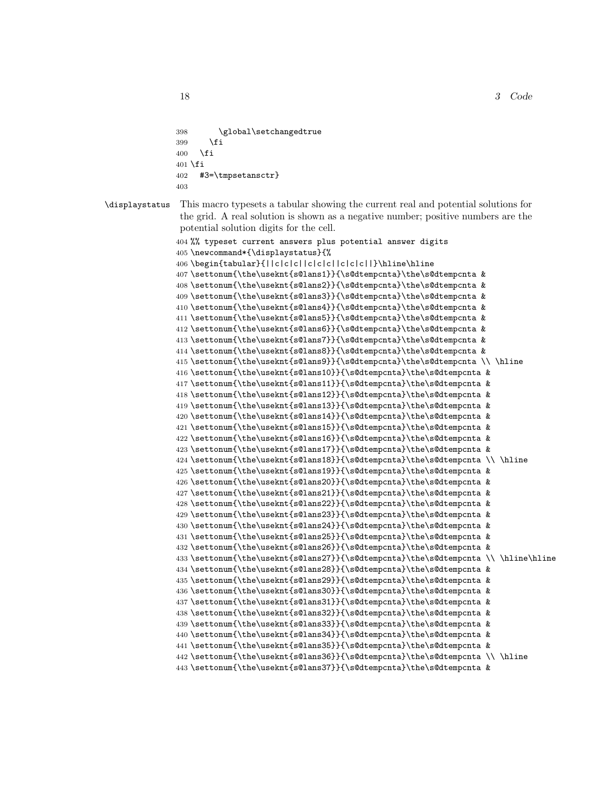```
398 \global\setchangedtrue
399 - \sqrt{f}i400 \quad \text{If}401 \fi
402 #3=\tmpsetansctr}
403
```
\displaystatus This macro typesets a tabular showing the current real and potential solutions for the grid. A real solution is shown as a negative number; positive numbers are the potential solution digits for the cell.

```
404 %% typeset current answers plus potential answer digits
405 \newcommand*{\displaystatus}{%
406 \begin{tabular}{||c|c|c||c|c|c||c|c|c||}\hline\hline
407 \settonum{\the\useknt{s@lans1}}{\s@dtempcnta}\the\s@dtempcnta &
408 \settonum{\the\useknt{s@lans2}}{\s@dtempcnta}\the\s@dtempcnta &
409 \settonum{\the\useknt{s@lans3}}{\s@dtempcnta}\the\s@dtempcnta &
410 \settonum{\the\useknt{s@lans4}}{\s@dtempcnta}\the\s@dtempcnta &
411 \settonum{\the\useknt{s@lans5}}{\s@dtempcnta}\the\s@dtempcnta &
412 \settonum{\the\useknt{s@lans6}}{\s@dtempcnta}\the\s@dtempcnta &
413 \settonum{\the\useknt{s@lans7}}{\s@dtempcnta}\the\s@dtempcnta &
414 \settonum{\the\useknt{s@lans8}}{\s@dtempcnta}\the\s@dtempcnta &
415 \settonum{\the\useknt{s@lans9}}{\s@dtempcnta}\the\s@dtempcnta \\ \hline
416 \settonum{\the\useknt{s@lans10}}{\s@dtempcnta}\the\s@dtempcnta &
417 \settonum{\the\useknt{s@lans11}}{\s@dtempcnta}\the\s@dtempcnta &
418 \settonum{\the\useknt{s@lans12}}{\s@dtempcnta}\the\s@dtempcnta &
419 \settonum{\the\useknt{s@lans13}}{\s@dtempcnta}\the\s@dtempcnta &
420 \setminus {\the\useknt{\s@lans14}}{\s@dtempcnta}\the\s@dtempcnta %421 \settonum{\the\useknt{s@lans15}}{\s@dtempcnta}\the\s@dtempcnta &
422 \settonum{\the\useknt{s@lans16}}{\s@dtempcnta}\the\s@dtempcnta &
423 \settonum{\the\useknt{s@lans17}}{\s@dtempcnta}\the\s@dtempcnta &
424 \settonum{\the\useknt{s@lans18}}{\s@dtempcnta}\the\s@dtempcnta \\ \hline
425 \settonum{\the\useknt{s@lans19}}{\s@dtempcnta}\the\s@dtempcnta &
426 \settonum{\the\useknt{s@lans20}}{\s@dtempcnta}\the\s@dtempcnta &
427 \settonum{\the\useknt{s@lans21}}{\s@dtempcnta}\the\s@dtempcnta &
428 \settonum{\the\useknt{s@lans22}}{\s@dtempcnta}\the\s@dtempcnta &
429 \settonum{\the\useknt{s@lans23}}{\s@dtempcnta}\the\s@dtempcnta &
430 \settonum{\the\useknt{s@lans24}}{\s@dtempcnta}\the\s@dtempcnta &
431 \settonum{\the\useknt{s@lans25}}{\s@dtempcnta}\the\s@dtempcnta &
432 \settonum{\the\useknt{s@lans26}}{\s@dtempcnta}\the\s@dtempcnta &
433 \settonum{\the\useknt{s@lans27}}{\s@dtempcnta}\the\s@dtempcnta \\ \hline\hline
434 \settonum{\the\useknt{s@lans28}}{\s@dtempcnta}\the\s@dtempcnta &
435 \settonum{\the\useknt{s@lans29}}{\s@dtempcnta}\the\s@dtempcnta &
436 \settonum{\the\useknt{s@lans30}}{\s@dtempcnta}\the\s@dtempcnta &
437 \settonum{\the\useknt{s@lans31}}{\s@dtempcnta}\the\s@dtempcnta &
438 \settonum{\the\useknt{s@lans32}}{\s@dtempcnta}\the\s@dtempcnta &
439 \settonum{\the\useknt{s@lans33}}{\s@dtempcnta}\the\s@dtempcnta &
440 \settonum{\the\useknt{s@lans34}}{\s@dtempcnta}\the\s@dtempcnta &
441 \settonum{\the\useknt{s@lans35}}{\s@dtempcnta}\the\s@dtempcnta &
442 \settonum{\the\useknt{s@lans36}}{\s@dtempcnta}\the\s@dtempcnta \\ \hline
443 \settonum{\the\useknt{s@lans37}}{\s@dtempcnta}\the\s@dtempcnta &
```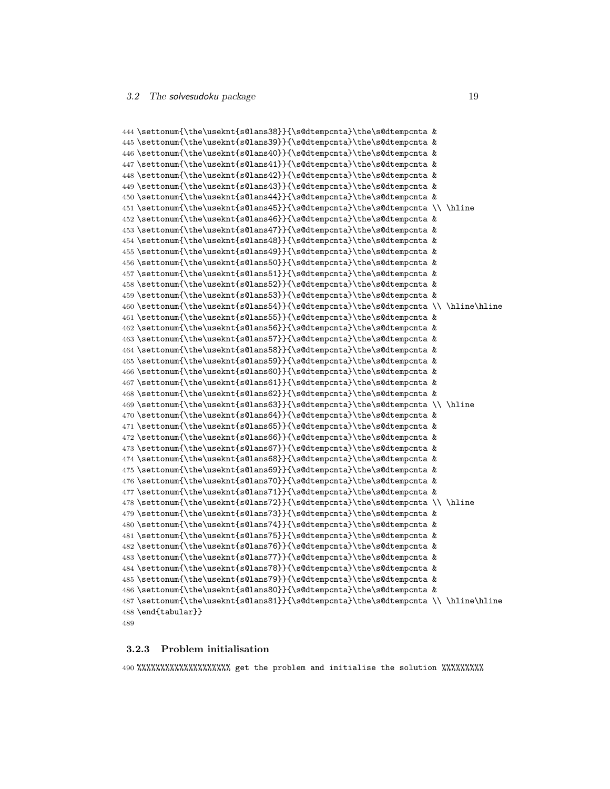```
444 \settonum{\the\useknt{s@lans38}}{\s@dtempcnta}\the\s@dtempcnta &
445 \settonum{\the\useknt{s@lans39}}{\s@dtempcnta}\the\s@dtempcnta &
446 \settonum{\the\useknt{s@lans40}}{\s@dtempcnta}\the\s@dtempcnta &
447 \settonum{\the\useknt{s@lans41}}{\s@dtempcnta}\the\s@dtempcnta &
448 \settonum{\the\useknt{s@lans42}}{\s@dtempcnta}\the\s@dtempcnta &
449 \settonum{\the\useknt{s@lans43}}{\s@dtempcnta}\the\s@dtempcnta &
450 \settonum{\the\useknt{s@lans44}}{\s@dtempcnta}\the\s@dtempcnta &
451 \settonum{\the\useknt{s@lans45}}{\s@dtempcnta}\the\s@dtempcnta \\ \hline
452\settonum{\the\useknt{s@lans46}}{\s@dtempcnta}\the\s@dtempcnta &
453 \settonum{\the\useknt{s@lans47}}{\s@dtempcnta}\the\s@dtempcnta &
454 \settonum{\the\useknt{s@lans48}}{\s@dtempcnta}\the\s@dtempcnta &
455 \settonum{\the\useknt{s@lans49}}{\s@dtempcnta}\the\s@dtempcnta &
456 \settonum{\the\useknt{s@lans50}}{\s@dtempcnta}\the\s@dtempcnta &
457 \settonum{\the\useknt{s@lans51}}{\s@dtempcnta}\the\s@dtempcnta &
458 \settonum{\the\useknt{s@lans52}}{\s@dtempcnta}\the\s@dtempcnta &
459 \settonum{\the\useknt{s@lans53}}{\s@dtempcnta}\the\s@dtempcnta &
460 \settonum{\the\useknt{s@lans54}}{\s@dtempcnta}\the\s@dtempcnta \\ \hline\hline
461 \settonum{\the\useknt{s@lans55}}{\s@dtempcnta}\the\s@dtempcnta &
462 \settonum{\the\useknt{s@lans56}}{\s@dtempcnta}\the\s@dtempcnta &
463 \settonum{\the\useknt{s@lans57}}{\s@dtempcnta}\the\s@dtempcnta &
464 \settonum{\the\useknt{s@lans58}}{\s@dtempcnta}\the\s@dtempcnta &
465 \settonum{\the\useknt{s@lans59}}{\s@dtempcnta}\the\s@dtempcnta &
466 \settonum{\the\useknt{s@lans60}}{\s@dtempcnta}\the\s@dtempcnta &
467 \settonum{\the\useknt{s@lans61}}{\s@dtempcnta}\the\s@dtempcnta &
468 \settonum{\the\useknt{s@lans62}}{\s@dtempcnta}\the\s@dtempcnta &
469 \settonum{\the\useknt{s@lans63}}{\s@dtempcnta}\the\s@dtempcnta \\ \hline
470 \settonum{\the\useknt{s@lans64}}{\s@dtempcnta}\the\s@dtempcnta &
471 \settonum{\the\useknt{s@lans65}}{\s@dtempcnta}\the\s@dtempcnta &
472 \settonum{\the\useknt{s@lans66}}{\s@dtempcnta}\the\s@dtempcnta &
473 \settonum{\the\useknt{s@lans67}}{\s@dtempcnta}\the\s@dtempcnta &
474 \settonum{\the\useknt{s@lans68}}{\s@dtempcnta}\the\s@dtempcnta &
475 \settonum{\the\useknt{s@lans69}}{\s@dtempcnta}\the\s@dtempcnta &
476 \settonum{\the\useknt{s@lans70}}{\s@dtempcnta}\the\s@dtempcnta &
477 \settonum{\the\useknt{s@lans71}}{\s@dtempcnta}\the\s@dtempcnta &
478 \settonum{\the\useknt{s@lans72}}{\s@dtempcnta}\the\s@dtempcnta \\ \hline
479 \settonum{\the\useknt{s@lans73}}{\s@dtempcnta}\the\s@dtempcnta &
480 \settonum{\the\useknt{s@lans74}}{\s@dtempcnta}\the\s@dtempcnta &
481 \settonum{\the\useknt{s@lans75}}{\s@dtempcnta}\the\s@dtempcnta &
482 \settonum{\the\useknt{s@lans76}}{\s@dtempcnta}\the\s@dtempcnta &
483 \settonum{\the\useknt{s@lans77}}{\s@dtempcnta}\the\s@dtempcnta &
484 \settonum{\the\useknt{s@lans78}}{\s@dtempcnta}\the\s@dtempcnta &
485 \settonum{\the\useknt{s@lans79}}{\s@dtempcnta}\the\s@dtempcnta &
486 \settonum{\the\useknt{s@lans80}}{\s@dtempcnta}\the\s@dtempcnta &
487 \settonum{\the\useknt{s@lans81}}{\s@dtempcnta}\the\s@dtempcnta \\ \hline\hline
488 \end{tabular}}
489
```
#### <span id="page-18-0"></span>3.2.3 Problem initialisation

%%%%%%%%%%%%%%%%%%%% get the problem and initialise the solution %%%%%%%%%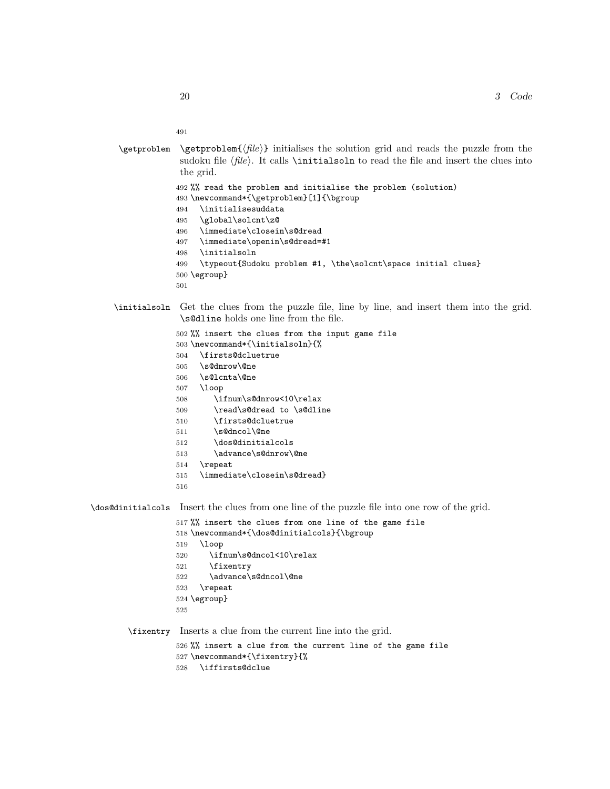```
491
```

```
\getproblem \{file\} initialises the solution grid and reads the puzzle from the
             sudoku file \langle file \rangle. It calls \initialsoln to read the file and insert the clues into
             the grid.
            492 %% read the problem and initialise the problem (solution)
            493 \newcommand*{\getproblem}[1]{\bgroup
            494 \initialisesuddata
            495 \global\solcnt\z@
            496 \immediate\closein\s@dread
            497 \immediate\openin\s@dread=#1
            498 \initialsoln
            499 \typeout{Sudoku problem #1, \the\solcnt\space initial clues}
            500 \egroup}
            501
```
#### \initialsoln Get the clues from the puzzle file, line by line, and insert them into the grid. \s@dline holds one line from the file.

```
502 %% insert the clues from the input game file
503 \newcommand*{\initialsoln}{%
504 \firsts@dcluetrue
505 \s@dnrow\@ne
506 \s@lcnta\@ne
507 \loop
508 \ifnum\s@dnrow<10\relax
509 \read\s@dread to \s@dline
510 \firsts@dcluetrue
511 \s@dncol\@ne
512 \dos@dinitialcols
513 \advance\s@dnrow\@ne
514 \repeat
515 \immediate\closein\s@dread}
516
```
\dos@dinitialcols Insert the clues from one line of the puzzle file into one row of the grid.

```
517 %% insert the clues from one line of the game file
518 \newcommand*{\dos@dinitialcols}{\bgroup
519 \loop
520 \ifnum\s@dncol<10\relax
521 \fixentry
522 \advance\s@dncol\@ne
523 \repeat
524 \egroup}
525
```
\fixentry Inserts a clue from the current line into the grid.

 %% insert a clue from the current line of the game file \newcommand\*{\fixentry}{% \iffirsts@dclue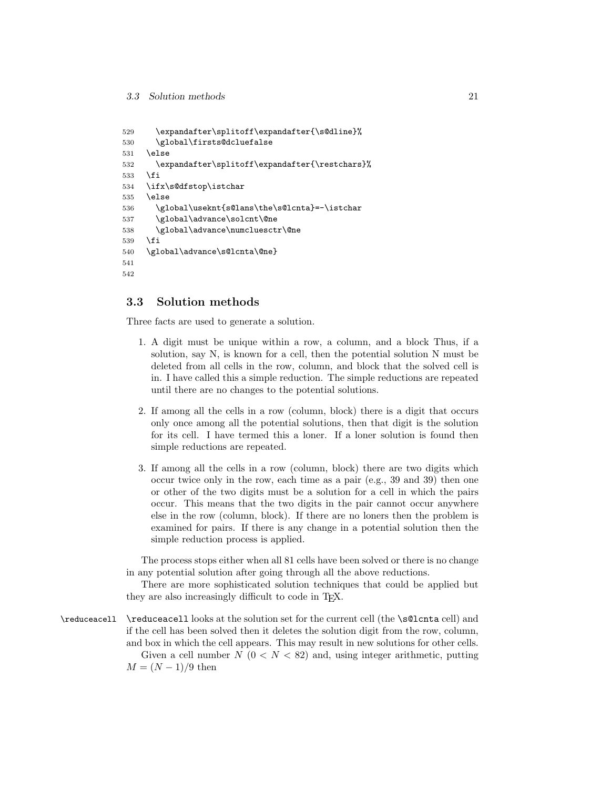```
529 \expandafter\splitoff\expandafter{\s@dline}%
530 \global\firsts@dcluefalse
531 \else
532 \expandafter\splitoff\expandafter{\restchars}%
533 \fi
534 \ifx\s@dfstop\istchar
535 \else
536 \global\useknt{s@lans\the\s@lcnta}=-\istchar
537 \global\advance\solcnt\@ne
538 \global\advance\numcluesctr\@ne
539 \fi
540 \global\advance\s@lcnta\@ne}
541
542
```
#### <span id="page-20-0"></span>3.3 Solution methods

Three facts are used to generate a solution.

- 1. A digit must be unique within a row, a column, and a block Thus, if a solution, say N, is known for a cell, then the potential solution N must be deleted from all cells in the row, column, and block that the solved cell is in. I have called this a simple reduction. The simple reductions are repeated until there are no changes to the potential solutions.
- 2. If among all the cells in a row (column, block) there is a digit that occurs only once among all the potential solutions, then that digit is the solution for its cell. I have termed this a loner. If a loner solution is found then simple reductions are repeated.
- 3. If among all the cells in a row (column, block) there are two digits which occur twice only in the row, each time as a pair (e.g., 39 and 39) then one or other of the two digits must be a solution for a cell in which the pairs occur. This means that the two digits in the pair cannot occur anywhere else in the row (column, block). If there are no loners then the problem is examined for pairs. If there is any change in a potential solution then the simple reduction process is applied.

The process stops either when all 81 cells have been solved or there is no change in any potential solution after going through all the above reductions.

There are more sophisticated solution techniques that could be applied but they are also increasingly difficult to code in T<sub>E</sub>X.

\reduceacell \reduceacell looks at the solution set for the current cell (the \s@lcnta cell) and if the cell has been solved then it deletes the solution digit from the row, column, and box in which the cell appears. This may result in new solutions for other cells. Given a cell number  $N$  ( $0 < N < 82$ ) and, using integer arithmetic, putting  $M = (N-1)/9$  then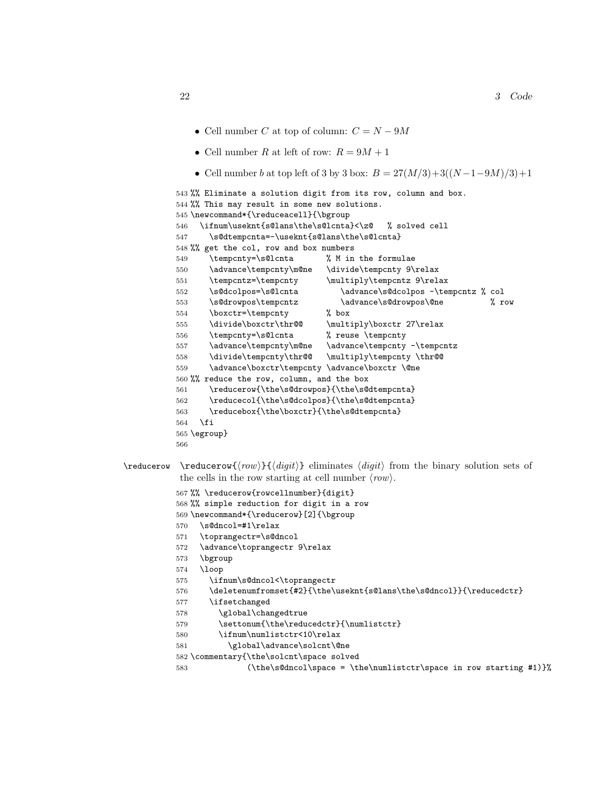- Cell number C at top of column:  $C = N 9M$
- Cell number R at left of row:  $R = 9M + 1$
- Cell number b at top left of 3 by 3 box:  $B = 27(M/3) + 3((N-1-9M)/3)+1$

```
543 %% Eliminate a solution digit from its row, column and box.
          544 %% This may result in some new solutions.
          545 \newcommand*{\reduceacell}{\bgroup
          546 \ifnum\useknt{s@lans\the\s@lcnta}<\z@ % solved cell
          547 \s@dtempcnta=-\useknt{s@lans\the\s@lcnta}
          548 %% get the col, row and box numbers
          549 \tempcnty=\s@lcnta % M in the formulae
          550 \advance\tempcnty\m@ne \divide\tempcnty 9\relax
          551 \tempcntz=\tempcnty \multiply\tempcntz 9\relax
          552 \s@dcolpos=\s@lcnta \advance\s@dcolpos -\tempcntz % col
          553 \s@drowpos\tempcntz \advance\s@drowpos\@ne % row
          554 \boxctr=\tempcnty % box
          555 \divide\boxctr\thr@@ \multiply\boxctr 27\relax
          556 \tempcnty=\s@lcnta % reuse \tempcnty
          557 \advance\tempcnty\m@ne \advance\tempcnty -\tempcntz
          558 \divide\tempcnty\thr@@ \multiply\tempcnty \thr@@
          559 \advance\boxctr\tempcnty \advance\boxctr \@ne
          560 %% reduce the row, column, and the box
          561 \reducerow{\the\s@drowpos}{\the\s@dtempcnta}
          562 \reducecol{\the\s@dcolpos}{\the\s@dtempcnta}
          563 \reducebox{\the\boxctr}{\the\s@dtempcnta}
          564 \fi
          565 \egroup}
          566
\red{row} \reducerow \{row\}{\ndigit\} eliminates \ndigit from the binary solution sets of
           the cells in the row starting at cell number \langle row \rangle.
```

```
567 %% \reducerow{rowcellnumber}{digit}
```

```
568 %% simple reduction for digit in a row
```

```
569 \newcommand*{\reducerow}[2]{\bgroup
```
- \s@dncol=#1\relax
- \toprangectr=\s@dncol
- \advance\toprangectr 9\relax
- \bgroup
- \loop
- \ifnum\s@dncol<\toprangectr
- 576 \deletenumfromset{#2}{\the\useknt{s@lans\the\s@dncol}}{\reducedctr}
- \ifsetchanged
- 578 \global\changedtrue
- 579 \settonum{\the\reducedctr}{\numlistctr}
- \ifnum\numlistctr<10\relax
- 581 \global\advance\solcnt\@ne
- \commentary{\the\solcnt\space solved
- 583 (\the\s@dncol\space = \the\numlistctr\space in row starting #1)}%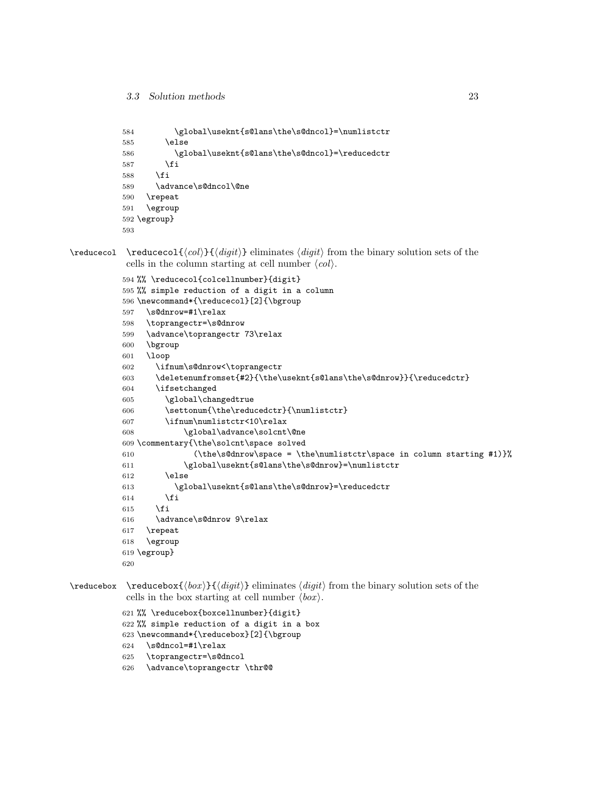```
584 \global\useknt{s@lans\the\s@dncol}=\numlistctr
585 \else
586 \global\useknt{s@lans\the\s@dncol}=\reducedctr
587 \overline{1}588 \fi
589 \advance\s@dncol\@ne
590 \repeat
591 \egroup
592 \egroup}
593
```
 $\red{\cdot}$  \reducecol  $\{\langle col \rangle\} {\langle digit \rangle}$  eliminates  $\langle digit \rangle$  from the binary solution sets of the cells in the column starting at cell number  $\langle col \rangle$ .

```
594 %% \reducecol{colcellnumber}{digit}
595 %% simple reduction of a digit in a column
596 \newcommand*{\reducecol}[2]{\bgroup
597 \s@dnrow=#1\relax
598 \toprangectr=\s@dnrow
599 \advance\toprangectr 73\relax
600 \bgroup
601 \loop
602 \ifnum\s@dnrow<\toprangectr
603 \deletenumfromset{#2}{\the\useknt{s@lans\the\s@dnrow}}{\reducedctr}
604 \ifsetchanged
605 \global\changedtrue
606 \settonum{\the\reducedctr}{\numlistctr}
607 \ifnum\numlistctr<10\relax
608 \global\advance\solcnt\@ne
609 \commentary{\the\solcnt\space solved
610 (\the\s@dnrow\space = \the\numlistctr\space in column starting #1)}%
611 \global\useknt{s@lans\the\s@dnrow}=\numlistctr
612 \else
613 \global\useknt{s@lans\the\s@dnrow}=\reducedctr
614 \fi
615 \fi
616 \advance\s@dnrow 9\relax
617 \repeat
618 \egroup
619 \egroup}
620
```
 $\red{\text{block}} {\{dyit}\}$  eliminates  $\{digit\}$  from the binary solution sets of the cells in the box starting at cell number  $\langle box \rangle$ .

```
621 %% \reducebox{boxcellnumber}{digit}
```

```
622 %% simple reduction of a digit in a box
```

```
623 \newcommand*{\reducebox}[2]{\bgroup
```

```
624 \s@dncol=#1\relax
```

```
625 \toprangectr=\s@dncol
```

```
626 \advance\toprangectr \thr@@
```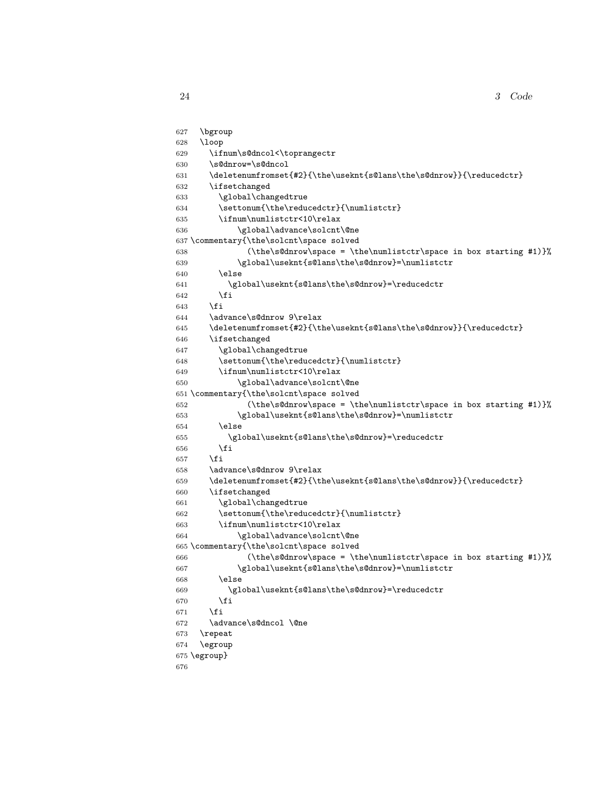3 Code

```
627 \bgroup
628 \loop
629 \ifnum\s@dncol<\toprangectr
630 \s@dnrow=\s@dncol
631 \deletenumfromset{#2}{\the\useknt{s@lans\the\s@dnrow}}{\reducedctr}
632 \ifsetchanged
633 \global\changedtrue
634 \settonum{\the\reducedctr}{\numlistctr}
635 \ifnum\numlistctr<10\relax
636 \global\advance\solcnt\@ne
637 \commentary{\the\solcnt\space solved
638 (\the\s@dnrow\space = \the\numlistctr\space in box starting #1)}%
639 \global\useknt{s@lans\the\s@dnrow}=\numlistctr
640 \else
641 \global\useknt{s@lans\the\s@dnrow}=\reducedctr
642 \fi
643 \fi
644 \advance\s@dnrow 9\relax
645 \deletenumfromset{#2}{\the\useknt{s@lans\the\s@dnrow}}{\reducedctr}
646 \ifsetchanged
647 \global\changedtrue
648 \settonum{\the\reducedctr}{\numlistctr}
649 \ifnum\numlistctr<10\relax
650 \global\advance\solcnt\@ne
651 \commentary{\the\solcnt\space solved
652 (\the\s@dnrow\space = \the\numlistctr\space in box starting #1)}%
653 \global\useknt{s@lans\the\s@dnrow}=\numlistctr
654 \else
655 \global\useknt{s@lans\the\s@dnrow}=\reducedctr
656 \fi
657 \fi
658 \advance\s@dnrow 9\relax
659 \deletenumfromset{#2}{\the\useknt{s@lans\the\s@dnrow}}{\reducedctr}
660 \ifsetchanged
661 \global\changedtrue
662 \settonum{\the\reducedctr}{\numlistctr}
663 \ifnum\numlistctr<10\relax
664 \global\advance\solcnt\@ne
665 \commentary{\the\solcnt\space solved
666 (\the\s@dnrow\space = \the\numlistctr\space in box starting #1)}%
667 \global\useknt{s@lans\the\s@dnrow}=\numlistctr
668 \text{delse}669 \global\useknt{s@lans\the\s@dnrow}=\reducedctr
670 \fi
671 \fi
672 \advance\s@dncol \@ne
673 \repeat
674 \egroup
675 \egroup}
676
```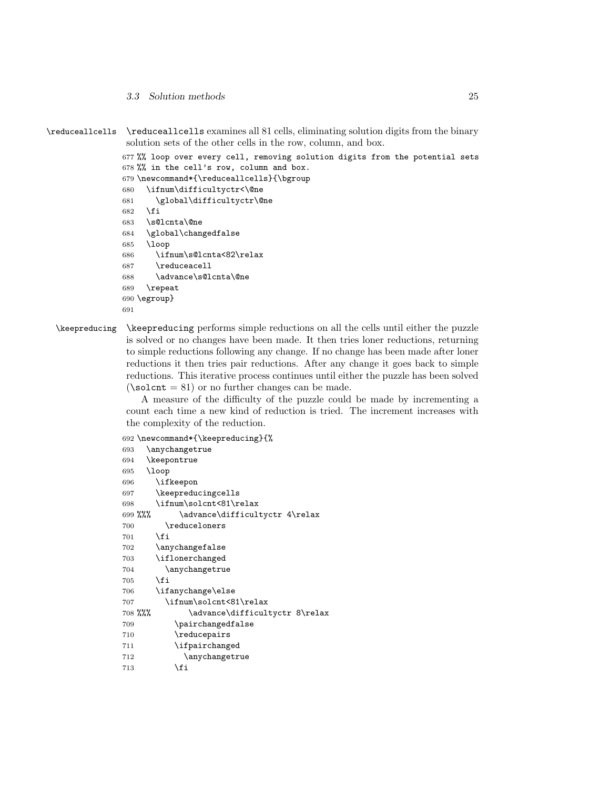3.3 Solution methods 25

```
\reduceallcells \reduceallcells examines all 81 cells, eliminating solution digits from the binary
                  solution sets of the other cells in the row, column, and box.
```

```
677 %% loop over every cell, removing solution digits from the potential sets
678 %% in the cell's row, column and box.
679 \newcommand*{\reduceallcells}{\bgroup
680 \ifnum\difficultyctr<\@ne
681 \global\difficultyctr\@ne
682 \fi
683 \s@lcnta\@ne
684 \global\changedfalse
685 \loop
686 \ifnum\s@lcnta<82\relax
687 \reduceacell
688 \advance\s@lcnta\@ne
689 \repeat
690 \egroup}
```

```
691
```
\keepreducing \keepreducing performs simple reductions on all the cells until either the puzzle is solved or no changes have been made. It then tries loner reductions, returning to simple reductions following any change. If no change has been made after loner reductions it then tries pair reductions. After any change it goes back to simple reductions. This iterative process continues until either the puzzle has been solved  $(\simeq 81)$  or no further changes can be made.

> A measure of the difficulty of the puzzle could be made by incrementing a count each time a new kind of reduction is tried. The increment increases with the complexity of the reduction.

\newcommand\*{\keepreducing}{%

```
693 \anychangetrue
694 \keepontrue
695 \loop
696 \ifkeepon
697 \keepreducingcells
698 \ifnum\solcnt<81\relax
699 %%% \advance\difficultyctr 4\relax
700 \reduceloners
701 \fi
702 \anychangefalse
703 \iflonerchanged
704 \anychangetrue
705 \fi
706 \ifanychange\else
707 \ifnum\solcnt<81\relax
708 %%% \advance\difficultyctr 8\relax
709 \pairchangedfalse
710 \reducepairs
711 \ifpairchanged
712 \anychangetrue
713 \fi
```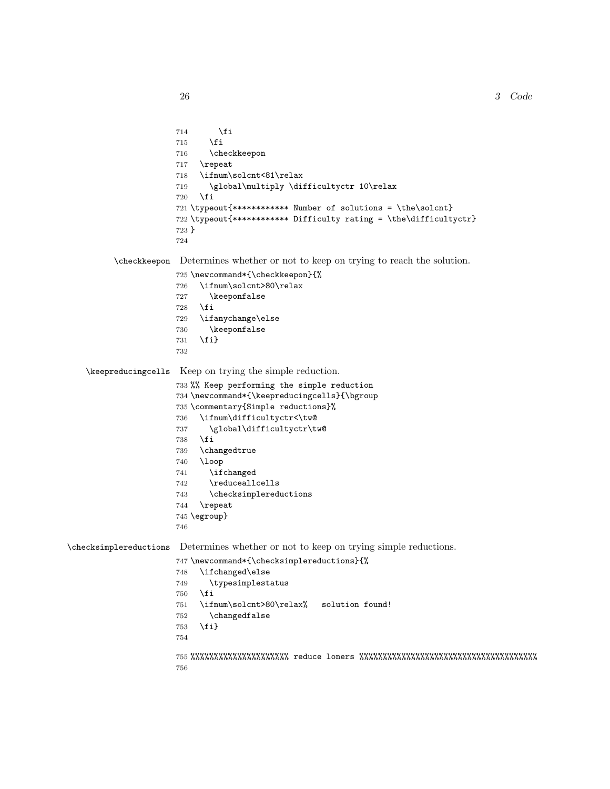$3$   $Code$ 

714  $\overrightarrow{f}$  \fi \checkkeepon \repeat \ifnum\solcnt<81\relax \global\multiply \difficultyctr 10\relax \fi \typeout{\*\*\*\*\*\*\*\*\*\*\*\* Number of solutions = \the\solcnt} \typeout{\*\*\*\*\*\*\*\*\*\*\*\* Difficulty rating = \the\difficultyctr} } \checkkeepon Determines whether or not to keep on trying to reach the solution. \newcommand\*{\checkkeepon}{% \ifnum\solcnt>80\relax \keeponfalse \fi \ifanychange\else \keeponfalse \fi} \keepreducingcells Keep on trying the simple reduction. %% Keep performing the simple reduction \newcommand\*{\keepreducingcells}{\bgroup \commentary{Simple reductions}% \ifnum\difficultyctr<\tw@ \global\difficultyctr\tw@ \fi \changedtrue \loop \ifchanged \reduceallcells \checksimplereductions \repeat \egroup} \checksimplereductions Determines whether or not to keep on trying simple reductions. \newcommand\*{\checksimplereductions}{% \ifchanged\else \typesimplestatus 750  $\setminus$ fi \ifnum\solcnt>80\relax% solution found! \changedfalse \fi} %%%%%%%%%%%%%%%%%%%%% reduce loners %%%%%%%%%%%%%%%%%%%%%%%%%%%%%%%%%%%%%%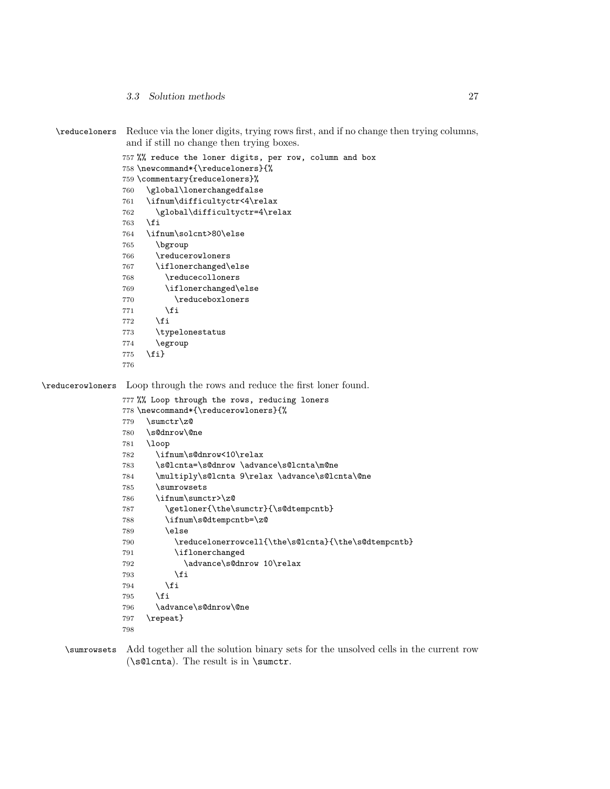3.3 Solution methods 27

```
\reduceloners Reduce via the loner digits, trying rows first, and if no change then trying columns,
                 and if still no change then trying boxes.
                757 %% reduce the loner digits, per row, column and box
                758 \newcommand*{\reduceloners}{%
                759 \commentary{reduceloners}%
                760 \global\lonerchangedfalse
                761 \ifnum\difficultyctr<4\relax
                762 \global\difficultyctr=4\relax
                763 \fi
                764 \ifnum\solcnt>80\else
                765 \bgroup
                766 \reducerowloners
                767 \iflonerchanged\else
                768 \reducecolloners
                769 \iflonerchanged\else
                770 \reduceboxloners
                771 \fi
                772 \fi
                773 \typelonestatus
                774 \egroup
                775 \fi}
                776
\reducerowloners Loop through the rows and reduce the first loner found.
                777 %% Loop through the rows, reducing loners
                778 \newcommand*{\reducerowloners}{%
                779 \sumctr\z@
                780 \s@dnrow\@ne
                781 \loop
                782 \ifnum\s@dnrow<10\relax
                783 \s@lcnta=\s@dnrow \advance\s@lcnta\m@ne
                784 \multiply\s@lcnta 9\relax \advance\s@lcnta\@ne
                785 \sumrowsets
                786 \ifnum\sumctr>\z@
                787 \getloner{\the\sumctr}{\s@dtempcntb}
                788 \ifnum\s@dtempcntb=\z@
                789 \else
                790 \reducelonerrowcell{\the\s@lcnta}{\the\s@dtempcntb}
                791 \iflonerchanged
                792 \advance\s@dnrow 10\relax
                793 \setminusfi
                794 \overline{f}795 \fi
                796 \advance\s@dnrow\@ne
                797 \repeat}
                798
```
\sumrowsets Add together all the solution binary sets for the unsolved cells in the current row (\s@lcnta). The result is in \sumctr.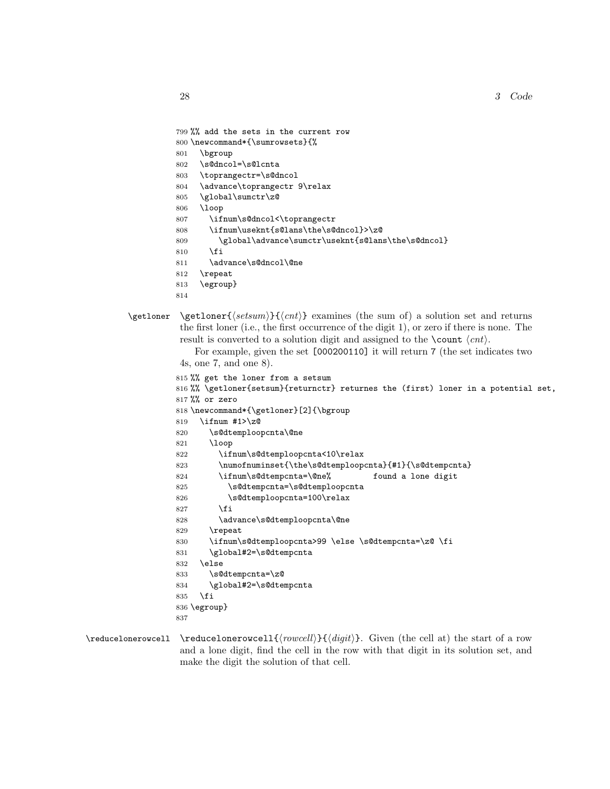```
799 %% add the sets in the current row
         800 \newcommand*{\sumrowsets}{%
         801 \bgroup
         802 \s@dncol=\s@lcnta
         803 \toprangectr=\s@dncol
         804 \advance\toprangectr 9\relax
         805 \global\sumctr\z@
         806 \loop
         807 \ifnum\s@dncol<\toprangectr
         808 \ifnum\useknt{s@lans\the\s@dncol}>\z@
         809 \global\advance\sumctr\useknt{s@lans\the\s@dncol}
         810 \fi
         811 \advance\s@dncol\@ne
         812 \repeat
         813 \egroup}
         814
\getloner \getloner{\{set; return\}} examines (the sum of) a solution set and returns
          the first loner (i.e., the first occurrence of the digit 1), or zero if there is none. The
          result is converted to a solution digit and assigned to the \count \langle ent \rangle.
             For example, given the set [000200110] it will return 7 (the set indicates two
          4s, one 7, and one 8).
         815 %% get the loner from a setsum
         816 %% \getloner{setsum}{returnctr} returnes the (first) loner in a potential set,
         817 %% or zero
         818 \newcommand*{\getloner}[2]{\bgroup
         819 \ifnum #1>\z@
         820 \s@dtemploopcnta\@ne
         821 \loop
         822 \ifnum\s@dtemploopcnta<10\relax
         823 \numofnuminset{\the\s@dtemploopcnta}{#1}{\s@dtempcnta}
         824 \ifnum\s@dtempcnta=\@ne% found a lone digit
         825 \s@dtempcnta=\s@dtemploopcnta
         826 \s@dtemploopcnta=100\relax
         827 \fi
         828 \advance\s@dtemploopcnta\@ne
         829 \repeat
         830 \ifnum\s@dtemploopcnta>99 \else \s@dtempcnta=\z@ \fi
         831 \global#2=\s@dtempcnta
         832 \else
         833 \s@dtempcnta=\z@
         834 \global#2=\s@dtempcnta
         835 \fi
         836 \egroup}
```

```
837
```
 $\red{\red{1}}{\row{cell}}{\ndigit}$ . Given (the cell at) the start of a row and a lone digit, find the cell in the row with that digit in its solution set, and make the digit the solution of that cell.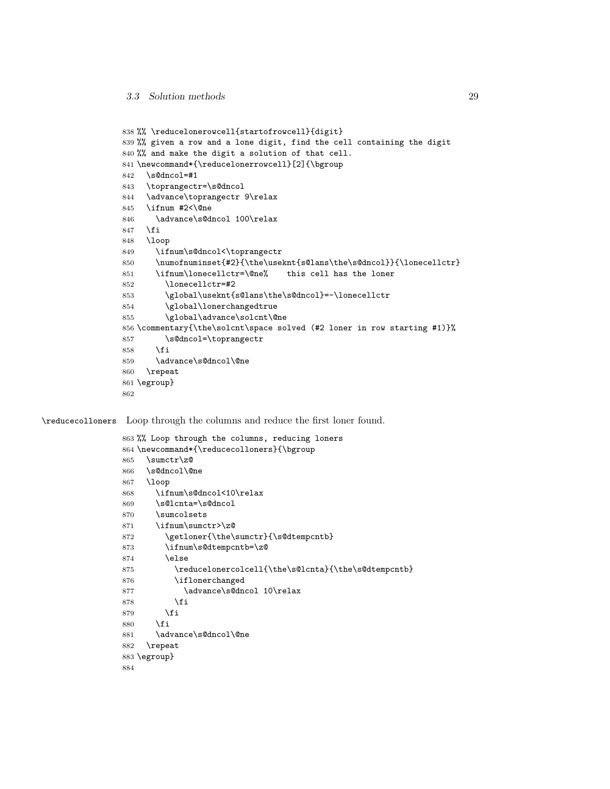```
838 %% \reducelonerowcell{startofrowcell}{digit}
839 %% given a row and a lone digit, find the cell containing the digit
840 %% and make the digit a solution of that cell.
841 \newcommand*{\reducelonerrowcell}[2]{\bgroup
842 \s@dncol=#1
843 \toprangectr=\s@dncol
844 \advance\toprangectr 9\relax
845 \ifnum #2<\@ne
846 \advance\s@dncol 100\relax
847 \fi
848 \loop
849 \ifnum\s@dncol<\toprangectr
850 \numofnuminset{#2}{\the\useknt{s@lans\the\s@dncol}}{\lonecellctr}
851 \ifnum\lonecellctr=\@ne% this cell has the loner
852 \lonecellctr=#2
853 \global\useknt{s@lans\the\s@dncol}=-\lonecellctr
854 \global\lonerchangedtrue
855 \global\advance\solcnt\@ne
856 \commentary{\the\solcnt\space solved (#2 loner in row starting #1)}%
857 \s@dncol=\toprangectr
858 \fi
859 \advance\s@dncol\@ne
860 \repeat
861 \egroup}
862
```
\reducecolloners Loop through the columns and reduce the first loner found.

```
863 %% Loop through the columns, reducing loners
864 \newcommand*{\reducecolloners}{\bgroup
865 \sumctr\z@
866 \s@dncol\@ne
867 \loop
868 \ifnum\s@dncol<10\relax
869 \s@lcnta=\s@dncol
870 \sumcolsets
871 \ifnum\sumctr>\z@
872 \getloner{\the\sumctr}{\s@dtempcntb}
873 \ifnum\s@dtempcntb=\z@
874 \else
875 \reducelonercolcell{\the\s@lcnta}{\the\s@dtempcntb}
876 \iflonerchanged
877 \advance\s@dncol 10\relax
878 \fi
879 \fi
880 \fi
881 \advance\s@dncol\@ne
882 \repeat
883 \egroup}
884
```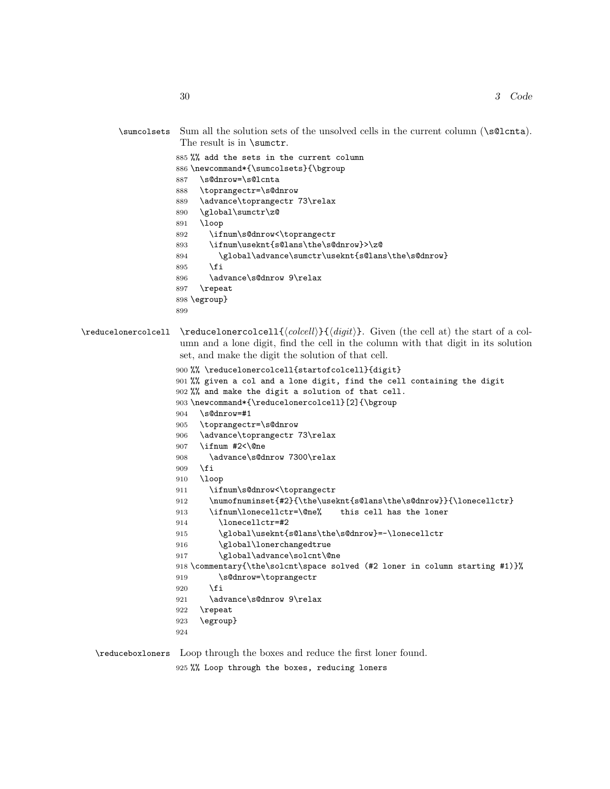```
\sumcolsets Sum all the solution sets of the unsolved cells in the current column (\s@lcnta).
                         The result is in \sumctr.
                        885 %% add the sets in the current column
                        886 \newcommand*{\sumcolsets}{\bgroup
                        887 \s@dnrow=\s@lcnta
                        888 \toprangectr=\s@dnrow
                        889 \advance\toprangectr 73\relax
                        890 \global\sumctr\z@
                        891 \loop
                        892 \ifnum\s@dnrow<\toprangectr
                        893 \ifnum\useknt{s@lans\the\s@dnrow}>\z@
                        894 \global\advance\sumctr\useknt{s@lans\the\s@dnrow}
                        895 \fi
                        896 \advance\s@dnrow 9\relax
                        897 \repeat
                        898 \egroup}
                        899
\red{\text{vred} \cdot \text{red} \cdot \text{red} \cdot \text{red} \cdot \text{red} \cdot \text{red} \cdot \text{red} \cdot \text{red} \cdot \text{red} \cdot \text{red} \cdot \text{red} \cdot \text{red} \cdot \text{red} \cdot \text{red} \cdot \text{red} \cdot \text{red} \cdot \text{red} \cdot \text{red} \cdot \text{red} \cdot \text{red} \cdot \text{red} \cdot \text{red} \cdot \text{red} \cdot \text{red} \cdot \text{red} \cdot \text{red} \cdot \text{red} \cdot \text{red} \cdot \text{red} \cdot \text{red} \cdot \text{red} \cdotumn and a lone digit, find the cell in the column with that digit in its solution
                         set, and make the digit the solution of that cell.
                        900 %% \reducelonercolcell{startofcolcell}{digit}
                        901 %% given a col and a lone digit, find the cell containing the digit
                        902 %% and make the digit a solution of that cell.
                        903 \newcommand*{\reducelonercolcell}[2]{\bgroup
                        904 \s@dnrow=#1
                        905 \toprangectr=\s@dnrow
                        906 \advance\toprangectr 73\relax
                        907 \ifnum #2<\@ne
                        908 \advance\s@dnrow 7300\relax
                        909 \fi
                        910 \loop
                        911 \ifnum\s@dnrow<\toprangectr
                        912 \numofnuminset{#2}{\the\useknt{s@lans\the\s@dnrow}}{\lonecellctr}
                        913 \ifnum\lonecellctr=\@ne% this cell has the loner
                        914 \lonecellctr=#2
                        915 \global\useknt{s@lans\the\s@dnrow}=-\lonecellctr
                        916 \global\lonerchangedtrue
                        917 \global\advance\solcnt\@ne
                        918 \commentary{\the\solcnt\space solved (#2 loner in column starting #1)}%
                        919 \s@dnrow=\toprangectr
                        920 \fi
                        921 \advance\s@dnrow 9\relax
                        922 \repeat
                        923 \egroup}
                        924
   \reduceboxloners Loop through the boxes and reduce the first loner found.
```
925 %% Loop through the boxes, reducing loners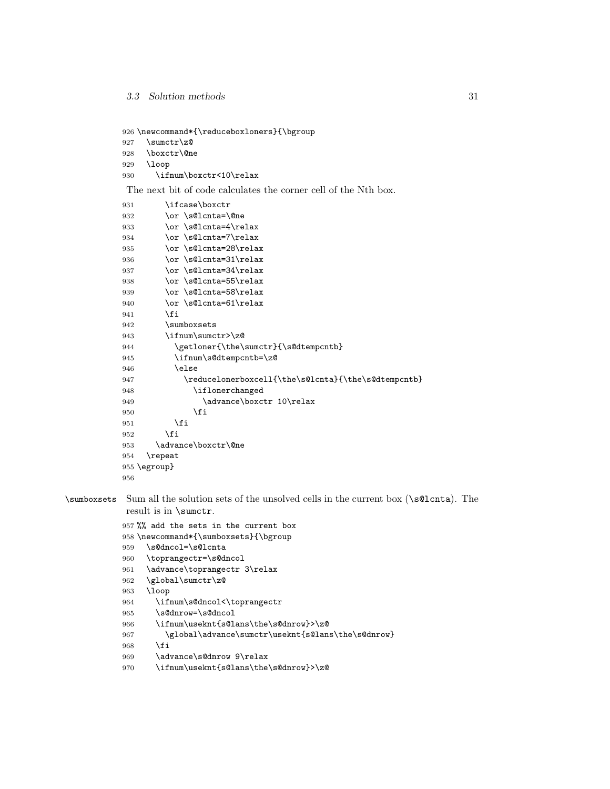```
926 \newcommand*{\reduceboxloners}{\bgroup
927 \sumctr\z@
928 \boxctr\@ne
929 \loop
930 \ifnum\boxctr<10\relax
```
The next bit of code calculates the corner cell of the Nth box.

| 931 | \ifcase\boxctr                                      |
|-----|-----------------------------------------------------|
| 932 | \or \s@lcnta=\@ne                                   |
| 933 | \or \s@lcnta=4\relax                                |
| 934 | \or \s@lcnta=7\relax                                |
| 935 | \or \s@lcnta=28\relax                               |
| 936 | \or \s@lcnta=31\relax                               |
| 937 | \or \s@lcnta=34\relax                               |
| 938 | \or \s@lcnta=55\relax                               |
| 939 | \or \s@lcnta=58\relax                               |
| 940 | \or \s@lcnta=61\relax                               |
| 941 | \fi                                                 |
| 942 | \sumboxsets                                         |
| 943 | \ifnum\sumctr>\z@                                   |
| 944 | \getloner{\the\sumctr}{\s@dtempcntb}                |
| 945 | \ifnum\s@dtempcntb=\z@                              |
| 946 | \else                                               |
| 947 | \reducelonerboxcell{\the\s@lcnta}{\the\s@dtempcntb} |
| 948 | \iflonerchanged                                     |
| 949 | \advance\boxctr 10\relax                            |
| 950 | \fi                                                 |
| 951 | \fi                                                 |
| 952 | <b>\fi</b>                                          |
| 953 | \advance\boxctr\@ne                                 |
| 954 | \repeat                                             |
|     | $955 \text{ (egroup)}$                              |
| 956 |                                                     |

\sumboxsets Sum all the solution sets of the unsolved cells in the current box (\s@lcnta). The result is in \sumctr.

> %% add the sets in the current box \newcommand\*{\sumboxsets}{\bgroup

```
959 \s@dncol=\s@lcnta
```

```
960 \toprangectr=\s@dncol
```

```
961 \advance\toprangectr 3\relax
```

```
962 \global\sumctr\z@
```

```
963 \loop
```

```
964 \ifnum\s@dncol<\toprangectr
```

```
965 \s@dnrow=\s@dncol
```

```
966 \ifnum\useknt{s@lans\the\s@dnrow}>\z@
```

```
967 \global\advance\sumctr\useknt{s@lans\the\s@dnrow}
```

```
968 \fi
```

```
969 \advance\s@dnrow 9\relax
```

```
970 \ifnum\useknt{s@lans\the\s@dnrow}>\z@
```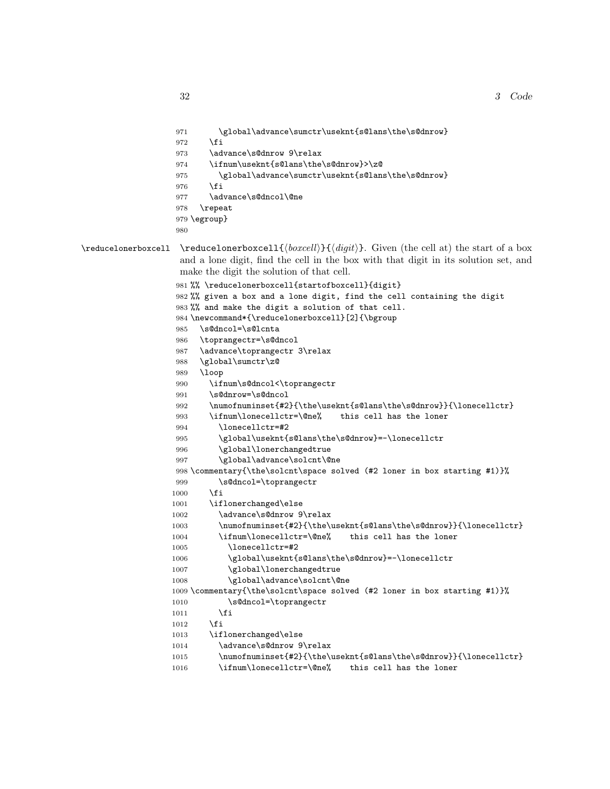```
971 \global\advance\sumctr\useknt{s@lans\the\s@dnrow}
                  972 \fi
                  973 \advance\s@dnrow 9\relax
                  974 \ifnum\useknt{s@lans\the\s@dnrow}>\z@
                  975 \global\advance\sumctr\useknt{s@lans\the\s@dnrow}
                  976 \fi
                  977 \advance\s@dncol\@ne
                  978 \repeat
                  979 \egroup}
                  980
\red{\varepsilon} \reducelonerboxcell {\boxcell{\boxcell}{\digit}. Given (the cell at) the start of a box
                   and a lone digit, find the cell in the box with that digit in its solution set, and
                   make the digit the solution of that cell.
                  981 %% \reducelonerboxcell{startofboxcell}{digit}
                  982 %% given a box and a lone digit, find the cell containing the digit
                  983 %% and make the digit a solution of that cell.
                  984 \newcommand*{\reducelonerboxcell}[2]{\bgroup
                  985 \s@dncol=\s@lcnta
                  986 \toprangectr=\s@dncol
                  987 \advance\toprangectr 3\relax
                  988 \global\sumctr\z@
                  989 \loop
                  990 \ifnum\s@dncol<\toprangectr
                  991 \s@dnrow=\s@dncol
                  992 \numofnuminset{#2}{\the\useknt{s@lans\the\s@dnrow}}{\lonecellctr}
                  993 \ifnum\lonecellctr=\@ne% this cell has the loner
                  994 \lonecellctr=#2
                  995 \global\useknt{s@lans\the\s@dnrow}=-\lonecellctr
                  996 \global\lonerchangedtrue
                  997 \global\advance\solcnt\@ne
                  998 \commentary{\the\solcnt\space solved (#2 loner in box starting #1)}%
                  999 \s@dncol=\toprangectr
                  1000 \fi
                  1001 \iflonerchanged\else
                  1002 \advance\s@dnrow 9\relax
                  1003 \numofnuminset{#2}{\the\useknt{s@lans\the\s@dnrow}}{\lonecellctr}
                  1004 \ifnum\lonecellctr=\@ne% this cell has the loner
                  1005 \lonecellctr=#2
                  1006 \global\useknt{s@lans\the\s@dnrow}=-\lonecellctr
                  1007 \global\lonerchangedtrue
                  1008 \global\advance\solcnt\@ne
                  1009 \commentary{\the\solcnt\space solved (#2 loner in box starting #1)}%
                  1010 \s@dncol=\toprangectr
                  1011 \fi
                  1012 \fi
                  1013 \iflonerchanged\else
                  1014 \advance\s@dnrow 9\relax
                  1015 \numofnuminset{#2}{\the\useknt{s@lans\the\s@dnrow}}{\lonecellctr}
                  1016 \ifnum\lonecellctr=\@ne% this cell has the loner
```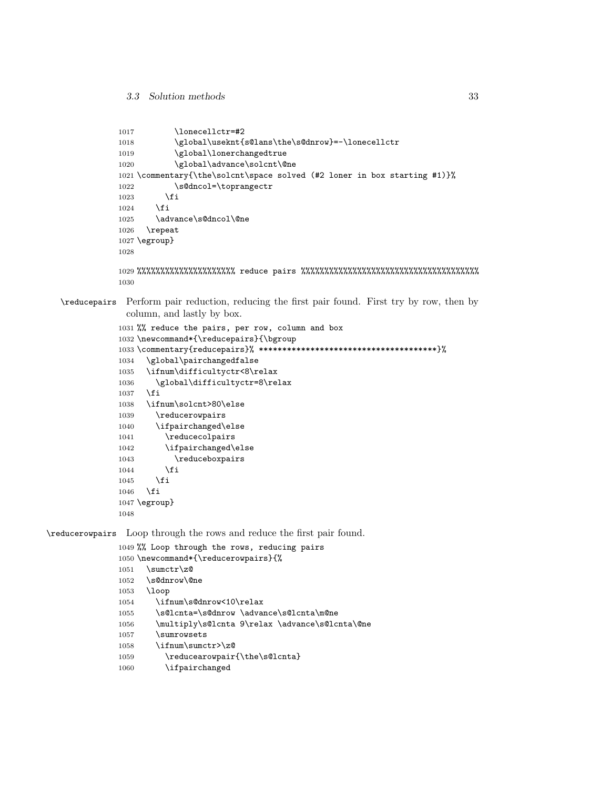```
1017 \lonecellctr=#2
           1018 \global\useknt{s@lans\the\s@dnrow} =-\lonecellctr
           1019 \global\lonerchangedtrue
           1020 \global\advance\solcnt\@ne
           1021 \commentary{\the\solcnt\space solved (#2 loner in box starting #1)}%
           1022 \s@dncol=\toprangectr
           1023 \fi
           1024 \fi
           1025 \advance\s@dncol\@ne
           1026 \repeat
           1027 \egroup}
           1028
           1029 %%%%%%%%%%%%%%%%%%%%% reduce pairs %%%%%%%%%%%%%%%%%%%%%%%%%%%%%%%%%%%%%%
           1030
\reducepairs Perform pair reduction, reducing the first pair found. First try by row, then by
             column, and lastly by box.
           1031 %% reduce the pairs, per row, column and box
           1032 \newcommand*{\reducepairs}{\bgroup
           1033 \commentary{reducepairs}% **************************************}%
           1034 \global\pairchangedfalse
           1035 \ifnum\difficultyctr<8\relax
           1036 \global\difficultyctr=8\relax
           1037 \fi
           1038 \ifnum\solcnt>80\else
           1039 \reducerowpairs
           1040 \ifpairchanged\else
           1041 \reducecolpairs
           1042 \ifpairchanged\else
           1043 \reduceboxpairs
           1044 \fi
           1045 \fi
           1046 \fi
           1047 \egroup}
           1048
```
\reducerowpairs Loop through the rows and reduce the first pair found.

```
1049 %% Loop through the rows, reducing pairs
1050 \newcommand*{\reducerowpairs}{%
1051 \sumctr\z@
1052 \s@dnrow\@ne
1053 \loop
1054 \ifnum\s@dnrow<10\relax
1055 \s@lcnta=\s@dnrow \advance\s@lcnta\m@ne
1056 \multiply\s@lcnta 9\relax \advance\s@lcnta\@ne
1057 \sumrowsets
1058 \ifnum\sumctr>\z@
1059 \reducearowpair{\the\s@lcnta}
1060 \ifpairchanged
```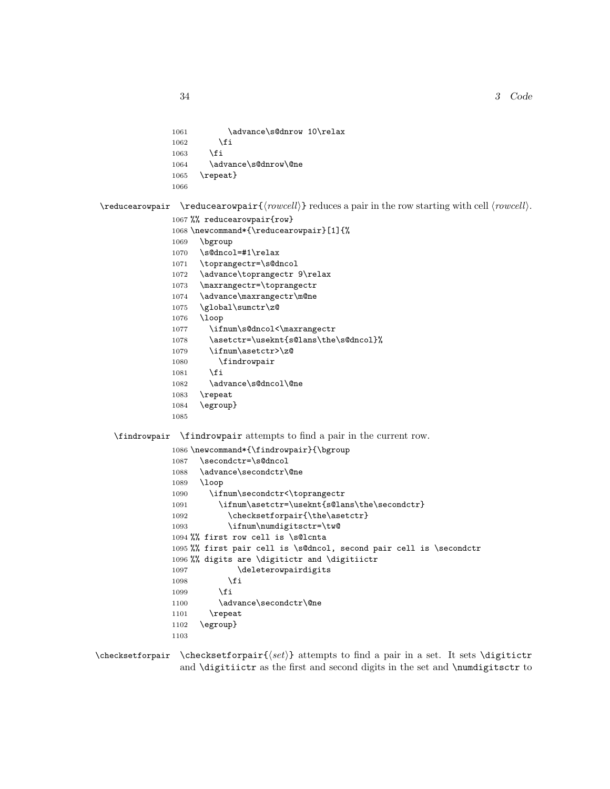```
1061 \advance\s@dnrow 10\relax
1062 \fi
1063 \fi
1064 \advance\s@dnrow\@ne
1065 \repeat}
1066
```
 $\lvert \text{reducearowpair} \rvert \text{rowcell} \rvert$  reduces a pair in the row starting with cell  $\langle \text{rowcell} \rangle$ .

```
1067 %% reducearowpair{row}
1068 \newcommand*{\reducearowpair}[1]{%
1069 \bgroup
1070 \s@dncol=#1\relax
1071 \toprangectr=\s@dncol
1072 \advance\toprangectr 9\relax
1073 \maxrangectr=\toprangectr
1074 \advance\maxrangectr\m@ne
1075 \global\sumctr\z@
1076 \loop
1077 \ifnum\s@dncol<\maxrangectr
1078 \asetctr=\useknt{s@lans\the\s@dncol}%
1079 \ifnum\asetctr>\z@
1080 \findrowpair
1081 \fi
1082 \advance\s@dncol\@ne
1083 \repeat
1084 \egroup}
1085
```
\findrowpair \findrowpair attempts to find a pair in the current row.

```
1086 \newcommand*{\findrowpair}{\bgroup
1087 \secondctr=\s@dncol
1088 \advance\secondctr\@ne
1089 \loop
1090 \ifnum\secondctr<\toprangectr
1091 \ifnum\asetctr=\useknt{s@lans\the\secondctr}
1092 \checksetforpair{\the\asetctr}
1093 \ifnum\numdigitsctr=\tw@
1094 %% first row cell is \s@lcnta
1095 %% first pair cell is \s@dncol, second pair cell is \secondctr
1096 %% digits are \digitictr and \digitiictr
1097 \deleterowpairdigits
1098 \fi
1099 \fi
1100 \advance\secondctr\@ne
1101 \repeat
1102 \egroup}
1103
```
 $\check{\text{c}}$  \checksetforpair \checksetforpair{ $\setminus \check{\text{d}}$  attempts to find a pair in a set. It sets \digitictr and \digitiictr as the first and second digits in the set and \numdigitsctr to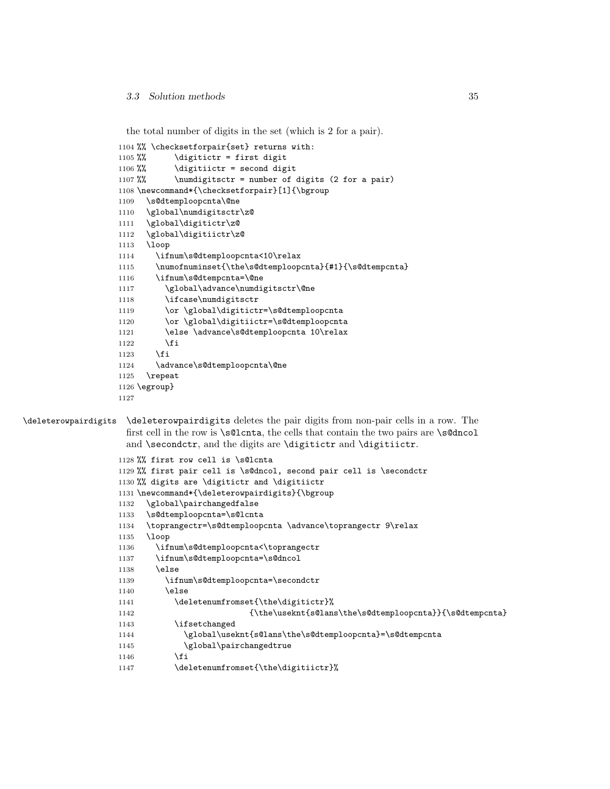the total number of digits in the set (which is 2 for a pair).

```
1104 %% \checksetforpair{set} returns with:
1105 %% \dagger \digitictr = first digit
1106 %% \dagger \digitiictr = second digit
1107 %% \numdigitsctr = number of digits (2 for a pair)
1108 \newcommand*{\checksetforpair}[1]{\bgroup
1109 \s@dtemploopcnta\@ne
1110 \global\numdigitsctr\z@
1111 \global\digitictr\z@
1112 \global\digitiictr\z@
1113 \loop
1114 \ifnum\s@dtemploopcnta<10\relax
1115 \numofnuminset{\the\s@dtemploopcnta}{#1}{\s@dtempcnta}
1116 \ifnum\s@dtempcnta=\@ne
1117 \global\advance\numdigitsctr\@ne
1118 \ifcase\numdigitsctr
1119 \or \global\digitictr=\s@dtemploopcnta
1120 \or \global\digitiictr=\s@dtemploopcnta
1121 \else \advance\s@dtemploopcnta 10\relax
1122 \fi
1123 \overrightarrow{fi}1124 \advance\s@dtemploopcnta\@ne
1125 \repeat
1126 \egroup}
1127
```
\deleterowpairdigits \deleterowpairdigits deletes the pair digits from non-pair cells in a row. The first cell in the row is \s@lcnta, the cells that contain the two pairs are \s@dncol and \secondctr, and the digits are \digitictr and \digitiictr.

```
1128 %% first row cell is \s@lcnta
1129 %% first pair cell is \s@dncol, second pair cell is \secondctr
1130 %% digits are \digitictr and \digitiictr
1131 \newcommand*{\deleterowpairdigits}{\bgroup
1132 \global\pairchangedfalse
1133 \s@dtemploopcnta=\s@lcnta
1134 \toprangectr=\s@dtemploopcnta \advance\toprangectr 9\relax
1135 \loop
1136 \ifnum\s@dtemploopcnta<\toprangectr
1137 \ifnum\s@dtemploopcnta=\s@dncol
1138 \else
1139 \ifnum\s@dtemploopcnta=\secondctr
1140 \else
1141 \deletenumfromset{\the\digitictr}%
1142 {\the\useknt{s@lans\the\s@dtemploopcnta}}{\s@dtempcnta}
1143 \ifsetchanged
1144 \global\useknt{s@lans\the\s@dtemploopcnta}=\s@dtempcnta
1145 \global\pairchangedtrue
1146 \fi
1147 \deletenumfromset{\the\digitiictr}%
```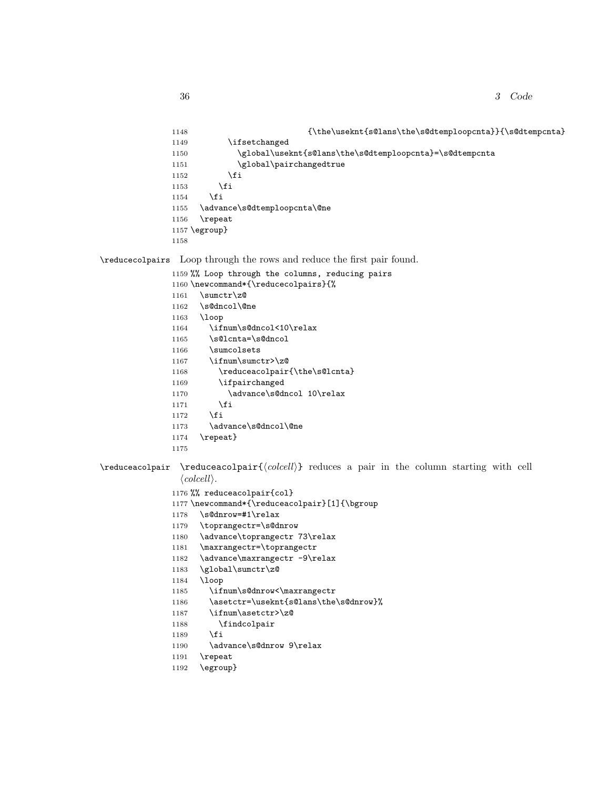```
1148 {\the\useknt{s@lans\the\s@dtemploopcnta}}{\s@dtempcnta}1149 \ifsetchanged
1150 \global\useknt{s@lans\the\s@dtemploopcnta}=\s@dtempcnta
1151 \global\pairchangedtrue
1152 \qquad \qquad \int fi
1153 \fi
1154 \fi
1155 \advance\s@dtemploopcnta\@ne
1156 \repeat
1157 \egroup}
1158
```
\reducecolpairs Loop through the rows and reduce the first pair found.

1159 %% Loop through the columns, reducing pairs 1160 \newcommand\*{\reducecolpairs}{%  $1161$  \sumctr\z@ 1162 \s@dncol\@ne 1163 \loop 1164 \ifnum\s@dncol<10\relax 1165 \s@lcnta=\s@dncol 1166 \sumcolsets 1167 \ifnum\sumctr>\z@ 1168 \reduceacolpair{\the\s@lcnta} 1169 \ifpairchanged 1170 \advance\s@dncol 10\relax  $1171$  \fi 1172  $\overrightarrow{fi}$ 1173 \advance\s@dncol\@ne 1174 \repeat} 1175

 $\red{red}$   $\red{red}$   $\red{red}$  reduceacolpair ${\color{red}{\{colcell\}}}$  reduces a pair in the column starting with cell  $\langle \text{colcell} \rangle$ .

```
1176 %% reduceacolpair{col}
1177 \newcommand*{\reduceacolpair}[1]{\bgroup
1178 \s@dnrow=#1\relax
1179 \toprangectr=\s@dnrow
1180 \advance\toprangectr 73\relax
1181 \maxrangectr=\toprangectr
1182 \advance\maxrangectr -9\relax
1183 \global\sumctr\z@
1184 \loop
1185 \ifnum\s@dnrow<\maxrangectr
1186 \asetctr=\useknt{s@lans\the\s@dnrow}%
1187 \ifnum\asetctr>\z@
1188 \findcolpair
1189 \fi
1190 \advance\s@dnrow 9\relax
1191 \repeat
1192 \egroup}
```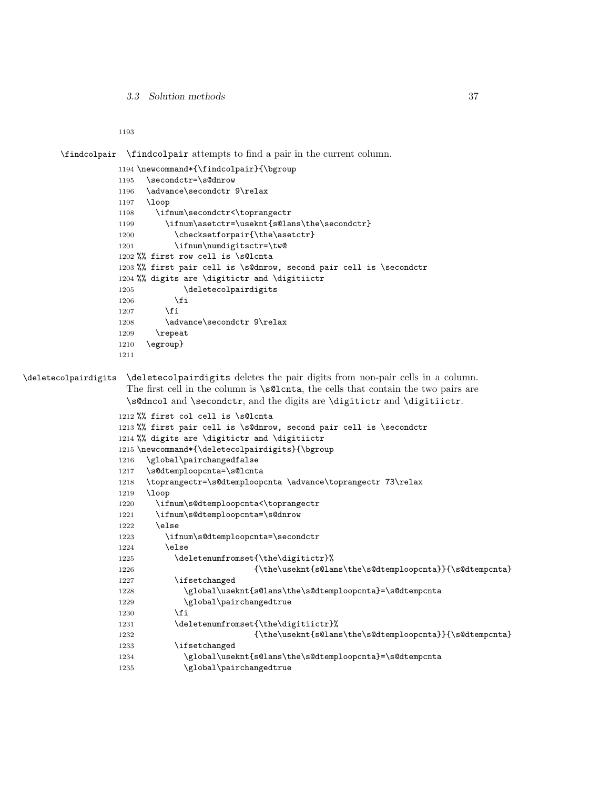```
3.3 Solution methods 37
```
\findcolpair \findcolpair attempts to find a pair in the current column.

```
1194 \newcommand*{\findcolpair}{\bgroup
1195 \secondctr=\s@dnrow
1196 \advance\secondctr 9\relax
1197 \loop
1198 \ifnum\secondctr<\toprangectr
1199 \ifnum\asetctr=\useknt{s@lans\the\secondctr}
1200 \checksetforpair{\the\asetctr}
1201 \ifnum\numdigitsctr=\tw@
1202 %% first row cell is \s@lcnta
1203 %% first pair cell is \s@dnrow, second pair cell is \secondctr
1204 %% digits are \digitictr and \digitiictr
1205 \deletecolpairdigits
1206 \fi
1207 \fi
1208 \advance\secondctr 9\relax
1209 \repeat
1210 \egroup}
1211
```
\deletecolpairdigits \deletecolpairdigits deletes the pair digits from non-pair cells in a column. The first cell in the column is \s@lcnta, the cells that contain the two pairs are \s@dncol and \secondctr, and the digits are \digitictr and \digitiictr.

```
1212 %% first col cell is \s@lcnta
1213 %% first pair cell is \s@dnrow, second pair cell is \secondctr
1214 %% digits are \digitictr and \digitiictr
1215 \newcommand*{\deletecolpairdigits}{\bgroup
1216 \global\pairchangedfalse
1217 \s@dtemploopcnta=\s@lcnta
1218 \toprangectr=\s@dtemploopcnta \advance\toprangectr 73\relax
1219 \loop
1220 \ifnum\s@dtemploopcnta<\toprangectr
1221 \ifnum\s@dtemploopcnta=\s@dnrow
1222 \else
1223 \ifnum\s@dtemploopcnta=\secondctr
1224 \else
1225 \deletenumfromset{\the\digitictr}%
1226 {\the\useknt{s@lans\the\s@dtemploopcnta}}{\s@dtempcnta}
1227 \ifsetchanged
1228 \global\useknt{s@lans\the\s@dtemploopcnta}=\s@dtempcnta
1229 \global\pairchangedtrue
1230 \quad \text{if}1231 \deletenumfromset{\the\digitiictr}%
1232 {\the\useknt{s@lans\the\s@dtemploopcnta}}{\s@dtempcnta}
1233 \ifsetchanged
1234 \global\useknt{s@lans\the\s@dtemploopcnta}=\s@dtempcnta
1235 \global\pairchangedtrue
```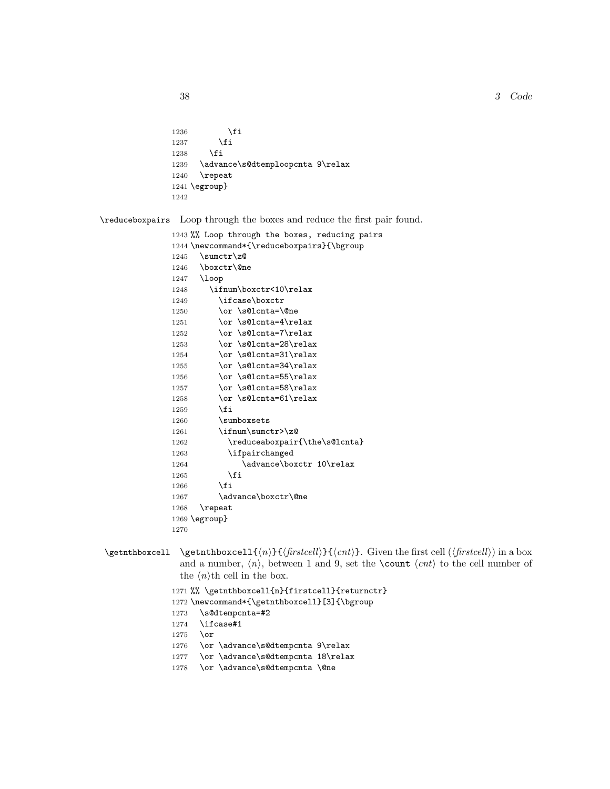## $38$  Code

```
1236 \overrightarrow{fi}1237 \ifmmode \overline{\text{1237}}\else \fi
1238 \fi
1239 \advance\s@dtemploopcnta 9\relax
1240 \repeat
1241 \egroup}
1242
```
\reduceboxpairs Loop through the boxes and reduce the first pair found.

```
1243 %% Loop through the boxes, reducing pairs
1244 \newcommand*{\reduceboxpairs}{\bgroup
1245 \sumctr\z@1246 \boxctr\@ne
1247 \loop
1248 \ifnum\boxctr<10\relax
1249 \ifcase\boxctr
1250 \or \s@lcnta=\@ne
1251 \or \s@lcnta=4\relax
1252 \or \s@lcnta=7\relax
1253 \or \s@lcnta=28\relax
1254 \or \s@lcnta=31\relax
1255 \or \sqrt{\text{s@lcnta=34\relax}}1256 \or \s@lcnta=55\relax
1257 \or \s@lcnta=58\relax
1258 \or \s@lcnta=61\relax
1259 \overrightarrow{fi}1260 \sumboxsets
1261 \ifnum\sumctr>\z@
1262 \reduceaboxpair{\the\s@lcnta}
1263 \ifpairchanged
1264 \advance\boxctr 10\relax
1265 \fi
1266 \fi
1267 \advance\boxctr\@ne
1268 \repeat
1269 \egroup}
1270
```
\getnthboxcell \getnthboxcell{ $\{n\}$ { $\{firstcell\}$ . Given the first cell ( $\{firstcell\}$ ) in a box and a number,  $\langle n \rangle$ , between 1 and 9, set the **\count**  $\langle cnt \rangle$  to the cell number of the  $\langle n \rangle$ th cell in the box.

```
1271 %% \getnthboxcell{n}{firstcell}{returnctr}
1272 \newcommand*{\getnthboxcell}[3]{\bgroup
1273 \s@dtempcnta=#2
1274 \ifcase#1
1275 \or
1276 \or \advance\s@dtempcnta 9\relax
1277 \or \advance\s@dtempcnta 18\relax
1278 \or \advance\s@dtempcnta \@ne
```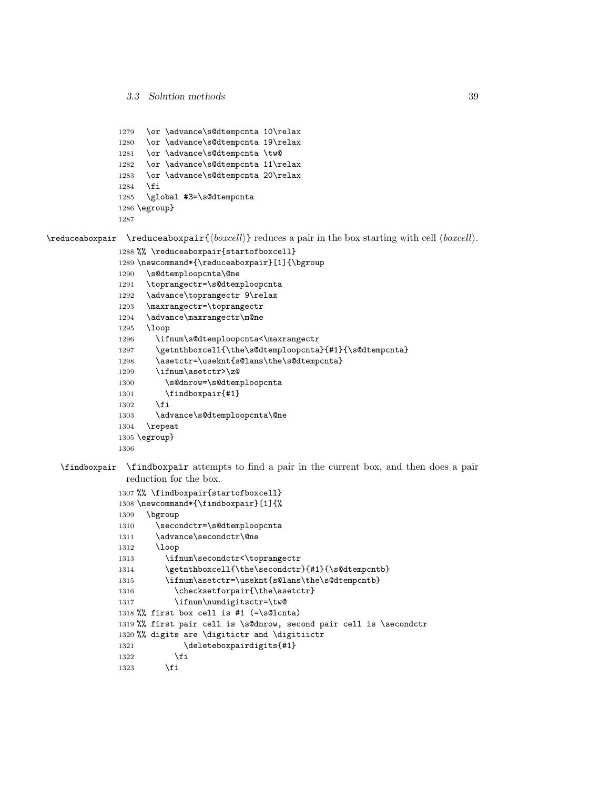```
1279 \or \advance\s@dtempcnta 10\relax
1280 \or \advance\s@dtempcnta 19\relax
1281 \or \advance\s@dtempcnta \tw@
1282 \or \advance\s@dtempcnta 11\relax
1283 \or \advance\s@dtempcnta 20\relax
1284 \fi
1285 \global #3=\s@dtempcnta
1286 \egroup}
1287
```
 $\red{\varepsilon}$  \reduceaboxpair { $\backslash \text{reduceab}$ } reduces a pair in the box starting with cell  $\backslash \text{loc}$ .

```
1288 %% \reduceaboxpair{startofboxcell}
1289 \newcommand*{\reduceaboxpair}[1]{\bgroup
1290 \s@dtemploopcnta\@ne
1291 \toprangectr=\s@dtemploopcnta
1292 \advance\toprangectr 9\relax
1293 \maxrangectr=\toprangectr
1294 \advance\maxrangectr\m@ne
1295 \loop
1296 \ifnum\s@dtemploopcnta<\maxrangectr
1297 \getnthboxcell{\the\s@dtemploopcnta}{#1}{\s@dtempcnta}
1298 \asetctr=\useknt{s@lans\the\s@dtempcnta}
1299 \ifnum\asetctr>\z@
1300 \s@dnrow=\s@dtemploopcnta
1301 \findboxpair{#1}
1302 \fi
1303 \advance\s@dtemploopcnta\@ne
1304 \repeat
1305 \egroup}
1306
```
\findboxpair \findboxpair attempts to find a pair in the current box, and then does a pair reduction for the box.

```
1307 %% \findboxpair{startofboxcell}
1308 \newcommand*{\findboxpair}[1]{%
1309 \bgroup
1310 \secondctr=\s@dtemploopcnta
1311 \advance\secondctr\@ne
1312 \loop
1313 \ifnum\secondctr<\toprangectr
1314 \getnthboxcell{\the\secondctr}{#1}{\s@dtempcntb}
1315 \ifnum\asetctr=\useknt{s@lans\the\s@dtempcntb}
1316 \checksetforpair{\the\asetctr}
1317 \ifnum\numdigitsctr=\tw@
1318 %% first box cell is #1 (=\s@lcnta)
1319 %% first pair cell is \s@dnrow, second pair cell is \secondctr
1320 %% digits are \digitictr and \digitiictr
1321 \deleteboxpairdigits{#1}
1322 \fi
1323 \fi
```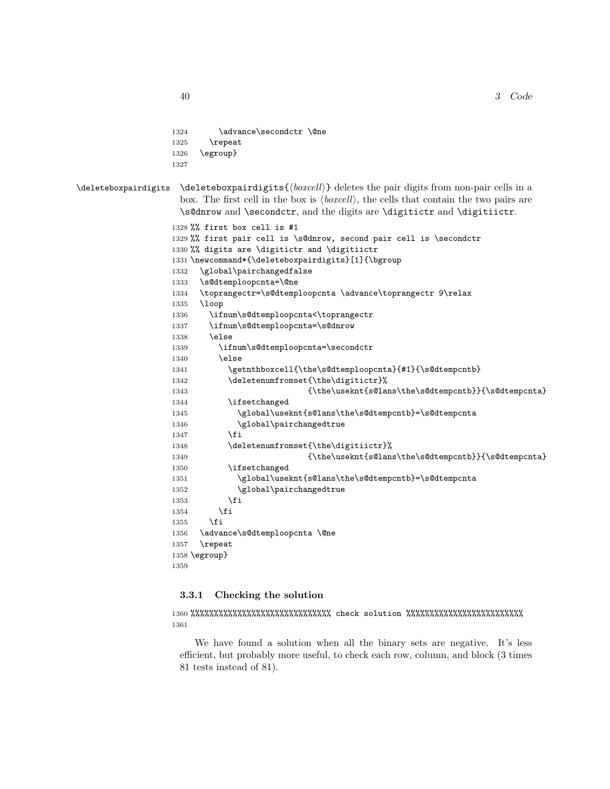```
1324 \advance\secondctr \@ne
1325 \repeat
1326 \egroup}
1327
```
 $\delta$  \deleteboxpairdigits \deleteboxpairdigits { $\delta$  \deletes the pair digits from non-pair cells in a box. The first cell in the box is  $\langle \text{boxcell} \rangle$ , the cells that contain the two pairs are \s@dnrow and \secondctr, and the digits are \digitictr and \digitiictr.

```
1328 %% first box cell is #1
1329 %% first pair cell is \s@dnrow, second pair cell is \secondctr
1330 %% digits are \digitictr and \digitiictr
1331 \newcommand*{\deleteboxpairdigits}[1]{\bgroup
1332 \global\pairchangedfalse
1333 \s@dtemploopcnta=\@ne
1334 \toprangectr=\s@dtemploopcnta \advance\toprangectr 9\relax
1335 \loop
1336 \ifnum\s@dtemploopcnta<\toprangectr
1337 \ifnum\s@dtemploopcnta=\s@dnrow
1338 \else
1339 \ifnum\s@dtemploopcnta=\secondctr
1340 \else
1341 \getnthboxcell{\the\s@dtemploopcnta}{#1}{\s@dtempcntb}
1342 \deletenumfromset{\the\digitictr}%
1343 {\the\useknt{s@lans\the\s@dtempcntb}}{\s@dtempcnta}
1344 \ifsetchanged
1345 \global\useknt{s@lans\the\s@dtempcntb}=\s@dtempcnta
1346 \global\pairchangedtrue
1347 \fi
1348 \deletenumfromset{\the\digitiictr}%
1349 {\theta\text{S@lans\theta}}{\theta}1350 \ifsetchanged
1351 \global\useknt{s@lans\the\s@dtempcntb}=\s@dtempcnta
1352 \global\pairchangedtrue
1353 \overrightarrow{fi}1354 \fi
1355 \fi
1356 \advance\s@dtemploopcnta \@ne
1357 \repeat
1358 \egroup}
1359
```
## 3.3.1 Checking the solution

```
1360 %%%%%%%%%%%%%%%%%%%%%%%%%%%%%% check solution %%%%%%%%%%%%%%%%%%%%%%%%%
1361
```
We have found a solution when all the binary sets are negative. It's less efficient, but probably more useful, to check each row, column, and block (3 times 81 tests instead of 81).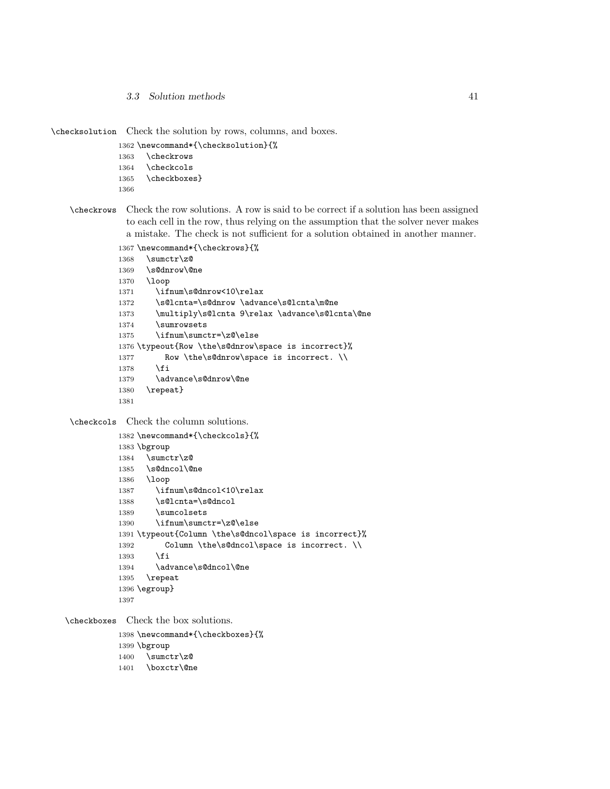3.3 Solution methods 41

\checksolution Check the solution by rows, columns, and boxes.

```
1362 \newcommand*{\checksolution}{%
1363 \checkrows
1364 \checkcols
1365 \checkboxes}
```
- 
- \checkrows Check the row solutions. A row is said to be correct if a solution has been assigned to each cell in the row, thus relying on the assumption that the solver never makes a mistake. The check is not sufficient for a solution obtained in another manner.

```
1367 \newcommand*{\checkrows}{%
1368 \sumctr\z@
1369 \s@dnrow\@ne
1370 \loop
1371 \ifnum\s@dnrow<10\relax
1372 \s@lcnta=\s@dnrow \advance\s@lcnta\m@ne
1373 \multiply\s@lcnta 9\relax \advance\s@lcnta\@ne
1374 \sumrowsets
1375 \ifnum\sumctr=\z@\else
1376 \typeout{Row \the\s@dnrow\space is incorrect}%
1377 Row \the\s@dnrow\space is incorrect. \\
1378 \fi
1379 \advance\s@dnrow\@ne
1380 \repeat}
1381
```
\checkcols Check the column solutions.

```
1382 \newcommand*{\checkcols}{%
1383 \bgroup
1384 \sumctr\z@
1385 \s@dncol\@ne
1386 \loop
1387 \ifnum\s@dncol<10\relax
1388 \s@lcnta=\s@dncol
1389 \sumcolsets
1390 \ifnum\sumctr=\z@\else
1391 \typeout{Column \the\s@dncol\space is incorrect}%
1392 Column \the\s@dncol\space is incorrect. \\
1393 \fi
1394 \advance\s@dncol\@ne
1395 \repeat
1396 \egroup}
1397
```
\checkboxes Check the box solutions.

\newcommand\*{\checkboxes}{%

- \bgroup
- \sumctr\z@
- \boxctr\@ne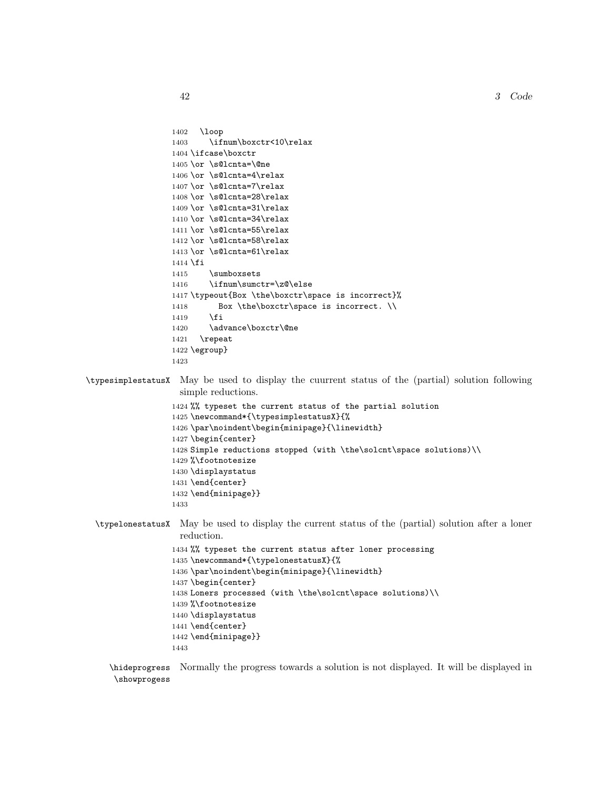42 3 Code

```
1402 \loop
                  1403 \ifnum\boxctr<10\relax
                  1404 \ifcase\boxctr
                  1405 \or \s@lcnta=\@ne
                  1406 \or \s@lcnta=4\relax
                  1407 \or \s@lcnta=7\relax
                  1408 \or \s@lcnta=28\relax
                  1409 \or \s@lcnta=31\relax
                  1410 \or \s@lcnta=34\relax
                  1411 \or \s@lcnta=55\relax
                  1412 \or \s@lcnta=58\relax
                  1413 \or \s@lcnta=61\relax
                  1414 \fi
                  1415 \sumboxsets
                  1416 \ifnum\sumctr=\z@\else
                  1417 \typeout{Box \the\boxctr\space is incorrect}%
                  1418 Box \the\boxctr\space is incorrect. \\
                  1419 \fi
                  1420 \advance\boxctr\@ne
                  1421 \repeat
                  1422 \egroup}
                  1423
\typesimplestatusX May be used to display the cuurrent status of the (partial) solution following
                    simple reductions.
                  1424 %% typeset the current status of the partial solution
                  1425 \newcommand*{\typesimplestatusX}{%
                  1426 \par\noindent\begin{minipage}{\linewidth}
                  1427 \begin{center}
                  1428 Simple reductions stopped (with \the\solcnt\space solutions)\\
                  1429 %\footnotesize
                  1430 \displaystatus
                  1431 \end{center}
                  1432 \end{minipage}}
                   1433
  \typelonestatusX May be used to display the current status of the (partial) solution after a loner
                    reduction.
                   1434 %% typeset the current status after loner processing
                  1435 \newcommand*{\typelonestatusX}{%
                  1436 \par\noindent\begin{minipage}{\linewidth}
                  1437 \begin{center}
                  1438 Loners processed (with \the\solcnt\space solutions)\\
                  1439 %\footnotesize
                  1440 \displaystatus
                  1441 \end{center}
                  1442 \end{minipage}}
                  1443
     \hideprogress
Normally the progress towards a solution is not displayed. It will be displayed in
```

```
\showprogess
```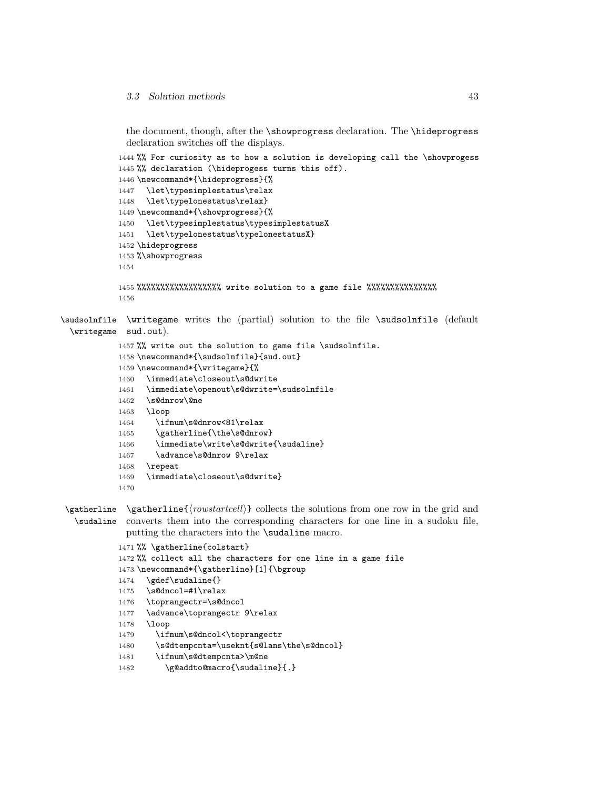the document, though, after the \showprogress declaration. The \hideprogress declaration switches off the displays.

```
1444 %% For curiosity as to how a solution is developing call the \showprogess
            1445 %% declaration (\hideprogess turns this off).
            1446 \newcommand*{\hideprogress}{%
            1447 \let\typesimplestatus\relax
            1448 \let\typelonestatus\relax}
            1449 \newcommand*{\showprogress}{%
            1450 \let\typesimplestatus\typesimplestatusX
            1451 \let\typelonestatus\typelonestatusX}
            1452 \hideprogress
            1453 %\showprogress
            1454
            1455 %%%%%%%%%%%%%%%%%% write solution to a game file %%%%%%%%%%%%%%%
            1456
\sudsolnfile
\writegame writes the (partial) solution to the file \sudsolnfile (default
  \writegame
sud.out).
            1457 %% write out the solution to game file \sudsolnfile.
            1458 \newcommand*{\sudsolnfile}{sud.out}
            1459 \newcommand*{\writegame}{%
            1460 \immediate\closeout\s@dwrite
            1461 \immediate\openout\s@dwrite=\sudsolnfile
            1462 \s@dnrow\@ne
            1463 \loop
            1464 \ifnum\s@dnrow<81\relax
            1465 \gatherline{\the\s@dnrow}
            1466 \immediate\write\s@dwrite{\sudaline}
            1467 \advance\s@dnrow 9\relax
            1468 \repeat
            1469 \immediate\closeout\s@dwrite}
            1470
```

```
\gatherline \gatherline{\{rowstartcell\}} collects the solutions from one row in the grid and
  \sudaline
converts them into the corresponding characters for one line in a sudoku file,
             putting the characters into the \sudaline macro.
```

```
1471 %% \gatherline{colstart}
```

```
1472 %% collect all the characters for one line in a game file
```

```
1473 \newcommand*{\gatherline}[1]{\bgroup
```

```
1474 \gdef\sudaline{}
```

```
1475 \s@dncol=#1\relax
```

```
1476 \toprangectr=\s@dncol
```
1477 \advance\toprangectr 9\relax

```
1478 \loop
```

```
1479 \ifnum\s@dncol<\toprangectr
```

```
1480 \s@dtempcnta=\useknt{s@lans\the\s@dncol}
```

```
1481 \ifnum\s@dtempcnta>\m@ne
```

```
1482 \g@addto@macro{\sudaline}{.}
```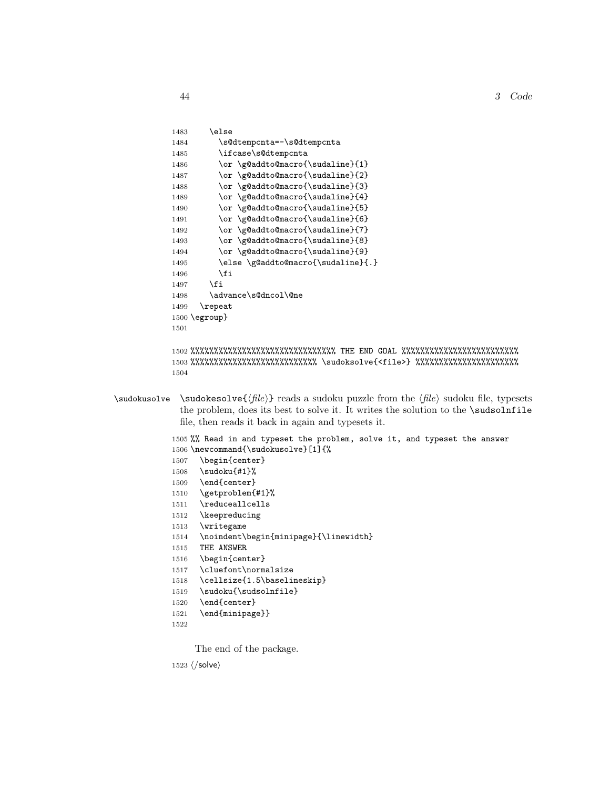```
1483 \else
1484 \s@dtempcnta=-\s@dtempcnta
1485 \ifcase\s@dtempcnta
1486 \or \g@addto@macro{\sudaline}{1}
1487 \or \g@addto@macro{\sudaline}{2}
1488 \or \g@addto@macro{\sudaline}{3}
1489 \or \g@addto@macro{\sudaline}{4}
1490 \or \g@addto@macro{\sudaline}{5}
1491 \or \g@addto@macro{\sudaline}{6}
1492 \or \g@addto@macro{\sudaline}{7}
1493 \or \g@addto@macro{\sudaline}{8}
1494 \or \g@addto@macro{\sudaline}{9}
1495 \else \g@addto@macro{\sudaline}{.}
1496 \setminusfi
1497 \fi
1498 \advance\s@dncol\@ne
1499 \repeat
1500 \egroup}
1501
```

```
1502 %%%%%%%%%%%%%%%%%%%%%%%%%%%%%%% THE END GOAL %%%%%%%%%%%%%%%%%%%%%%%%%
1503 %%%%%%%%%%%%%%%%%%%%%%%%%%% \sudoksolve{<file>} %%%%%%%%%%%%%%%%%%%%%%
1504
```
\sudokusolve \sudokesolve{\file}} reads a sudoku puzzle from the  $\langle file \rangle$  sudoku file, typesets the problem, does its best to solve it. It writes the solution to the \sudsolnfile file, then reads it back in again and typesets it.

> %% Read in and typeset the problem, solve it, and typeset the answer \newcommand{\sudokusolve}[1]{% \begin{center} \sudoku{#1}% \end{center} \getproblem{#1}% \reduceallcells \keepreducing

```
1513 \writegame
```
- 1514 \noindent\begin{minipage}{\linewidth}
- 1515 THE ANSWER

```
1516 \begin{center}
```
1517 \cluefont\normalsize

```
1518 \cellsize{1.5\baselineskip}
```
- 1519 \sudoku{\sudsolnfile}
- 1520 \end{center}
- 1521 \end{minipage}}
- 1522

The end of the package.

 $1523 \; \langle /solve \rangle$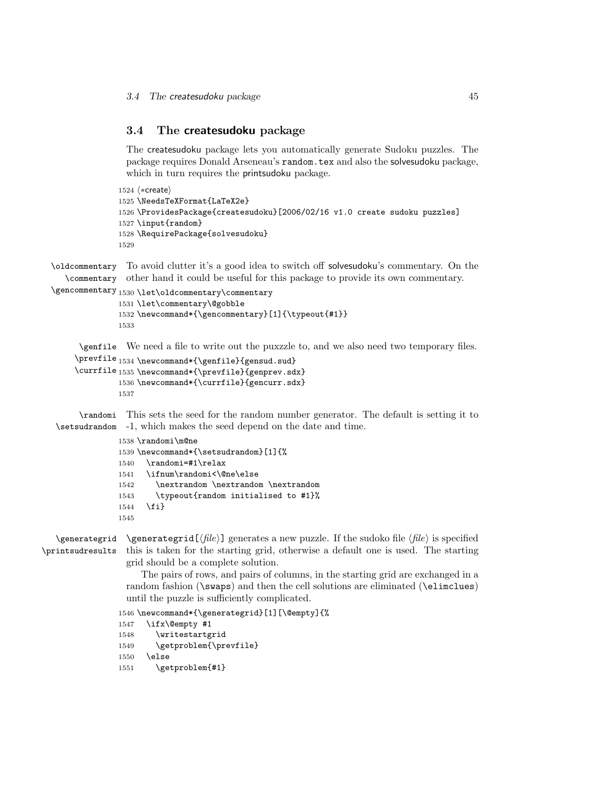## 3.4 The createsudoku package

The createsudoku package lets you automatically generate Sudoku puzzles. The package requires Donald Arseneau's random.tex and also the solvesudoku package, which in turn requires the printsudoku package.

```
1524 (*create)
1525 \NeedsTeXFormat{LaTeX2e}
1526 \ProvidesPackage{createsudoku}[2006/02/16 v1.0 create sudoku puzzles]
1527 \input{random}
1528 \RequirePackage{solvesudoku}
1529
```
\oldcommentary To avoid clutter it's a good idea to switch off solvesudoku's commentary. On the \commentary other hand it could be useful for this package to provide its own commentary.

```
\gencommentary
1530 \let\oldcommentary\commentary
```

```
1531 \let\commentary\@gobble
1532 \newcommand*{\gencommentary}[1]{\typeout{#1}}
1533
```
\genfile We need a file to write out the puxzzle to, and we also need two temporary files.

```
\prevfile 1534 \newcommand*{\genfile}{gensud.sud}
\currfile 1535 \newcommand*{\prevfile}{genprev.sdx}
         1536 \newcommand*{\currfile}{gencurr.sdx}
         1537
```
\randomi This sets the seed for the random number generator. The default is setting it to \setsudrandom -1, which makes the seed depend on the date and time.

```
1538 \randomi\m@ne
1539 \newcommand*{\setsudrandom}[1]{%
1540 \randomi=#1\relax
1541 \ifnum\randomi<\@ne\else
1542 \nextrandom \nextrandom \nextrandom
1543 \typeout{random initialised to #1}%
1544 \fi}
1545
```
\generategrid \generategrid[ $\langle file \rangle$ ] generates a new puzzle. If the sudoko file  $\langle file \rangle$  is specified \printsudresults this is taken for the starting grid, otherwise a default one is used. The starting grid should be a complete solution.

> The pairs of rows, and pairs of columns, in the starting grid are exchanged in a random fashion (\swaps) and then the cell solutions are eliminated (\elimclues) until the puzzle is sufficiently complicated.

1546 \newcommand\*{\generategrid}[1][\@empty]{% 1547 \ifx\@empty #1

```
1548 \writestartgrid
```

```
1549 \getproblem{\prevfile}
```
1550 \else

```
1551 \getproblem{#1}
```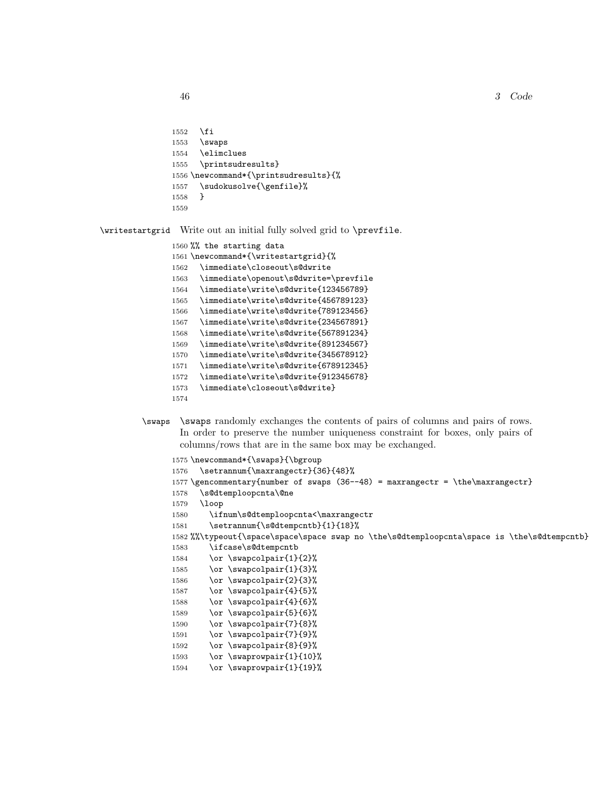3 Code

```
1552 \fi
1553 \swaps
1554 \elimclues
1555 \printsudresults}
1556 \newcommand*{\printsudresults}{%
1557 \sudokusolve{\genfile}%
1558 }
1559
```
\writestartgrid Write out an initial fully solved grid to \prevfile.

```
1560 %% the starting data
1561 \newcommand*{\writestartgrid}{%
1562 \immediate\closeout\s@dwrite
1563 \immediate\openout\s@dwrite=\prevfile
1564 \immediate\write\s@dwrite{123456789}
1565 \immediate\write\s@dwrite{456789123}
1566 \immediate\write\s@dwrite{789123456}
1567 \immediate\write\s@dwrite{234567891}
1568 \immediate\write\s@dwrite{567891234}
1569 \immediate\write\s@dwrite{891234567}
1570 \immediate\write\s@dwrite{345678912}
1571 \immediate\write\s@dwrite{678912345}
1572 \immediate\write\s@dwrite{912345678}
1573 \immediate\closeout\s@dwrite}
1574
```
\swaps \swaps randomly exchanges the contents of pairs of columns and pairs of rows. In order to preserve the number uniqueness constraint for boxes, only pairs of columns/rows that are in the same box may be exchanged.

```
1575 \newcommand*{\swaps}{\bgroup
1576 \setrannum{\maxrangectr}{36}{48}%
1577 \gencommentary{number of swaps (36--48) = maxrangectr = \the\maxrangectr}
1578 \s@dtemploopcnta\@ne
1579 \loop
1580 \ifnum\s@dtemploopcnta<\maxrangectr
1581 \setrannum{\s@dtempcntb}{1}{18}%
1582 %%\typeout{\space\space\space swap no \the\s@dtemploopcnta\space is \the\s@dtempcntb}
1583 \ifcase\s@dtempcntb
1584 \or \swapcolpair{1}{2}%
1585 \or \swapcolpair{1}{3}%
1586 \or \swapcolpair{2}{3}%
1587 \or \swapcolpair{4}{5}%
1588 \or \swapcolpair{4}{6}%
1589 \or \swapcolpair{5}{6}%
1590 \or \swapcolpair{7}{8}%
1591 \or \swapcolpair{7}{9}%
1592 \or \swapcolpair{8}{9}%
1593 \or \ \ \ \ \ \ \ \1594 \or \swaprowpair{1}{19}%
```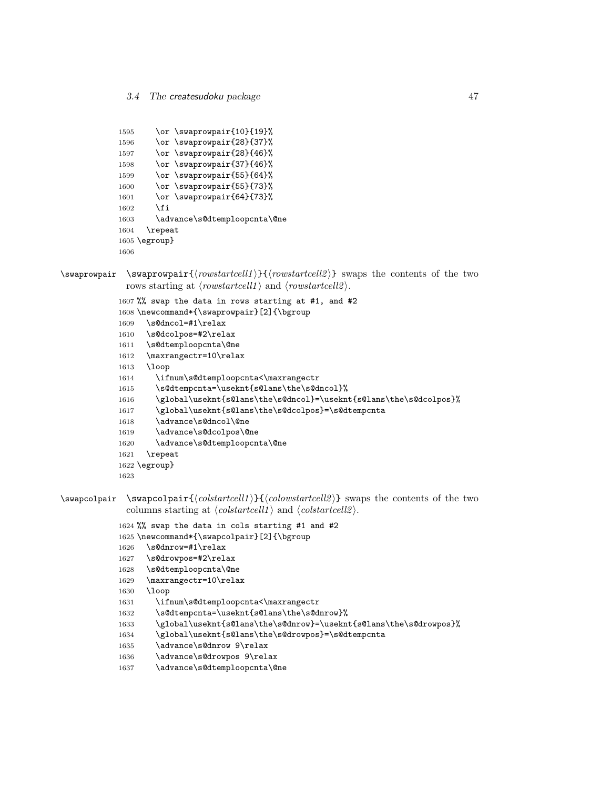```
1595 \or \swaprowpair{10}{19}%
1596 \or \swaprowpair{28}{37}%
1597 \or \swaprowpair{28}{46}%
1598 \or \swaprowpair{37}{46}%
1599 \or \swaprowpair{55}{64}%
1600 \or \swaprowpair{55}{73}%
1601 \or \swaprowpair{64}{73}%
1602 \fi
1603 \advance\s@dtemploopcnta\@ne
1604 \repeat
1605 \egroup}
1606
```
 $\sum_{\text{v}}$  \swaprowpair {\throwstartcell1}{\the from startcell2 i} swaps the contents of the two rows starting at  $\langle \text{row} \rangle$  and  $\langle \text{row} \rangle$ .

```
1607 %% swap the data in rows starting at #1, and #2
1608 \newcommand*{\swaprowpair}[2]{\bgroup
1609 \s@dncol=#1\relax
1610 \s@dcolpos=#2\relax
1611 \s@dtemploopcnta\@ne
1612 \maxrangectr=10\relax
1613 \loop
1614 \ifnum\s@dtemploopcnta<\maxrangectr
1615 \s@dtempcnta=\useknt{s@lans\the\s@dncol}%
1616 \global\useknt{s@lans\the\s@dncol}=\useknt{s@lans\the\s@dcolpos}%
1617 \global\useknt{s@lans\the\s@dcolpos}=\s@dtempcnta
1618 \advance\s@dncol\@ne
1619 \advance\s@dcolpos\@ne
1620 \advance\s@dtemploopcnta\@ne
1621 \repeat
1622 \egroup}
1623
```
 $\sum_{\{colstartcell\}}{\{colwstartcell2\}}$  swapcolpair  $\{colwstartcell2\}$  swaps the contents of the two columns starting at  $\langle \text{colstrateell11} \rangle$  and  $\langle \text{colstrateell2} \rangle$ .

```
1624 %% swap the data in cols starting #1 and #2
1625 \newcommand*{\swapcolpair}[2]{\bgroup
1626 \s@dnrow=#1\relax
1627 \s@drowpos=#2\relax
1628 \s@dtemploopcnta\@ne
1629 \maxrangectr=10\relax
1630 \loop
1631 \ifnum\s@dtemploopcnta<\maxrangectr
1632 \s@dtempcnta=\useknt{s@lans\the\s@dnrow}%
1633 \global\useknt{s@lans\the\s@dnrow}=\useknt{s@lans\the\s@drowpos}%
1634 \global\useknt{s@lans\the\s@drowpos}=\s@dtempcnta
1635 \advance\s@dnrow 9\relax
```

```
1636 \advance\s@drowpos 9\relax
```

```
1637 \advance\s@dtemploopcnta\@ne
```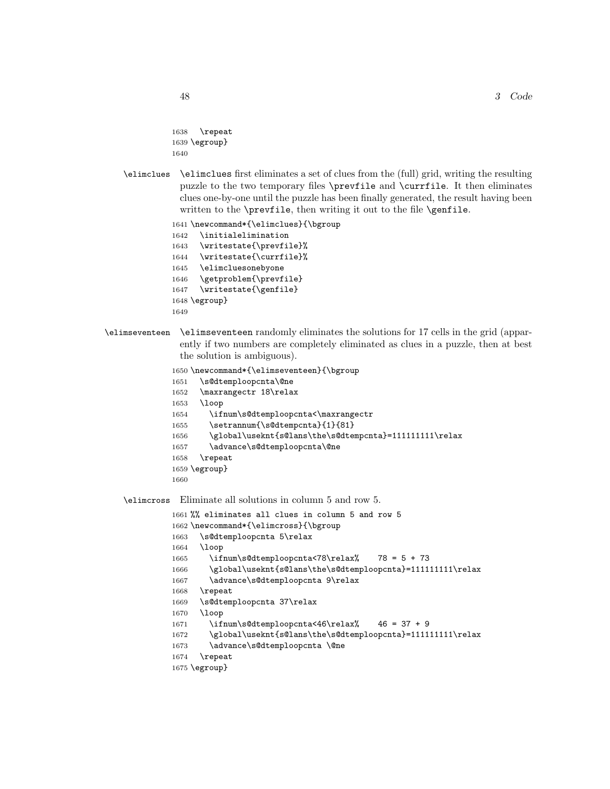```
1638 \repeat
1639 \egroup}
1640
```
\elimclues \elimclues first eliminates a set of clues from the (full) grid, writing the resulting puzzle to the two temporary files \prevfile and \currfile. It then eliminates clues one-by-one until the puzzle has been finally generated, the result having been written to the \prevfile, then writing it out to the file \genfile.

```
1641 \newcommand*{\elimclues}{\bgroup
1642 \initialelimination
1643 \writestate{\prevfile}%
1644 \writestate{\currfile}%
1645 \elimcluesonebyone
1646 \getproblem{\prevfile}
1647 \writestate{\genfile}
1648 \egroup}
1649
```
\elimseventeen \elimseventeen randomly eliminates the solutions for 17 cells in the grid (apparently if two numbers are completely eliminated as clues in a puzzle, then at best the solution is ambiguous).

```
1650 \newcommand*{\elimseventeen}{\bgroup
1651 \s@dtemploopcnta\@ne
1652 \maxrangectr 18\relax
1653 \loop
1654 \ifnum\s@dtemploopcnta<\maxrangectr
1655 \setrannum{\s@dtempcnta}{1}{81}
1656 \global\useknt{s@lans\the\s@dtempcnta}=1111111111\relax
1657 \advance\s@dtemploopcnta\@ne
1658 \repeat
1659 \egroup}
1660
```
\elimcross Eliminate all solutions in column 5 and row 5.

```
1661 %% eliminates all clues in column 5 and row 5
1662 \newcommand*{\elimcross}{\bgroup
1663 \s@dtemploopcnta 5\relax
1664 \loop
1665 \ifnum\s@dtemploopcnta<78\relax% 78 = 5 + 73
1666 \global\useknt{s@lans\the\s@dtemploopcnta}=111111111\relax
1667 \advance\s@dtemploopcnta 9\relax
1668 \repeat
1669 \s@dtemploopcnta 37\relax
1670 \loop
1671 \ifnum\s@dtemploopcnta<46\relax% 46 = 37 + 9
1672 \global\useknt{s@lans\the\s@dtemploopcnta}=1111111111\relax
1673 \advance\s@dtemploopcnta \@ne
1674 \repeat
1675 \egroup}
```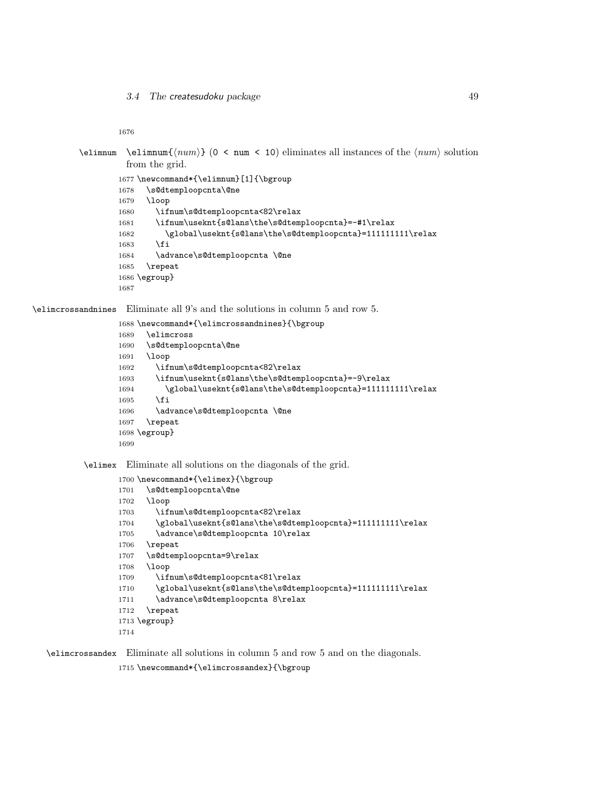```
\elimnum \elimnum{\langle num \rangle} (0 < num < 10) eliminates all instances of the \langle num \rangle solution
             from the grid.
```

```
1677 \newcommand*{\elimnum}[1]{\bgroup
1678 \s@dtemploopcnta\@ne
1679 \loop
1680 \ifnum\s@dtemploopcnta<82\relax
1681 \ifnum\useknt{s@lans\the\s@dtemploopcnta}=-#1\relax
1682 \global\useknt{s@lans\the\s@dtemploopcnta}=1111111111\relax
1683 \fi
1684 \advance\s@dtemploopcnta \@ne
1685 \repeat
1686 \egroup}
1687
```
\elimcrossandnines Eliminate all 9's and the solutions in column 5 and row 5.

```
1688 \newcommand*{\elimcrossandnines}{\bgroup
1689 \elimcross
1690 \s@dtemploopcnta\@ne
1691 \loop
1692 \ifnum\s@dtemploopcnta<82\relax
1693 \ifnum\useknt{s@lans\the\s@dtemploopcnta}=-9\relax
1694 \global\useknt{s@lans\the\s@dtemploopcnta}=1111111111\relax
1695 \fi
1696 \advance\s@dtemploopcnta \@ne
1697 \repeat
1698 \egroup}
1699
```
\elimex Eliminate all solutions on the diagonals of the grid.

```
1700 \newcommand*{\elimex}{\bgroup
1701 \s@dtemploopcnta\@ne
1702 \loop
1703 \ifnum\s@dtemploopcnta<82\relax
1704 \global\useknt{s@lans\the\s@dtemploopcnta}=1111111111\relax
1705 \advance\s@dtemploopcnta 10\relax
1706 \repeat
1707 \s@dtemploopcnta=9\relax
1708 \loop
1709 \ifnum\s@dtemploopcnta<81\relax
1710 \global\useknt{s@lans\the\s@dtemploopcnta}=1111111111\relax
1711 \advance\s@dtemploopcnta 8\relax
1712 \repeat
1713 \egroup}
1714
```
\elimcrossandex Eliminate all solutions in column 5 and row 5 and on the diagonals.

\newcommand\*{\elimcrossandex}{\bgroup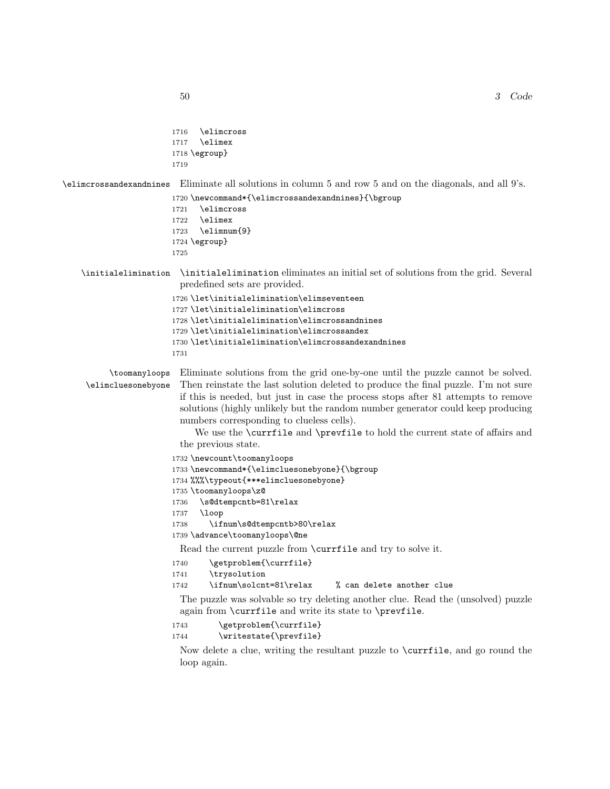```
1716 \elimcross
                        1717 \elimex
                        1718 \egroup}
                        1719
\elimcrossandexandnines Eliminate all solutions in column 5 and row 5 and on the diagonals, and all 9's.
                       1720 \newcommand*{\elimcrossandexandnines}{\bgroup
                       1721 \elimcross
                       1722 \elimex
                        1723 \elimnum{9}
                        1724 \egroup}
                        1725
    \initialelimination \initialelimination eliminates an initial set of solutions from the grid. Several
                         predefined sets are provided.
                        1726 \let\initialelimination\elimseventeen
                        1727 \let\initialelimination\elimcross
                        1728 \let\initialelimination\elimcrossandnines
                        1729 \let\initialelimination\elimcrossandex
                        1730 \let\initialelimination\elimcrossandexandnines
                        1731
          \toomanyloops
     \elimcluesonebyone
                         Eliminate solutions from the grid one-by-one until the puzzle cannot be solved.
                         Then reinstate the last solution deleted to produce the final puzzle. I'm not sure
                         if this is needed, but just in case the process stops after 81 attempts to remove
                         solutions (highly unlikely but the random number generator could keep producing
                         numbers corresponding to clueless cells).
                             We use the \currfile and \prevfile to hold the current state of affairs and
                         the previous state.
                        1732 \newcount\toomanyloops
                        1733 \newcommand*{\elimcluesonebyone}{\bgroup
                        1734 %%%\typeout{***elimcluesonebyone}
                        1735 \toomanyloops\z@
                        1736 \s@dtempcntb=81\relax
                        1737 \loop
                        1738 \ifnum\s@dtempcntb>80\relax
                        1739 \advance\toomanyloops\@ne
                         Read the current puzzle from \currfile and try to solve it.
                        1740 \getproblem{\currfile}
                        1741 \trysolution
                        1742 \ifnum\solcnt=81\relax % can delete another clue
                         The puzzle was solvable so try deleting another clue. Read the (unsolved) puzzle
                         again from \currfile and write its state to \prevfile.
                        1743 \getproblem{\currfile}
                        1744 \writestate{\prevfile}
                         Now delete a clue, writing the resultant puzzle to \currfile, and go round the
                         loop again.
```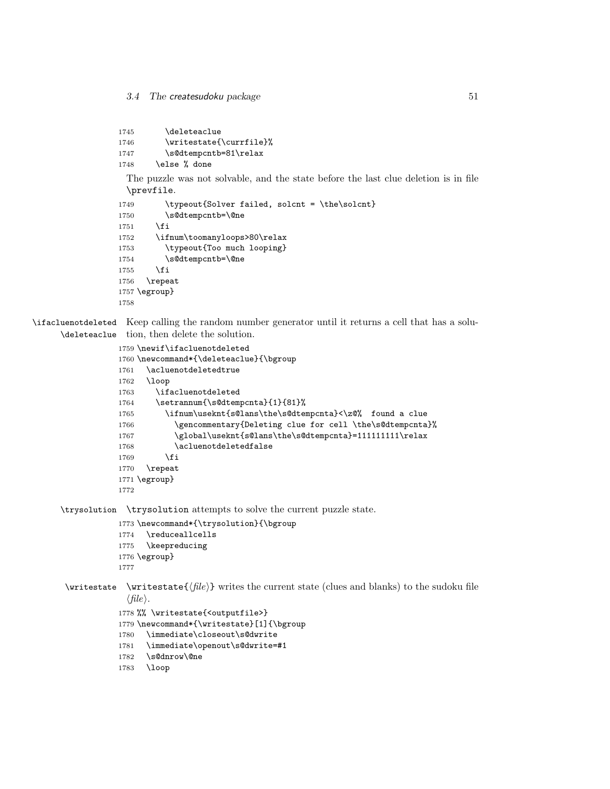```
1745 \deleteaclue
1746 \writestate{\currfile}%
```
1747 \s@dtempcntb=81\relax

```
1748 \else % done
```
The puzzle was not solvable, and the state before the last clue deletion is in file \prevfile.

```
1749 \typeout{Solver failed, solcnt = \the\solcnt}
1750 \s@dtempcntb=\@ne
1751 \fi
1752 \ifnum\toomanyloops>80\relax
1753 \typeout{Too much looping}
1754 \s@dtempcntb=\@ne
1755 \fi
1756 \repeat
1757 \egroup}
1758
```
\ifacluenotdeleted Keep calling the random number generator until it returns a cell that has a solu-\deleteaclue tion, then delete the solution.

```
1759 \newif\ifacluenotdeleted
1760 \newcommand*{\deleteaclue}{\bgroup
1761 \acluenotdeletedtrue
1762 \loop
1763 \ifacluenotdeleted
1764 \setrannum{\s@dtempcnta}{1}{81}%
1765 \ifnum\useknt{s@lans\the\s@dtempcnta}<\z@% found a clue
1766 \gencommentary{Deleting clue for cell \the\s@dtempcnta}%
1767 \global\useknt{s@lans\the\s@dtempcnta}=1111111111\relax
1768 \acluenotdeletedfalse
1769 \fi
1770 \repeat
1771 \egroup}
1772
```
\trysolution \trysolution attempts to solve the current puzzle state.

- 1773 \newcommand\*{\trysolution}{\bgroup
- 1774 \reduceallcells
- 1775 \keepreducing
- 1776 \egroup}

```
1777
```
 $\exists$  \writestate \writestate{ $\langle file \rangle$ } writes the current state (clues and blanks) to the sudoku file  $\langle file \rangle.$ 

```
1778 %% \writestate{<outputfile>}
```
- 1779 \newcommand\*{\writestate}[1]{\bgroup
- 1780 \immediate\closeout\s@dwrite
- 1781 \immediate\openout\s@dwrite=#1
- 1782 \s@dnrow\@ne
- 1783 \loop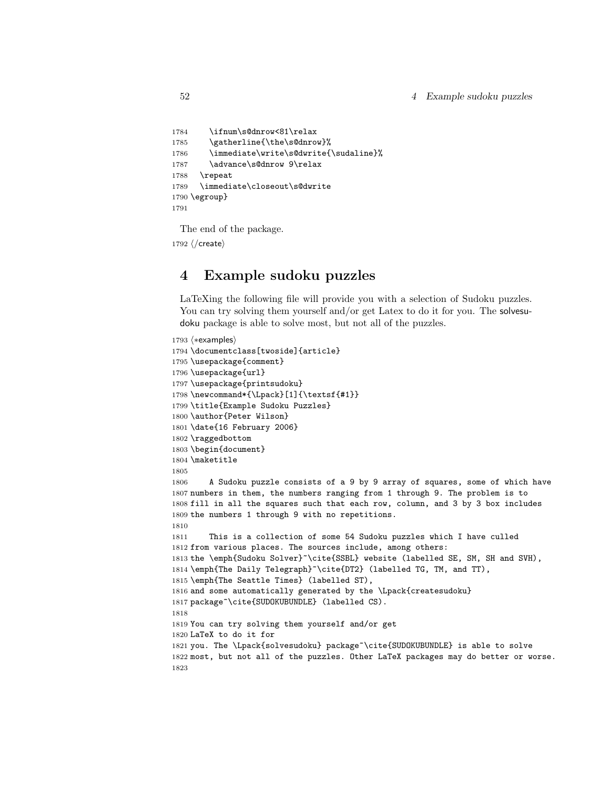```
1784 \ifnum\s@dnrow<81\relax
1785 \gatherline{\the\s@dnrow}%
1786 \immediate\write\s@dwrite{\sudaline}%
1787 \advance\s@dnrow 9\relax
1788 \repeat
1789 \immediate\closeout\s@dwrite
1790 \egroup}
1791
```
The end of the package.

1792  $\langle$ /create $\rangle$ 

## 4 Example sudoku puzzles

LaTeXing the following file will provide you with a selection of Sudoku puzzles. You can try solving them yourself and/or get Latex to do it for you. The solvesudoku package is able to solve most, but not all of the puzzles.

```
1793 \langle *examples)
1794 \documentclass[twoside]{article}
1795 \usepackage{comment}
1796 \usepackage{url}
1797 \usepackage{printsudoku}
1798 \newcommand*{\Lpack}[1]{\textsf{#1}}
1799 \title{Example Sudoku Puzzles}
1800 \author{Peter Wilson}
1801 \date{16 February 2006}
1802 \raggedbottom
1803 \begin{document}
1804 \maketitle
1805
1806 A Sudoku puzzle consists of a 9 by 9 array of squares, some of which have
1807 numbers in them, the numbers ranging from 1 through 9. The problem is to
1808 fill in all the squares such that each row, column, and 3 by 3 box includes
1809 the numbers 1 through 9 with no repetitions.
1810
1811 This is a collection of some 54 Sudoku puzzles which I have culled
1812 from various places. The sources include, among others:
1813 the \emph{Sudoku Solver}~\cite{SSBL} website (labelled SE, SM, SH and SVH),
1814 \emph{The Daily Telegraph}~\cite{DT2} (labelled TG, TM, and TT),
1815 \emph{The Seattle Times} (labelled ST),
1816 and some automatically generated by the \Lpack{createsudoku}
1817 package~\cite{SUDOKUBUNDLE} (labelled CS).
1818
1819 You can try solving them yourself and/or get
1820 LaTeX to do it for
1821 you. The \Lpack{solvesudoku} package~\cite{SUDOKUBUNDLE} is able to solve
1822 most, but not all of the puzzles. Other LaTeX packages may do better or worse.
1823
```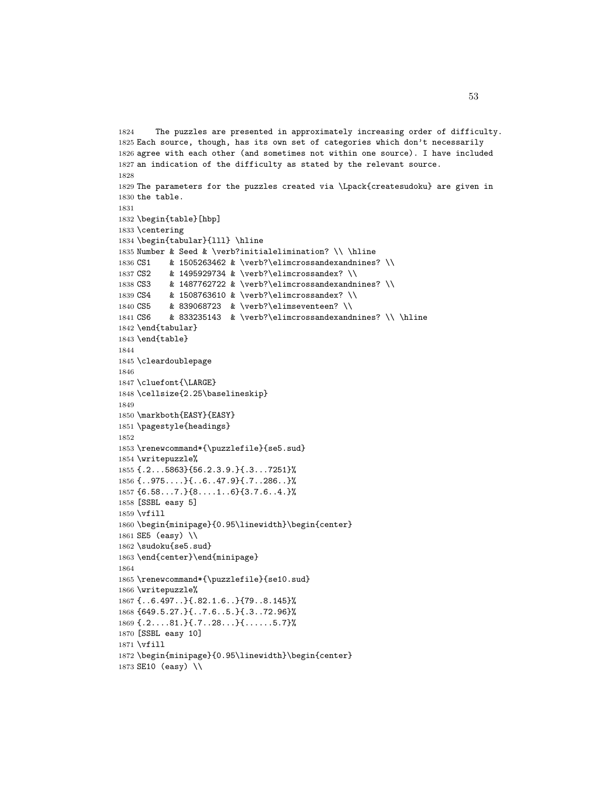```
1824 The puzzles are presented in approximately increasing order of difficulty.
1825 Each source, though, has its own set of categories which don't necessarily
1826 agree with each other (and sometimes not within one source). I have included
1827 an indication of the difficulty as stated by the relevant source.
1828
1829 The parameters for the puzzles created via \Lpack{createsudoku} are given in
1830 the table.
1831
1832 \begin{table}[hbp]
1833 \centering
1834 \begin{tabular}{lll} \hline
1835 Number & Seed & \verb?initialelimination? \\ \hline
1836 CS1 & 1505263462 & \verb?\elimcrossandexandnines? \\
1837 CS2 & 1495929734 & \verb?\elimcrossandex? \\
1838 CS3 & 1487762722 & \verb?\elimcrossandexandnines? \\
1839 CS4 & 1508763610 & \verb?\elimcrossandex? \\
1840 CS5 & 839068723 & \verb?\elimseventeen? \\
1841 CS6 & 833235143 & \verb?\elimcrossandexandnines? \\ \hline
1842 \end{tabular}
1843 \end{table}
1844
1845 \cleardoublepage
1846
1847 \cluefont{\LARGE}
1848 \cellsize{2.25\baselineskip}
1849
1850 \markboth{EASY}{EASY}
1851 \pagestyle{headings}
1852
1853 \renewcommand*{\puzzlefile}{se5.sud}
1854 \writepuzzle%
1855 {.2...5863}{56.2.3.9.}{.3...7251}%
1856 {..975....}{..6..47.9}{.7..286..}%
1857 {6.58...7.}{8....1..6}{3.7.6..4.}%
1858 [SSBL easy 5]
1859 \vfill
1860 \begin{minipage}{0.95\linewidth}\begin{center}
1861 SE5 (easy) \\
1862 \sudoku{se5.sud}
1863 \end{center}\end{minipage}
1864
1865 \renewcommand*{\puzzlefile}{se10.sud}
1866 \writepuzzle%
1867 {..6.497..}{.82.1.6..}{79..8.145}%
1868 {649.5.27.}{..7.6..5.}{.3..72.96}%
1869 {.2....81.}{.7..28...}{......5.7}%
1870 [SSBL easy 10]
1871 \vfill
1872 \begin{minipage}{0.95\linewidth}\begin{center}
1873 SE10 (easy) \\
```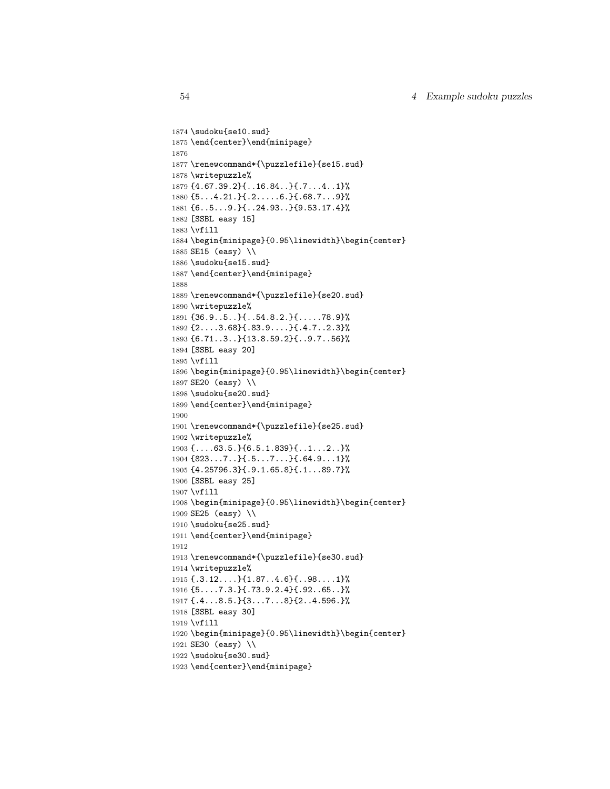```
1874 \sudoku{se10.sud}
1875 \end{center}\end{minipage}
1876
1877 \renewcommand*{\puzzlefile}{se15.sud}
1878 \writepuzzle%
1879 {4.67.39.2}{..16.84..}{.7...4..1}%
1880 {5...4.21.}{.2.....6.}{.68.7...9}%
1881 {6..5...9.}{..24.93..}{9.53.17.4}%
1882 [SSBL easy 15]
1883 \vfill
1884 \begin{minipage}{0.95\linewidth}\begin{center}
1885 SE15 (easy) \\
1886 \sudoku{se15.sud}
1887 \end{center}\end{minipage}
1888
1889 \renewcommand*{\puzzlefile}{se20.sud}
1890 \writepuzzle%
1891 {36.9..5..}{..54.8.2.}{.....78.9}%
1892 {2....3.68}{.83.9....}{.4.7..2.3}%
1893 {6.71..3..}{13.8.59.2}{..9.7..56}%
1894 [SSBL easy 20]
1895 \vfill
1896 \begin{minipage}{0.95\linewidth}\begin{center}
1897 SE20 (easy) \\
1898 \sudoku{se20.sud}
1899 \end{center}\end{minipage}
1900
1901 \renewcommand*{\puzzlefile}{se25.sud}
1902 \writepuzzle%
1903 {....63.5.}{6.5.1.839}{..1...2..}%
1904 {823...7..}{.5...7...}{.64.9...1}%
1905 {4.25796.3}{.9.1.65.8}{.1...89.7}%
1906 [SSBL easy 25]
1907 \vfill
1908 \begin{minipage}{0.95\linewidth}\begin{center}
1909 SE25 (easy) \\
1910 \sudoku{se25.sud}
1911 \end{center}\end{minipage}
1912
1913 \renewcommand*{\puzzlefile}{se30.sud}
1914 \writepuzzle%
1915 {.3.12....}{1.87..4.6}{..98....1}%
1916 {5....7.3.}{.73.9.2.4}{.92..65..}%
1917 {.4...8.5.}{3...7...8}{2..4.596.}%
1918 [SSBL easy 30]
1919 \vfill
1920 \begin{minipage}{0.95\linewidth}\begin{center}
1921 SE30 (easy) \\
1922 \sudoku{se30.sud}
1923 \end{center}\end{minipage}
```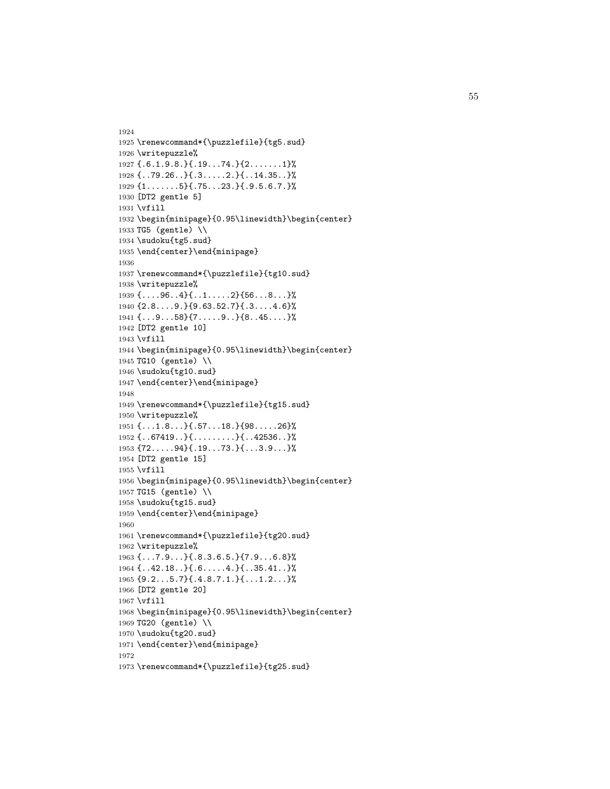```
1924
1925 \renewcommand*{\puzzlefile}{tg5.sud}
1926 \writepuzzle%
1927 {.6.1.9.8.}{.19...74.}{2.......1}%
1928 {..79.26..}{.3.....2.}{..14.35..}%
1929 {1.......5}{.75...23.}{.9.5.6.7.}%
1930 [DT2 gentle 5]
1931 \vfill
1932 \begin{minipage}{0.95\linewidth}\begin{center}
1933 TG5 (gentle) \\
1934 \sudoku{tg5.sud}
1935 \end{center}\end{minipage}
1936
1937 \renewcommand*{\puzzlefile}{tg10.sud}
1938 \writepuzzle%
1939 {....96..4}{..1.....2}{56...8...}%
1940 {2.8....9.}{9.63.52.7}{.3....4.6}%
1941 {...9...58}{7.....9..}{8..45....}%
1942 [DT2 gentle 10]
1943 \vfill
1944 \begin{minipage}{0.95\linewidth}\begin{center}
1945 TG10 (gentle) \\
1946 \sudoku{tg10.sud}
1947 \end{center}\end{minipage}
1948
1949 \renewcommand*{\puzzlefile}{tg15.sud}
1950 \writepuzzle%
1951 {...1.8...}{.57...18.}{98.....26}%
1952 {..67419..}{.........}{..42536..}%
1953 {72.....94}{.19...73.}{...3.9...}%
1954 [DT2 gentle 15]
1955 \vfill
1956 \begin{minipage}{0.95\linewidth}\begin{center}
1957 TG15 (gentle) \\
1958 \sudoku{tg15.sud}
1959 \end{center}\end{minipage}
1960
1961 \renewcommand*{\puzzlefile}{tg20.sud}
1962 \writepuzzle%
1963 {...7.9...}{.8.3.6.5.}{7.9...6.8}%
1964 {..42.18..}{.6.....4.}{..35.41..}%
1965 {9.2...5.7}{.4.8.7.1.}{...1.2...}%
1966 [DT2 gentle 20]
1967 \vfill
1968 \begin{minipage}{0.95\linewidth}\begin{center}
1969 TG20 (gentle) \\
1970 \sudoku{tg20.sud}
1971 \end{center}\end{minipage}
1972
1973 \renewcommand*{\puzzlefile}{tg25.sud}
```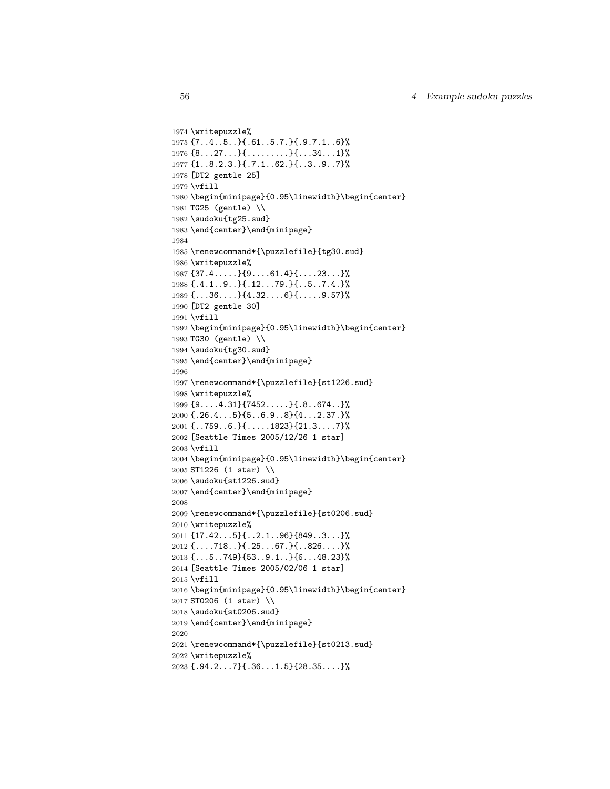```
1974 \writepuzzle%
1975 {7..4..5..}{.61..5.7.}{.9.7.1..6}%
1976 {8...27...}{.........}{...34...1}%
1977 {1..8.2.3.}{.7.1..62.}{..3..9..7}%
1978 [DT2 gentle 25]
1979 \vfill
1980 \begin{minipage}{0.95\linewidth}\begin{center}
1981 TG25 (gentle) \\
1982 \sudoku{tg25.sud}
1983 \end{center}\end{minipage}
1984
1985 \renewcommand*{\puzzlefile}{tg30.sud}
1986 \writepuzzle%
1987 {37.4.....}{9....61.4}{....23...}%
1988 {.4.1..9..}{.12...79.}{..5..7.4.}%
1989 {...36....}{4.32....6}{.....9.57}%
1990 [DT2 gentle 30]
1991 \vfill
1992 \begin{minipage}{0.95\linewidth}\begin{center}
1993 TG30 (gentle) \\
1994 \sudoku{tg30.sud}
1995 \end{center}\end{minipage}
1996
1997 \renewcommand*{\puzzlefile}{st1226.sud}
1998 \writepuzzle%
1999 {9....4.31}{7452.....}{.8..674..}%
2000 {.26.4...5}{5..6.9..8}{4...2.37.}%
2001 {..759..6.}{.....1823}{21.3....7}%
2002 [Seattle Times 2005/12/26 1 star]
2003 \vfill
2004 \begin{minipage}{0.95\linewidth}\begin{center}
2005 ST1226 (1 star) \\
2006 \sudoku{st1226.sud}
2007 \end{center}\end{minipage}
2008
2009 \renewcommand*{\puzzlefile}{st0206.sud}
2010 \writepuzzle%
2011 {17.42...5}{..2.1..96}{849..3...}%
2012 \{ \ldots.718..\} { .25 \ldots 67.\} { .826 \ldots } %
2013 {...5..749}{53..9.1..}{6...48.23}%
2014 [Seattle Times 2005/02/06 1 star]
2015 \vfill
2016 \begin{minipage}{0.95\linewidth}\begin{center}
2017 ST0206 (1 star) \\
2018 \sudoku{st0206.sud}
2019 \end{center}\end{minipage}
2020
2021 \renewcommand*{\puzzlefile}{st0213.sud}
2022 \writepuzzle%
2023 {.94.2...7}{.36...1.5}{28.35....}%
```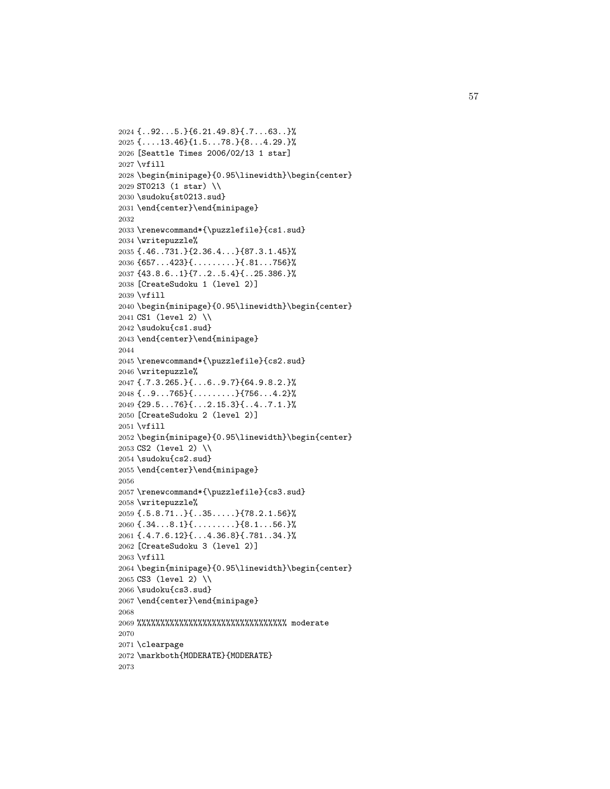```
2024 {..92...5.}{6.21.49.8}{.7...63..}%
2025 {....13.46}{1.5...78.}{8...4.29.}%
2026 [Seattle Times 2006/02/13 1 star]
2027 \vfill
2028 \begin{minipage}{0.95\linewidth}\begin{center}
2029 ST0213 (1 star) \\
2030 \sudoku{st0213.sud}
2031 \end{center}\end{minipage}
2032
2033 \renewcommand*{\puzzlefile}{cs1.sud}
2034 \writepuzzle%
2035 {.46..731.}{2.36.4...}{87.3.1.45}%
2036 {657...423}{.........}{.81...756}%
2037 {43.8.6..1}{7..2..5.4}{..25.386.}%
2038 [CreateSudoku 1 (level 2)]
2039 \vfill
2040 \begin{minipage}{0.95\linewidth}\begin{center}
2041 CS1 (level 2) \\
2042 \sudoku{cs1.sud}
2043 \end{center}\end{minipage}
2044
2045 \renewcommand*{\puzzlefile}{cs2.sud}
2046 \writepuzzle%
2047 {.7.3.265.}{...6..9.7}{64.9.8.2.}%
2048 {..9...765}{.........}{756...4.2}%
2049 {29.5...76}{...2.15.3}{..4..7.1.}%
2050 [CreateSudoku 2 (level 2)]
2051 \vfill
2052 \begin{minipage}{0.95\linewidth}\begin{center}
2053 CS2 (level 2) \\
2054 \sudoku{cs2.sud}
2055 \end{center}\end{minipage}
2056
2057 \renewcommand*{\puzzlefile}{cs3.sud}
2058 \writepuzzle%
2059 {.5.8.71..}{..35.....}{78.2.1.56}%
2060 {.34...8.1}{.........}{8.1...56.}%
2061 {.4.7.6.12}{...4.36.8}{.781..34.}%
2062 [CreateSudoku 3 (level 2)]
2063 \vfill
2064 \begin{minipage}{0.95\linewidth}\begin{center}
2065 CS3 (level 2) \\
2066 \sudoku{cs3.sud}
2067 \end{center}\end{minipage}
2068
2069 %%%%%%%%%%%%%%%%%%%%%%%%%%%%%%%% moderate
2070
2071 \clearpage
2072 \markboth{MODERATE}{MODERATE}
2073
```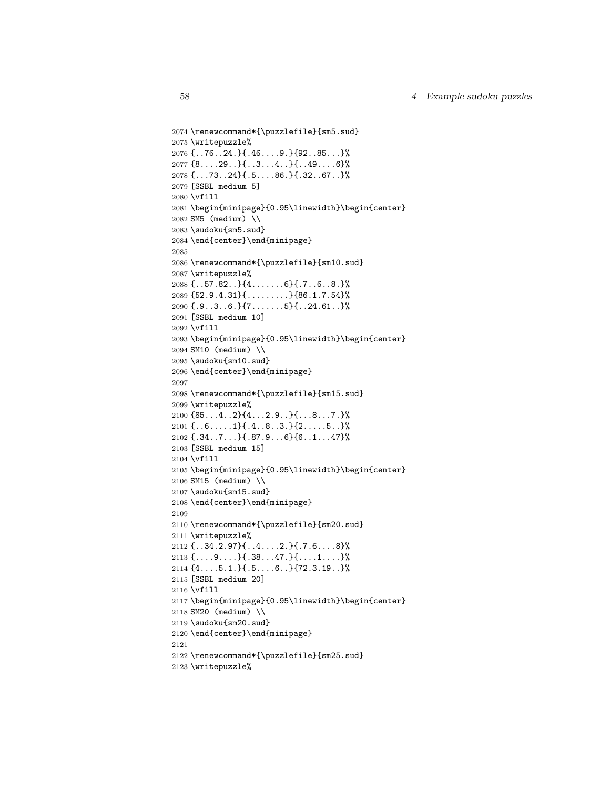```
2074 \renewcommand*{\puzzlefile}{sm5.sud}
2075 \writepuzzle%
2076 {..76..24.}{.46....9.}{92..85...}%
2077 {8....29..}{..3...4..}{..49....6}%
2078 {...73..24}{.5....86.}{.32..67..}%
2079 [SSBL medium 5]
2080 \vfill
2081 \begin{minipage}{0.95\linewidth}\begin{center}
2082 SM5 (medium) \\
2083 \sudoku{sm5.sud}
2084 \end{center}\end{minipage}
2085
2086 \renewcommand*{\puzzlefile}{sm10.sud}
2087 \writepuzzle%
2088 {..57.82..}{4.......6}{.7..6..8.}%
2089 {52.9.4.31}{.........}{86.1.7.54}%
2090 {.9..3..6.}{7.......5}{..24.61..}%
2091 [SSBL medium 10]
2092 \vfill
2093 \begin{minipage}{0.95\linewidth}\begin{center}
2094 SM10 (medium) \\
2095 \sudoku{sm10.sud}
2096 \end{center}\end{minipage}
2097
2098 \renewcommand*{\puzzlefile}{sm15.sud}
2099 \writepuzzle%
2100 {85...4..2}{4...2.9..}{...8...7.}%
2101 {..6.....1}{.4..8..3.}{2.....5..}%
2102 {.34..7...}{.87.9...6}{6..1...47}%
2103 [SSBL medium 15]
2104 \vfill
2105 \begin{minipage}{0.95\linewidth}\begin{center}
2106 SM15 (medium) \\
2107 \sudoku{sm15.sud}
2108 \end{center}\end{minipage}
2109
2110 \renewcommand*{\puzzlefile}{sm20.sud}
2111 \writepuzzle%
2112 {..34.2.97}{..4....2.}{.7.6....8}%
2113 {....9....}{.38...47.}{....1....}%
2114 {4....5.1.}{.5....6..}{72.3.19..}%
2115 [SSBL medium 20]
2116 \vfill
2117 \begin{minipage}{0.95\linewidth}\begin{center}
2118 SM20 (medium) \\
2119 \sudoku{sm20.sud}
2120 \end{center}\end{minipage}
2121
2122 \renewcommand*{\puzzlefile}{sm25.sud}
2123 \writepuzzle%
```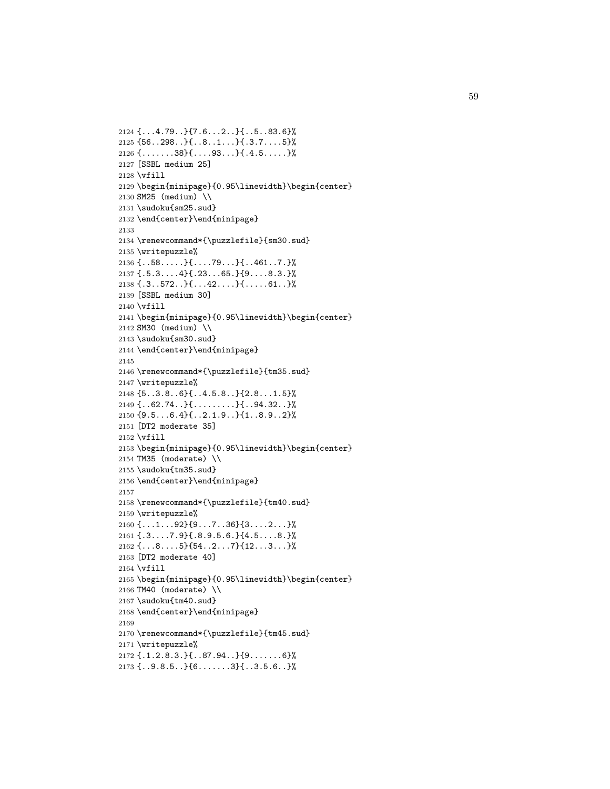```
2124 {...4.79..}{7.6...2..}{..5..83.6}%
2125 {56..298..}{..8..1...}{.3.7....5}%
2126 {.......38}{....93...}{.4.5.....}%
2127 [SSBL medium 25]
2128 \vfill
2129 \begin{minipage}{0.95\linewidth}\begin{center}
2130 SM25 (medium) \\
2131 \sudoku{sm25.sud}
2132 \end{center}\end{minipage}
2133
2134 \renewcommand*{\puzzlefile}{sm30.sud}
2135 \writepuzzle%
2136 {..58.....}{....79...}{..461..7.}%
2137 {.5.3....4}{.23...65.}{9....8.3.}%
2138 \{.\,3\,.\,572\,.\,.\} \{.\,.\,42\,.\,.\,.\} \{.\,.\,.\,61\,.\,.\}2139 [SSBL medium 30]
2140 \vfill
2141 \begin{minipage}{0.95\linewidth}\begin{center}
2142 SM30 (medium) \\
2143 \sudoku{sm30.sud}
2144 \end{center}\end{minipage}
2145
2146 \renewcommand*{\puzzlefile}{tm35.sud}
2147 \writepuzzle%
2148 {5..3.8..6}{..4.5.8..}{2.8...1.5}%
2149 {..62.74..}{.........}{..94.32..}%
2150 {9.5...6.4}{..2.1.9..}{1..8.9..2}%
2151 [DT2 moderate 35]
2152 \vfill
2153 \begin{minipage}{0.95\linewidth}\begin{center}
2154 TM35 (moderate) \\
2155 \sudoku{tm35.sud}
2156 \end{center}\end{minipage}
2157
2158 \renewcommand*{\puzzlefile}{tm40.sud}
2159 \writepuzzle%
2160 {...1...92}{9...7..36}{3....2...}%
2161 {.3....7.9}{.8.9.5.6.}{4.5....8.}%
2162 {...8....5}{54..2...7}{12...3...}%
2163 [DT2 moderate 40]
2164 \vfill
2165 \begin{minipage}{0.95\linewidth}\begin{center}
2166 TM40 (moderate) \\
2167 \sudoku{tm40.sud}
2168 \end{center}\end{minipage}
2169
2170 \renewcommand*{\puzzlefile}{tm45.sud}
2171 \writepuzzle%
2172 {.1.2.8.3.}{..87.94..}{9.......6}%
2173 {..9.8.5..}{6.......3}{..3.5.6..}%
```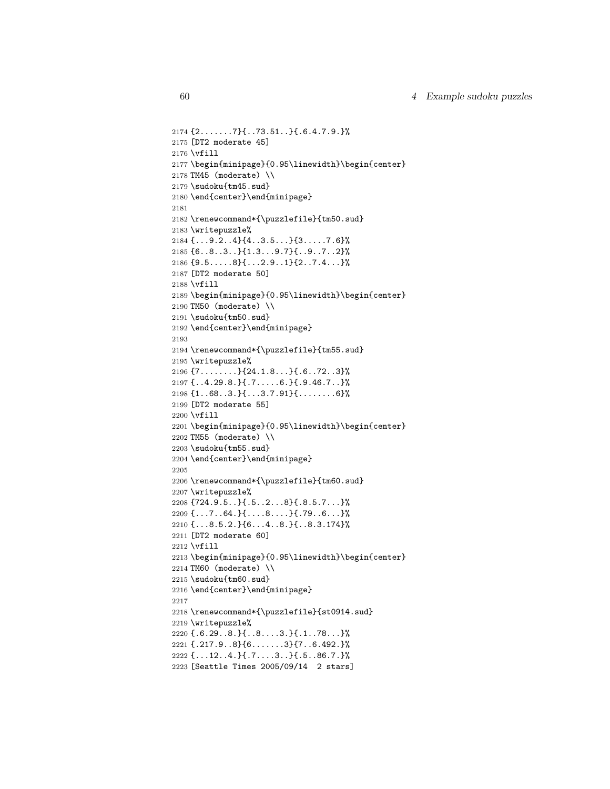```
2174 {2.......7}{..73.51..}{.6.4.7.9.}%
2175 [DT2 moderate 45]
2176 \vfill
2177 \begin{minipage}{0.95\linewidth}\begin{center}
2178 TM45 (moderate) \\
2179 \sudoku{tm45.sud}
2180 \end{center}\end{minipage}
2181
2182 \renewcommand*{\puzzlefile}{tm50.sud}
2183 \writepuzzle%
2184 {...9.2..4}{4..3.5...}{3.....7.6}%
2185 {6..8..3..}{1.3...9.7}{..9..7..2}%
2186 {9.5.....8}{...2.9..1}{2..7.4...}%
2187 [DT2 moderate 50]
2188 \vfill
2189 \begin{minipage}{0.95\linewidth}\begin{center}
2190 TM50 (moderate) \\
2191 \sudoku{tm50.sud}
2192 \end{center}\end{minipage}
2193
2194 \renewcommand*{\puzzlefile}{tm55.sud}
2195 \writepuzzle%
2196 {7........}{24.1.8...}{.6..72..3}%
2197 {..4.29.8.}{.7.....6.}{.9.46.7..}%
2198 {1..68..3.}{...3.7.91}{........6}%
2199 [DT2 moderate 55]
2200 \vfill
2201 \begin{minipage}{0.95\linewidth}\begin{center}
2202 TM55 (moderate) \\
2203 \sudoku{tm55.sud}
2204 \end{center}\end{minipage}
2205
2206 \renewcommand*{\puzzlefile}{tm60.sud}
2207 \writepuzzle%
2208 \{724.9.5.\} {72.5.3} {8.5.7\2209 \{ \ldots 7 \ldots 64. \} \{ \ldots 8 \ldots \} \{ \ldots 79 \ldots 6 \ldots \}2210 {...8.5.2.}{6...4..8.}{..8.3.174}%
2211 [DT2 moderate 60]
2212 \vfill
2213 \begin{minipage}{0.95\linewidth}\begin{center}
2214 TM60 (moderate) \\
2215 \sudoku{tm60.sud}
2216 \end{center}\end{minipage}
2217
2218 \renewcommand*{\puzzlefile}{st0914.sud}
2219 \writepuzzle%
2220 \{.\,6.29\,.\,8.\} \{.\,8\ldots.3.\} \{.\,1\ldots 78\ldots\}2221 {.217.9..8}{6.......3}{7..6.492.}%
2222 {...12..4.}{.7....3..}{.5..86.7.}%
2223 [Seattle Times 2005/09/14 2 stars]
```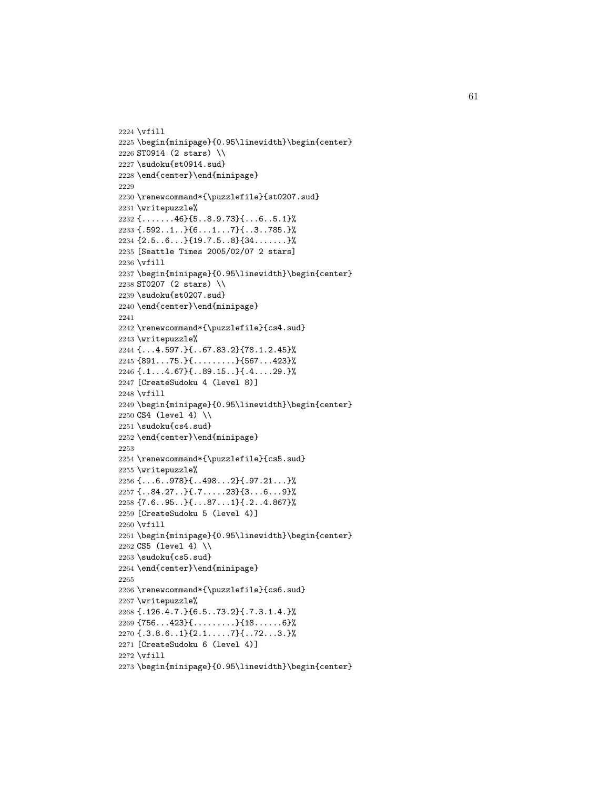```
2224 \vfill
2225 \begin{minipage}{0.95\linewidth}\begin{center}
2226 ST0914 (2 stars) \\
2227 \sudoku{st0914.sud}
2228 \end{center}\end{minipage}
2229
2230 \renewcommand*{\puzzlefile}{st0207.sud}
2231 \writepuzzle%
2232 {.......46}{5..8.9.73}{...6..5.1}%
2233 {.592..1..}{6...1...7}{..3..785.}%
2234 {2.5..6...}{19.7.5..8}{34.......}%
2235 [Seattle Times 2005/02/07 2 stars]
2236 \vfill
2237 \begin{minipage}{0.95\linewidth}\begin{center}
2238 ST0207 (2 stars) \\
2239 \sudoku{st0207.sud}
2240 \end{center}\end{minipage}
2241
2242 \renewcommand*{\puzzlefile}{cs4.sud}
2243 \writepuzzle%
2244 {...4.597.}{..67.83.2}{78.1.2.45}%
2245 {891...75.}{.........}{567...423}%
2246 {.1...4.67}{..89.15..}{.4....29.}%
2247 [CreateSudoku 4 (level 8)]
2248 \vfill
2249 \begin{minipage}{0.95\linewidth}\begin{center}
2250 CS4 (level 4) \\
2251 \sudoku{cs4.sud}
2252 \end{center}\end{minipage}
2253
2254 \renewcommand*{\puzzlefile}{cs5.sud}
2255 \writepuzzle%
2256 {...6..978}{..498...2}{.97.21...}%
2257 {..84.27..}{.7.....23}{3...6...9}%
2258 \{7.6.05.0\}{1.87.01}{.2..4.867}%
2259 [CreateSudoku 5 (level 4)]
2260 \vfill
2261 \begin{minipage}{0.95\linewidth}\begin{center}
2262 CS5 (level 4) \\
2263 \sudoku{cs5.sud}
2264 \end{center}\end{minipage}
2265
2266 \renewcommand*{\puzzlefile}{cs6.sud}
2267 \writepuzzle%
2268 {.126.4.7.}{6.5..73.2}{.7.3.1.4.}%
2269 {756...423}{.........}{18......6}%
2270 \{.\overline{3.8.6} \ldots \} \{2.1 \ldots .7\} \{.\overline{72 \ldots 3.}\}2271 [CreateSudoku 6 (level 4)]
2272 \vfill
2273 \begin{minipage}{0.95\linewidth}\begin{center}
```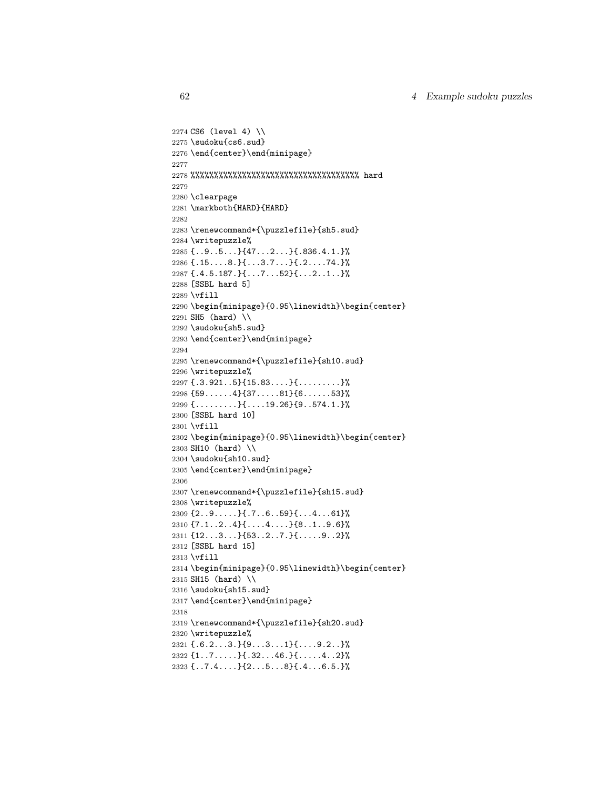```
2274 CS6 (level 4) \\
2275 \sudoku{cs6.sud}
2276 \end{center}\end{minipage}
2277
2278 %%%%%%%%%%%%%%%%%%%%%%%%%%%%%%%%%%%% hard
2279
2280 \clearpage
2281 \markboth{HARD}{HARD}
2282
2283 \renewcommand*{\puzzlefile}{sh5.sud}
2284 \writepuzzle%
2285 {..9..5...}{47...2...}{.836.4.1.}%
2286 {.15....8.}{...3.7...}{.2....74.}%
2287 {.4.5.187.}{...7...52}{...2..1..}%
2288 [SSBL hard 5]
2289 \vfill
2290 \begin{minipage}{0.95\linewidth}\begin{center}
2291 SH5 (hard) \\
2292 \sudoku{sh5.sud}
2293 \end{center}\end{minipage}
2294
2295 \renewcommand*{\puzzlefile}{sh10.sud}
2296 \writepuzzle%
2297 {.3.921..5}{15.83....}{.........}%
2298 {59......4}{37.....81}{6......53}%
2299 \{ \ldots \ldots \} \{ \ldots 19.26 \} \{ 9 \ldots 574.1. \}2300 [SSBL hard 10]
2301 \vfill
2302 \begin{minipage}{0.95\linewidth}\begin{center}
2303 SH10 (hard) \\
2304 \sudoku{sh10.sud}
2305 \end{center}\end{minipage}
2306
2307 \renewcommand*{\puzzlefile}{sh15.sud}
2308 \writepuzzle%
2309 {2..9.....}{.7..6..59}{...4...61}%
2310 {7.1..2..4}{....4....}{8..1..9.6}%
2311 {12...3...}{53..2..7.}{.....9..2}%
2312 [SSBL hard 15]
2313 \vfill
2314 \begin{minipage}{0.95\linewidth}\begin{center}
2315 SH15 (hard) \\
2316 \sudoku{sh15.sud}
2317 \end{center}\end{minipage}
2318
2319 \renewcommand*{\puzzlefile}{sh20.sud}
2320 \writepuzzle%
2321 \{.\,6.2\ldots 3.\}{9...3...1}{....9.2..}%
2322 \{1 \ldots 7 \ldots \} \{ .32 \ldots 46 \} \{ \ldots 4 \ldots 4 \ldots 2 \}2323 {..7.4....}{2...5...8}{.4...6.5.}%
```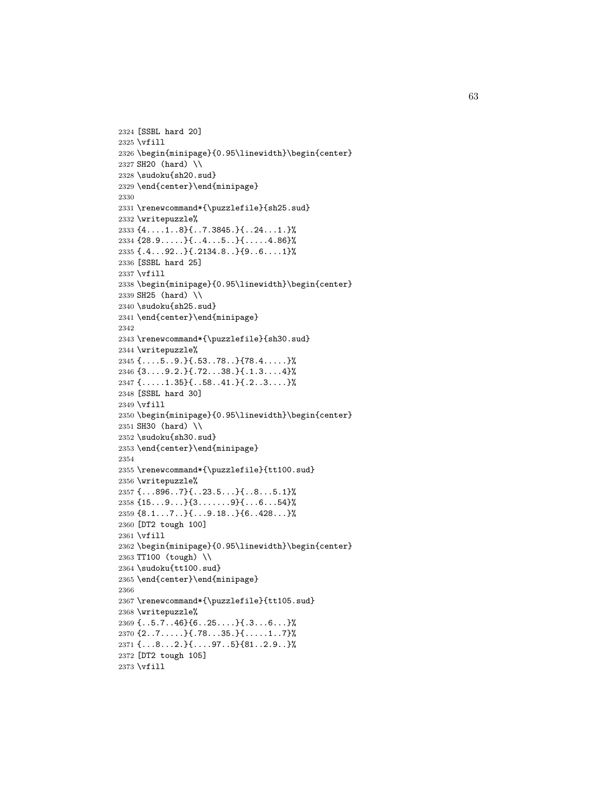```
2324 [SSBL hard 20]
2325 \vfill
2326 \begin{minipage}{0.95\linewidth}\begin{center}
2327 SH20 (hard) \\
2328 \sudoku{sh20.sud}
2329 \end{center}\end{minipage}
2330
2331 \renewcommand*{\puzzlefile}{sh25.sud}
2332 \writepuzzle%
2333 {4....1..8}{..7.3845.}{..24...1.}%
2334 {28.9.....}{..4...5..}{.....4.86}%
2335 {.4...92..}{.2134.8..}{9..6....1}%
2336 [SSBL hard 25]
2337 \vfill
2338 \begin{minipage}{0.95\linewidth}\begin{center}
2339 SH25 (hard) \\
2340 \sudoku{sh25.sud}
2341 \end{center}\end{minipage}
2342
2343 \renewcommand*{\puzzlefile}{sh30.sud}
2344 \writepuzzle%
2345 {....5..9.}{.53..78..}{78.4.....}%
2346 {3....9.2.}{.72...38.}{.1.3....4}%
2347 {.....1.35}{..58..41.}{.2..3....}%
2348 [SSBL hard 30]
2349 \vfill
2350 \begin{minipage}{0.95\linewidth}\begin{center}
2351 SH30 (hard) \\
2352 \sudoku{sh30.sud}
2353 \end{center}\end{minipage}
2354
2355 \renewcommand*{\puzzlefile}{tt100.sud}
2356 \writepuzzle%
2357 {...896..7}{..23.5...}{..8...5.1}%
2358 {15...9...}{3.......9}{...6...54}%
2359 {8.1...7..}{...9.18..}{6..428...}%
2360 [DT2 tough 100]
2361 \vfill
2362 \begin{minipage}{0.95\linewidth}\begin{center}
2363 TT100 (tough) \\
2364 \sudoku{tt100.sud}
2365 \end{center}\end{minipage}
2366
2367 \renewcommand*{\puzzlefile}{tt105.sud}
2368 \writepuzzle%
2369 {..5.7..46}{6..25....}{.3...6...}%
2370 \{2..7 \ldots \} \{ .78 \ldots 35.\} \{ \ldots 1 \ldots 7 \}2371 {...8...2.}{....97..5}{81..2.9..}%
2372 [DT2 tough 105]
2373 \vfill
```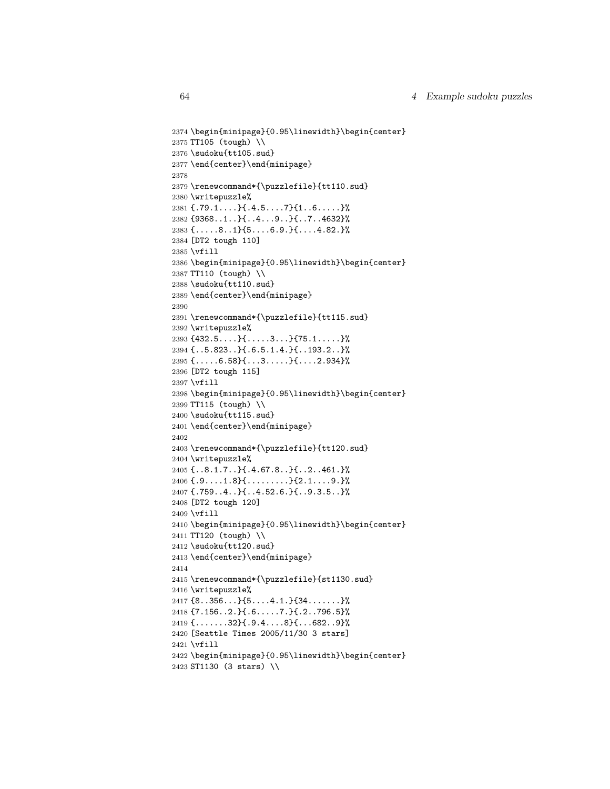```
2374 \begin{minipage}{0.95\linewidth}\begin{center}
2375 TT105 (tough) \\
2376 \sudoku{tt105.sud}
2377 \end{center}\end{minipage}
2378
2379 \renewcommand*{\puzzlefile}{tt110.sud}
2380 \writepuzzle%
2381 {.79.1....}{.4.5....7}{1..6.....}%
2382 {9368..1..}{..4...9..}{..7..4632}%
2383 {.....8..1}{5....6.9.}{....4.82.}%
2384 [DT2 tough 110]
2385 \vfill
2386 \begin{minipage}{0.95\linewidth}\begin{center}
2387 TT110 (tough) \\
2388 \sudoku{tt110.sud}
2389 \end{center}\end{minipage}
2390
2391 \renewcommand*{\puzzlefile}{tt115.sud}
2392 \writepuzzle%
2393 {432.5....}{.....3...}{75.1.....}%
2394 {..5.823..}{.6.5.1.4.}{..193.2..}%
2395 {.....6.58}{...3.....}{....2.934}%
2396 [DT2 tough 115]
2397 \vfill
2398 \begin{minipage}{0.95\linewidth}\begin{center}
2399 TT115 (tough) \\
2400 \sudoku{tt115.sud}
2401 \end{center}\end{minipage}
2402
2403 \renewcommand*{\puzzlefile}{tt120.sud}
2404 \writepuzzle%
2405 {..8.1.7..}{.4.67.8..}{..2..461.}%
2406 {.9....1.8} {.\dots.....} {2.1.........}
2407 {.759..4..}{..4.52.6.}{..9.3.5..}%
2408 [DT2 tough 120]
2409 \vfill
2410 \begin{minipage}{0.95\linewidth}\begin{center}
2411 TT120 (tough) \\
2412 \sudoku{tt120.sud}
2413 \end{center}\end{minipage}
2414
2415 \renewcommand*{\puzzlefile}{st1130.sud}
2416 \writepuzzle%
2417 {8..356...}{5....4.1.}{34.......}%
2418 {7.156..2.}{.6.....7.}{.2..796.5}%
2419 \{ \ldots \ldots \ldots 32\} \{ \ldots 9\} \{ \ldots 682 \ldots 9\}2420 [Seattle Times 2005/11/30 3 stars]
2421 \vfill
2422 \begin{minipage}{0.95\linewidth}\begin{center}
2423 ST1130 (3 stars) \\
```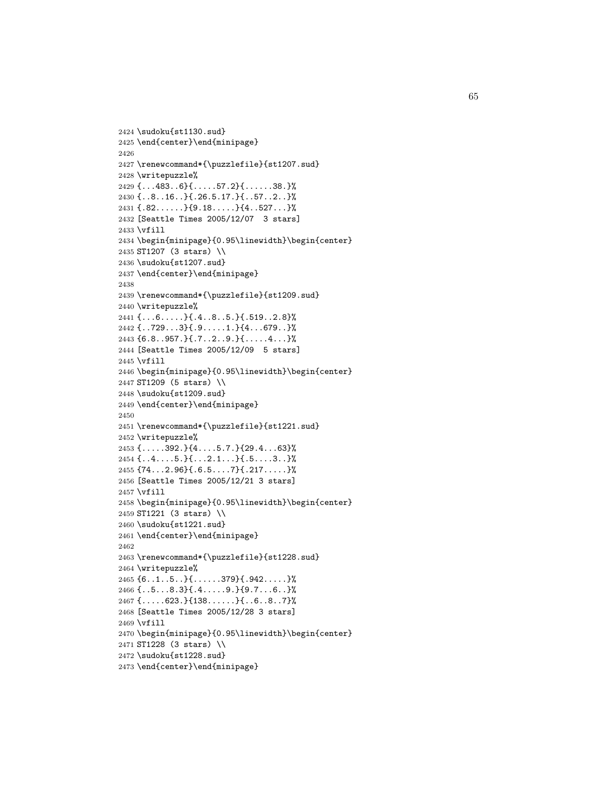```
2424 \sudoku{st1130.sud}
2425 \end{center}\end{minipage}
2426
2427 \renewcommand*{\puzzlefile}{st1207.sud}
2428 \writepuzzle%
2429 {...483..6}{.....57.2}{......38.}%
2430 {..8..16..}{.26.5.17.}{..57..2..}%
2431 \{.\82.\ldots.\}{9.18....}{4..527...}%
2432 [Seattle Times 2005/12/07 3 stars]
2433 \vfill
2434 \begin{minipage}{0.95\linewidth}\begin{center}
2435 ST1207 (3 stars) \\
2436 \sudoku{st1207.sud}
2437 \end{center}\end{minipage}
2438
2439 \renewcommand*{\puzzlefile}{st1209.sud}
2440 \writepuzzle%
2441 {...6.....}{.4..8..5.}{.519..2.8}%
2442 {..729...3}{.9.....1.}{4...679..}%
2443 {6.8..957.}{.7..2..9.}{.....4...}%
2444 [Seattle Times 2005/12/09 5 stars]
2445 \vfill
2446 \begin{minipage}{0.95\linewidth}\begin{center}
2447 ST1209 (5 stars) \\
2448 \sudoku{st1209.sud}
2449 \end{center}\end{minipage}
2450
2451 \renewcommand*{\puzzlefile}{st1221.sud}
2452 \writepuzzle%
2453 {.....392.}{4....5.7.}{29.4...63}%
2454 {\dots4....5.} {\dots2.1...} {.5....3..} %
2455 {74...2.96}{.6.5....7}{.217.....}%
2456 [Seattle Times 2005/12/21 3 stars]
2457 \vfill
2458 \begin{minipage}{0.95\linewidth}\begin{center}
2459 ST1221 (3 stars) \\
2460 \sudoku{st1221.sud}
2461 \end{center}\end{minipage}
2462
2463 \renewcommand*{\puzzlefile}{st1228.sud}
2464 \writepuzzle%
2465 {6..1..5..}{......379}{.942.....}%
2466 {..5...8.3}{.4.....9.}{9.7...6..}%
2467 {.....623.}{138......}{..6..8..7}%
2468 [Seattle Times 2005/12/28 3 stars]
2469 \vfill
2470 \begin{minipage}{0.95\linewidth}\begin{center}
2471 ST1228 (3 stars) \\
2472 \sudoku{st1228.sud}
2473 \end{center}\end{minipage}
```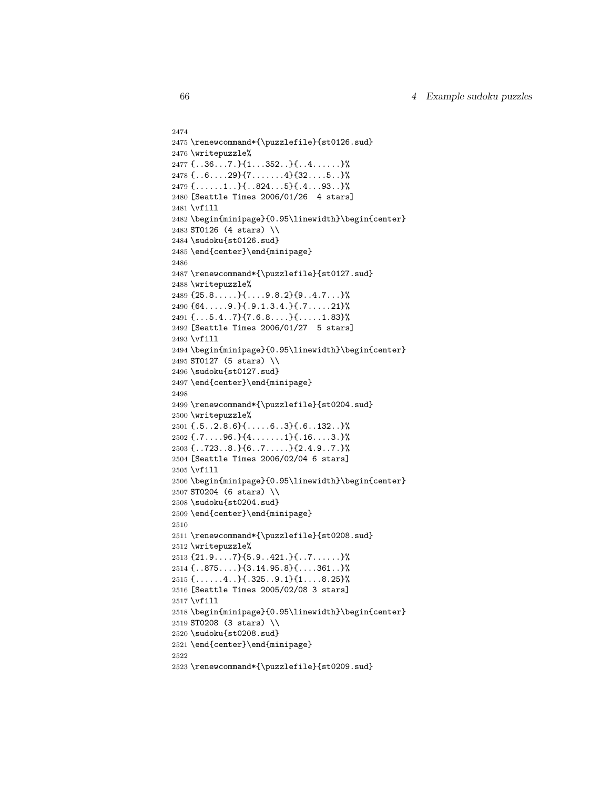```
2474
2475 \renewcommand*{\puzzlefile}{st0126.sud}
2476 \writepuzzle%
2477 \{ \ldots 36 \ldots 7 \} \{ 1 \ldots 352 \ldots \} \{ \ldots 4 \ldots \ldots \}2478 {..6....29}{7.......4}{32....5..}%
2479 \{ \ldots \ldots 1 \ldots \} \{ \ldots 824 \ldots 5 \} \{ \ldots 93 \ldots \}2480 [Seattle Times 2006/01/26 4 stars]
2481 \vfill
2482 \begin{minipage}{0.95\linewidth}\begin{center}
2483 ST0126 (4 stars) \\
2484 \sudoku{st0126.sud}
2485 \end{center}\end{minipage}
2486
2487 \renewcommand*{\puzzlefile}{st0127.sud}
2488 \writepuzzle%
2489 {25.8.....}{....9.8.2}{9..4.7...}%
2490 {64.....9.}{.9.1.3.4.}{.7.....21}%
2491 {...5.4..7}{7.6.8....}{.....1.83}%
2492 [Seattle Times 2006/01/27 5 stars]
2493 \vfill
2494 \begin{minipage}{0.95\linewidth}\begin{center}
2495 ST0127 (5 stars) \\
2496 \sudoku{st0127.sud}
2497 \end{center}\end{minipage}
2498
2499 \renewcommand*{\puzzlefile}{st0204.sud}
2500 \writepuzzle%
2501 {.5..2.8.6}{.....6..3}{.6..132..}%
2502 {.7....96.}{4.......1}{.16....3.}%
2503 {..723..8.}{6..7.....}{2.4.9..7.}%
2504 [Seattle Times 2006/02/04 6 stars]
2505 \vfill
2506 \begin{minipage}{0.95\linewidth}\begin{center}
2507 ST0204 (6 stars) \\
2508 \sudoku{st0204.sud}
2509 \end{center}\end{minipage}
2510
2511 \renewcommand*{\puzzlefile}{st0208.sud}
2512 \writepuzzle%
2513 {21.9....7}{5.9..421.}{..7......}%
2514 {..875....}{3.14.95.8}{....361..}%
2515 \{ \ldots \ldots 4 \ldots \} \{ .325 \ldots 9 \ldots 1 \} \{ 1 \ldots 8 \ldots 25 \}2516 [Seattle Times 2005/02/08 3 stars]
2517 \vfill
2518 \begin{minipage}{0.95\linewidth}\begin{center}
2519 ST0208 (3 stars) \\
2520 \sudoku{st0208.sud}
2521 \end{center}\end{minipage}
2522
2523 \renewcommand*{\puzzlefile}{st0209.sud}
```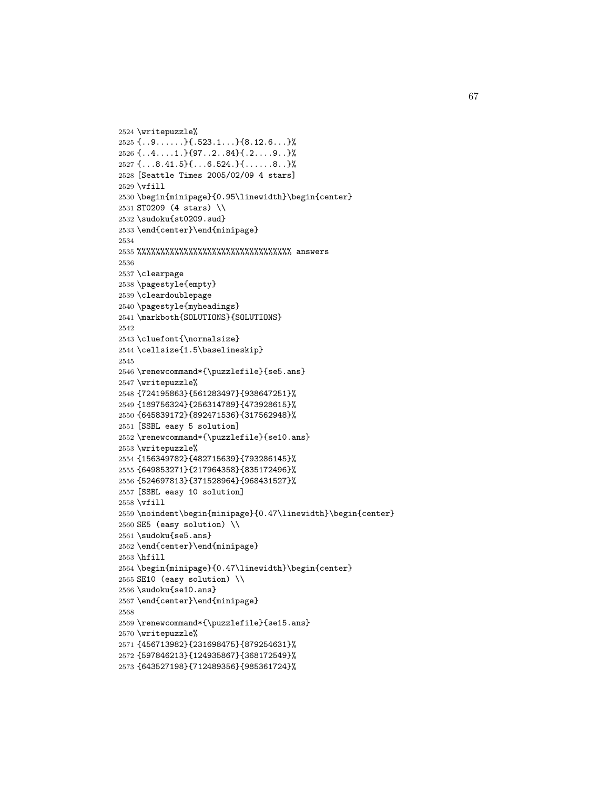```
2524 \writepuzzle%
2525 \{ \ldots 9 \ldots \} \{ \ldots 523.1 \ldots \} \{ \} 8.12.6 \ldots \}2526 {..4....1.}{97..2..84}{.2....9..}%
2527 {...8.41.5}{...6.524.}{......8..}%
2528 [Seattle Times 2005/02/09 4 stars]
2529 \vfill
2530 \begin{minipage}{0.95\linewidth}\begin{center}
2531 ST0209 (4 stars) \\
2532 \sudoku{st0209.sud}
2533 \end{center}\end{minipage}
2534
2535 %%%%%%%%%%%%%%%%%%%%%%%%%%%%%%%%% answers
2536
2537 \clearpage
2538 \pagestyle{empty}
2539 \cleardoublepage
2540 \pagestyle{myheadings}
2541 \markboth{SOLUTIONS}{SOLUTIONS}
2542
2543 \cluefont{\normalsize}
2544 \cellsize{1.5\baselineskip}
2545
2546 \renewcommand*{\puzzlefile}{se5.ans}
2547 \writepuzzle%
2548 {724195863}{561283497}{938647251}%
2549 {189756324}{256314789}{473928615}%
2550 {645839172}{892471536}{317562948}%
2551 [SSBL easy 5 solution]
2552 \renewcommand*{\puzzlefile}{se10.ans}
2553 \writepuzzle%
2554 {156349782}{482715639}{793286145}%
2555 {649853271}{217964358}{835172496}%
2556 {524697813}{371528964}{968431527}%
2557 [SSBL easy 10 solution]
2558 \vfill
2559 \noindent\begin{minipage}{0.47\linewidth}\begin{center}
2560 SE5 (easy solution) \\
2561 \sudoku{se5.ans}
2562 \end{center}\end{minipage}
2563 \hfill
2564 \begin{minipage}{0.47\linewidth}\begin{center}
2565 SE10 (easy solution) \\
2566 \sudoku{se10.ans}
2567 \end{center}\end{minipage}
2568
2569 \renewcommand*{\puzzlefile}{se15.ans}
2570 \writepuzzle%
2571 {456713982}{231698475}{879254631}%
2572 {597846213}{124935867}{368172549}%
2573 {643527198}{712489356}{985361724}%
```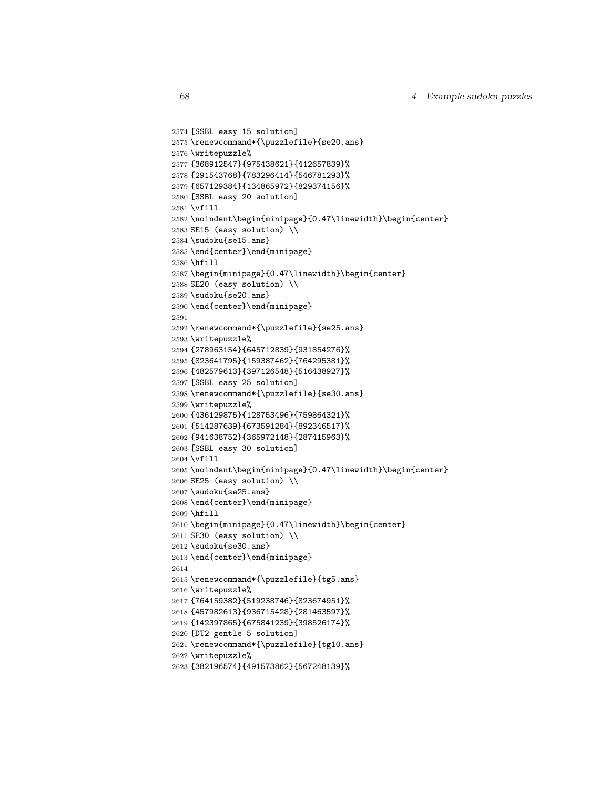```
2574 [SSBL easy 15 solution]
2575 \renewcommand*{\puzzlefile}{se20.ans}
2576 \writepuzzle%
2577 {368912547}{975438621}{412657839}%
2578 {291543768}{783296414}{546781293}%
2579 {657129384}{134865972}{829374156}%
2580 [SSBL easy 20 solution]
2581 \vfill
2582 \noindent\begin{minipage}{0.47\linewidth}\begin{center}
2583 SE15 (easy solution) \\
2584 \sudoku{se15.ans}
2585 \end{center}\end{minipage}
2586 \hfill
2587 \begin{minipage}{0.47\linewidth}\begin{center}
2588 SE20 (easy solution) \\
2589 \sudoku{se20.ans}
2590 \end{center}\end{minipage}
2591
2592 \renewcommand*{\puzzlefile}{se25.ans}
2593 \writepuzzle%
2594 {278963154}{645712839}{931854276}%
2595 {823641795}{159387462}{764295381}%
2596 {482579613}{397126548}{516438927}%
2597 [SSBL easy 25 solution]
2598 \renewcommand*{\puzzlefile}{se30.ans}
2599 \writepuzzle%
2600 {436129875}{128753496}{759864321}%
2601 {514287639}{673591284}{892346517}%
2602 {941638752}{365972148}{287415963}%
2603 [SSBL easy 30 solution]
2604 \vfill
2605 \noindent\begin{minipage}{0.47\linewidth}\begin{center}
2606 SE25 (easy solution) \\
2607 \sudoku{se25.ans}
2608 \end{center}\end{minipage}
2609 \hfill
2610 \begin{minipage}{0.47\linewidth}\begin{center}
2611 SE30 (easy solution) \\
2612 \sudoku{se30.ans}
2613 \end{center}\end{minipage}
2614
2615 \renewcommand*{\puzzlefile}{tg5.ans}
2616 \writepuzzle%
2617 {764159382}{519238746}{823674951}%
2618 {457982613}{936715428}{281463597}%
2619 {142397865}{675841239}{398526174}%
2620 [DT2 gentle 5 solution]
2621 \renewcommand*{\puzzlefile}{tg10.ans}
2622 \writepuzzle%
2623 {382196574}{491573862}{567248139}%
```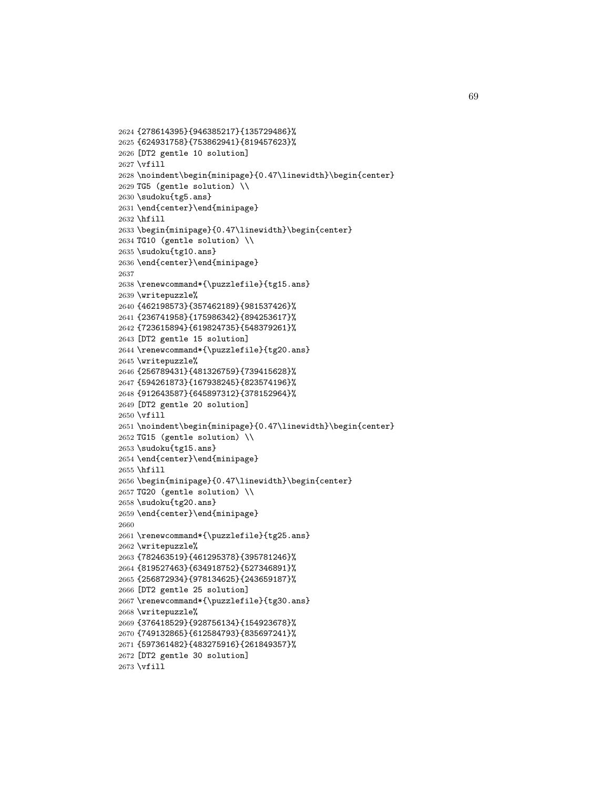```
2624 {278614395}{946385217}{135729486}%
2625 {624931758}{753862941}{819457623}%
2626 [DT2 gentle 10 solution]
2627 \vfill
2628 \noindent\begin{minipage}{0.47\linewidth}\begin{center}
2629 TG5 (gentle solution) \\
2630 \sudoku{tg5.ans}
2631 \end{center}\end{minipage}
2632 \hfill
2633 \begin{minipage}{0.47\linewidth}\begin{center}
2634 TG10 (gentle solution) \\
2635 \sudoku{tg10.ans}
2636 \end{center}\end{minipage}
2637
2638 \renewcommand*{\puzzlefile}{tg15.ans}
2639 \writepuzzle%
2640 {462198573}{357462189}{981537426}%
2641 {236741958}{175986342}{894253617}%
2642 {723615894}{619824735}{548379261}%
2643 [DT2 gentle 15 solution]
2644 \renewcommand*{\puzzlefile}{tg20.ans}
2645 \writepuzzle%
2646 {256789431}{481326759}{739415628}%
2647 {594261873}{167938245}{823574196}%
2648 {912643587}{645897312}{378152964}%
2649 [DT2 gentle 20 solution]
2650 \vfill
2651 \noindent\begin{minipage}{0.47\linewidth}\begin{center}
2652 TG15 (gentle solution) \\
2653 \sudoku{tg15.ans}
2654 \end{center}\end{minipage}
2655 \hfill
2656 \begin{minipage}{0.47\linewidth}\begin{center}
2657 TG20 (gentle solution) \\
2658 \sudoku{tg20.ans}
2659 \end{center}\end{minipage}
2660
2661 \renewcommand*{\puzzlefile}{tg25.ans}
2662 \writepuzzle%
2663 {782463519}{461295378}{395781246}%
2664 {819527463}{634918752}{527346891}%
2665 {256872934}{978134625}{243659187}%
2666 [DT2 gentle 25 solution]
2667 \renewcommand*{\puzzlefile}{tg30.ans}
2668 \writepuzzle%
2669 {376418529}{928756134}{154923678}%
2670 {749132865}{612584793}{835697241}%
2671 {597361482}{483275916}{261849357}%
2672 [DT2 gentle 30 solution]
2673 \vfill
```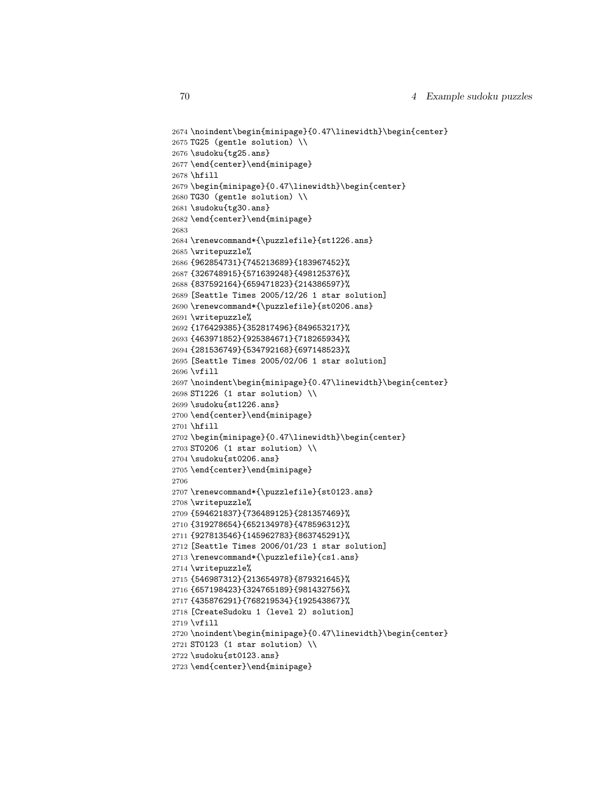```
2674 \noindent\begin{minipage}{0.47\linewidth}\begin{center}
2675 TG25 (gentle solution) \\
2676 \sudoku{tg25.ans}
2677 \end{center}\end{minipage}
2678 \hfill
2679 \begin{minipage}{0.47\linewidth}\begin{center}
2680 TG30 (gentle solution) \\
2681 \sudoku{tg30.ans}
2682 \end{center}\end{minipage}
2683
2684 \renewcommand*{\puzzlefile}{st1226.ans}
2685 \writepuzzle%
2686 {962854731}{745213689}{183967452}%
2687 {326748915}{571639248}{498125376}%
2688 {837592164}{659471823}{214386597}%
2689 [Seattle Times 2005/12/26 1 star solution]
2690 \renewcommand*{\puzzlefile}{st0206.ans}
2691 \writepuzzle%
2692 {176429385}{352817496}{849653217}%
2693 {463971852}{925384671}{718265934}%
2694 {281536749}{534792168}{697148523}%
2695 [Seattle Times 2005/02/06 1 star solution]
2696 \vfill
2697 \noindent\begin{minipage}{0.47\linewidth}\begin{center}
2698 ST1226 (1 star solution) \\
2699 \sudoku{st1226.ans}
2700 \end{center}\end{minipage}
2701 \hfill
2702 \begin{minipage}{0.47\linewidth}\begin{center}
2703 ST0206 (1 star solution) \\
2704 \sudoku{st0206.ans}
2705 \end{center}\end{minipage}
2706
2707 \renewcommand*{\puzzlefile}{st0123.ans}
2708 \writepuzzle%
2709 {594621837}{736489125}{281357469}%
2710 {319278654}{652134978}{478596312}%
2711 {927813546}{145962783}{863745291}%
2712 [Seattle Times 2006/01/23 1 star solution]
2713 \renewcommand*{\puzzlefile}{cs1.ans}
2714 \writepuzzle%
2715 {546987312}{213654978}{879321645}%
2716 {657198423}{324765189}{981432756}%
2717 {435876291}{768219534}{192543867}%
2718 [CreateSudoku 1 (level 2) solution]
2719 \vfill
2720 \noindent\begin{minipage}{0.47\linewidth}\begin{center}
2721 ST0123 (1 star solution) \\
2722 \sudoku{st0123.ans}
2723 \end{center}\end{minipage}
```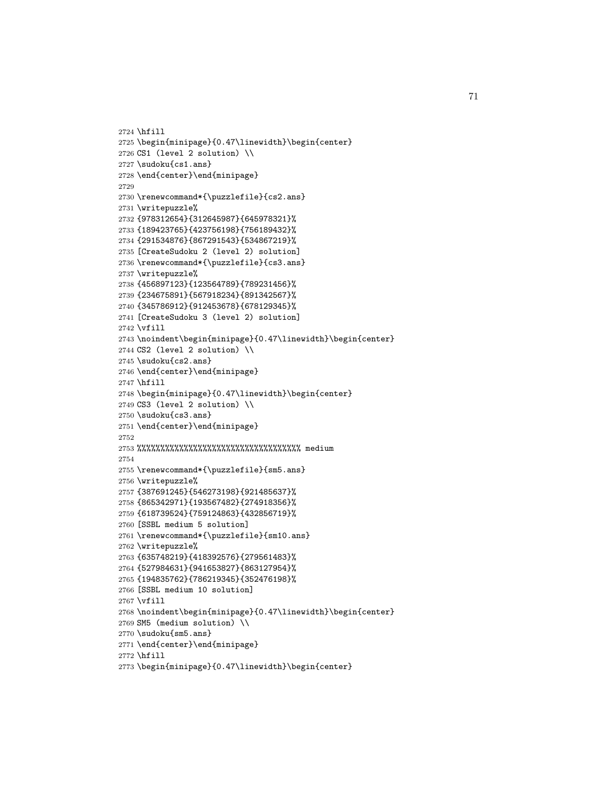```
2724 \hfill
2725 \begin{minipage}{0.47\linewidth}\begin{center}
2726 CS1 (level 2 solution) \\
2727 \sudoku{cs1.ans}
2728 \end{center}\end{minipage}
2729
2730 \renewcommand*{\puzzlefile}{cs2.ans}
2731 \writepuzzle%
2732 {978312654}{312645987}{645978321}%
2733 {189423765}{423756198}{756189432}%
2734 {291534876}{867291543}{534867219}%
2735 [CreateSudoku 2 (level 2) solution]
2736 \renewcommand*{\puzzlefile}{cs3.ans}
2737 \writepuzzle%
2738 {456897123}{123564789}{789231456}%
2739 {234675891}{567918234}{891342567}%
2740 {345786912}{912453678}{678129345}%
2741 [CreateSudoku 3 (level 2) solution]
2742 \vfill
2743 \noindent\begin{minipage}{0.47\linewidth}\begin{center}
2744 CS2 (level 2 solution) \\
2745 \sudoku{cs2.ans}
2746 \end{center}\end{minipage}
2747 \hfill
2748 \begin{minipage}{0.47\linewidth}\begin{center}
2749 CS3 (level 2 solution) \\
2750 \sudoku{cs3.ans}
2751 \end{center}\end{minipage}
2752
2753 %%%%%%%%%%%%%%%%%%%%%%%%%%%%%%%%%%% medium
2754
2755 \renewcommand*{\puzzlefile}{sm5.ans}
2756 \writepuzzle%
2757 {387691245}{546273198}{921485637}%
2758 {865342971}{193567482}{274918356}%
2759 {618739524}{759124863}{432856719}%
2760 [SSBL medium 5 solution]
2761 \renewcommand*{\puzzlefile}{sm10.ans}
2762 \writepuzzle%
2763 {635748219}{418392576}{279561483}%
2764 {527984631}{941653827}{863127954}%
2765 {194835762}{786219345}{352476198}%
2766 [SSBL medium 10 solution]
2767 \vfill
2768 \noindent\begin{minipage}{0.47\linewidth}\begin{center}
2769 SM5 (medium solution) \\
2770 \sudoku{sm5.ans}
2771 \end{center}\end{minipage}
2772 \hfill
2773 \begin{minipage}{0.47\linewidth}\begin{center}
```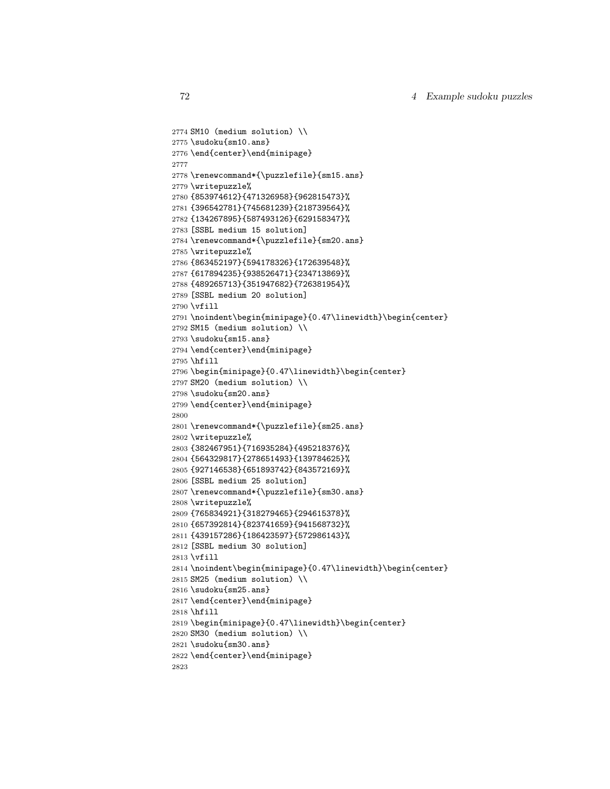```
2774 SM10 (medium solution) \\
2775 \sudoku{sm10.ans}
2776 \end{center}\end{minipage}
2777
2778 \renewcommand*{\puzzlefile}{sm15.ans}
2779 \writepuzzle%
2780 {853974612}{471326958}{962815473}%
2781 {396542781}{745681239}{218739564}%
2782 {134267895}{587493126}{629158347}%
2783 [SSBL medium 15 solution]
2784 \renewcommand*{\puzzlefile}{sm20.ans}
2785 \writepuzzle%
2786 {863452197}{594178326}{172639548}%
2787 {617894235}{938526471}{234713869}%
2788 {489265713}{351947682}{726381954}%
2789 [SSBL medium 20 solution]
2790 \vfill
2791 \noindent\begin{minipage}{0.47\linewidth}\begin{center}
2792 SM15 (medium solution) \\
2793 \sudoku{sm15.ans}
2794 \end{center}\end{minipage}
2795 \hfill
2796 \begin{minipage}{0.47\linewidth}\begin{center}
2797 SM20 (medium solution) \\
2798 \sudoku{sm20.ans}
2799 \end{center}\end{minipage}
2800
2801 \renewcommand*{\puzzlefile}{sm25.ans}
2802 \writepuzzle%
2803 {382467951}{716935284}{495218376}%
2804 {564329817}{278651493}{139784625}%
2805 {927146538}{651893742}{843572169}%
2806 [SSBL medium 25 solution]
2807 \renewcommand*{\puzzlefile}{sm30.ans}
2808 \writepuzzle%
2809 {765834921}{318279465}{294615378}%
2810 {657392814}{823741659}{941568732}%
2811 {439157286}{186423597}{572986143}%
2812 [SSBL medium 30 solution]
2813 \vfill
2814 \noindent\begin{minipage}{0.47\linewidth}\begin{center}
2815 SM25 (medium solution) \\
2816 \sudoku{sm25.ans}
2817 \end{center}\end{minipage}
2818 \hfill
2819 \begin{minipage}{0.47\linewidth}\begin{center}
2820 SM30 (medium solution) \\
2821 \sudoku{sm30.ans}
2822 \end{center}\end{minipage}
2823
```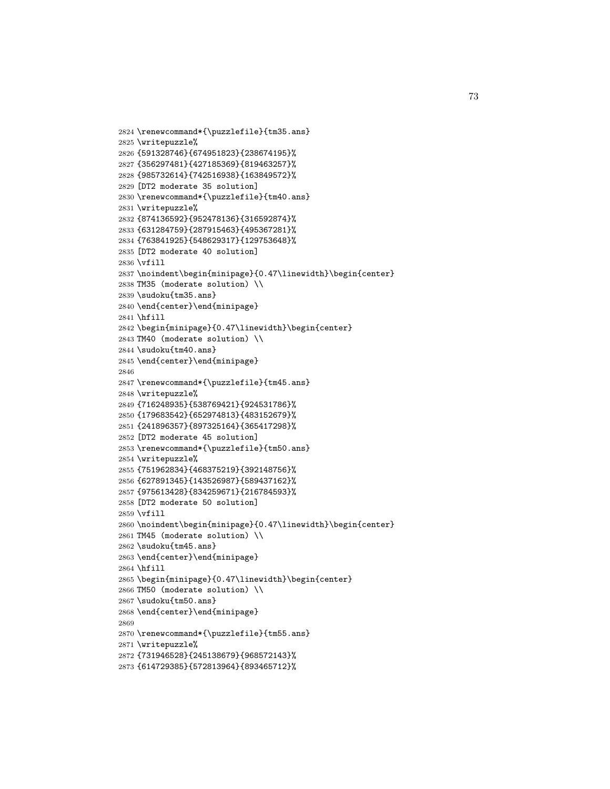```
2824 \renewcommand*{\puzzlefile}{tm35.ans}
2825 \writepuzzle%
2826 {591328746}{674951823}{238674195}%
2827 {356297481}{427185369}{819463257}%
2828 {985732614}{742516938}{163849572}%
2829 [DT2 moderate 35 solution]
2830 \renewcommand*{\puzzlefile}{tm40.ans}
2831 \writepuzzle%
2832 {874136592}{952478136}{316592874}%
2833 {631284759}{287915463}{495367281}%
2834 {763841925}{548629317}{129753648}%
2835 [DT2 moderate 40 solution]
2836 \vfill
2837 \noindent\begin{minipage}{0.47\linewidth}\begin{center}
2838 TM35 (moderate solution) \\
2839 \sudoku{tm35.ans}
2840 \end{center}\end{minipage}
2841 \hfill
2842 \begin{minipage}{0.47\linewidth}\begin{center}
2843 TM40 (moderate solution) \\
2844 \sudoku{tm40.ans}
2845 \end{center}\end{minipage}
2846
2847 \renewcommand*{\puzzlefile}{tm45.ans}
2848 \writepuzzle%
2849 {716248935}{538769421}{924531786}%
2850 {179683542}{652974813}{483152679}%
2851 {241896357}{897325164}{365417298}%
2852 [DT2 moderate 45 solution]
2853 \renewcommand*{\puzzlefile}{tm50.ans}
2854 \writepuzzle%
2855 {751962834}{468375219}{392148756}%
2856 {627891345}{143526987}{589437162}%
2857 {975613428}{834259671}{216784593}%
2858 [DT2 moderate 50 solution]
2859 \vfill
2860 \noindent\begin{minipage}{0.47\linewidth}\begin{center}
2861 TM45 (moderate solution) \\
2862 \sudoku{tm45.ans}
2863 \end{center}\end{minipage}
2864 \hfill
2865 \begin{minipage}{0.47\linewidth}\begin{center}
2866 TM50 (moderate solution) \\
2867 \sudoku{tm50.ans}
2868 \end{center}\end{minipage}
2869
2870 \renewcommand*{\puzzlefile}{tm55.ans}
2871 \writepuzzle%
2872 {731946528}{245138679}{968572143}%
2873 {614729385}{572813964}{893465712}%
```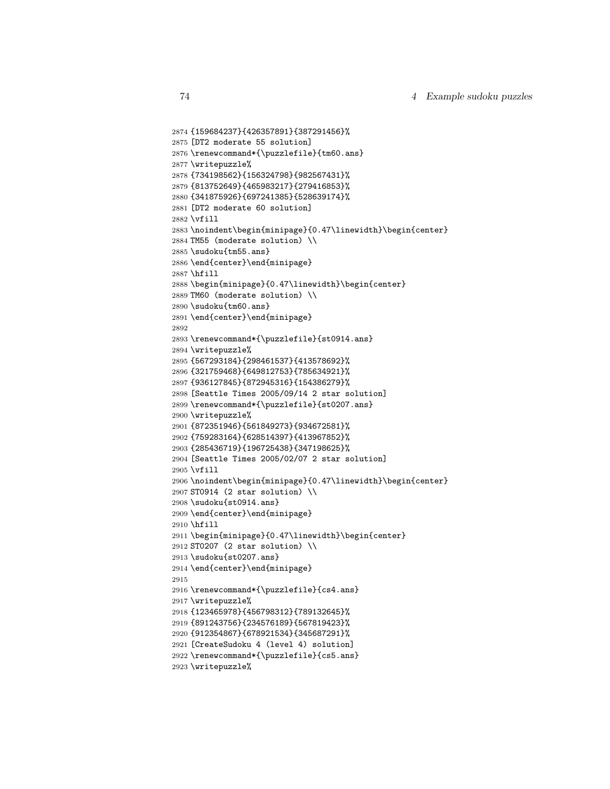```
2874 {159684237}{426357891}{387291456}%
2875 [DT2 moderate 55 solution]
2876 \renewcommand*{\puzzlefile}{tm60.ans}
2877 \writepuzzle%
2878 {734198562}{156324798}{982567431}%
2879 {813752649}{465983217}{279416853}%
2880 {341875926}{697241385}{528639174}%
2881 [DT2 moderate 60 solution]
2882 \vfill
2883 \noindent\begin{minipage}{0.47\linewidth}\begin{center}
2884 TM55 (moderate solution) \\
2885 \sudoku{tm55.ans}
2886 \end{center}\end{minipage}
2887 \hfill
2888 \begin{minipage}{0.47\linewidth}\begin{center}
2889 TM60 (moderate solution) \\
2890 \sudoku{tm60.ans}
2891 \end{center}\end{minipage}
2892
2893 \renewcommand*{\puzzlefile}{st0914.ans}
2894 \writepuzzle%
2895 {567293184}{298461537}{413578692}%
2896 {321759468}{649812753}{785634921}%
2897 {936127845}{872945316}{154386279}%
2898 [Seattle Times 2005/09/14 2 star solution]
2899 \renewcommand*{\puzzlefile}{st0207.ans}
2900 \writepuzzle%
2901 {872351946}{561849273}{934672581}%
2902 {759283164}{628514397}{413967852}%
2903 {285436719}{196725438}{347198625}%
2904 [Seattle Times 2005/02/07 2 star solution]
2905 \vfill
2906 \noindent\begin{minipage}{0.47\linewidth}\begin{center}
2907 ST0914 (2 star solution) \\
2908 \sudoku{st0914.ans}
2909 \end{center}\end{minipage}
2910 \hfill
2911 \begin{minipage}{0.47\linewidth}\begin{center}
2912 ST0207 (2 star solution) \\
2913 \sudoku{st0207.ans}
2914 \end{center}\end{minipage}
2915
2916 \renewcommand*{\puzzlefile}{cs4.ans}
2917 \writepuzzle%
2918 {123465978}{456798312}{789132645}%
2919 {891243756}{234576189}{567819423}%
2920 {912354867}{678921534}{345687291}%
2921 [CreateSudoku 4 (level 4) solution]
2922 \renewcommand*{\puzzlefile}{cs5.ans}
2923 \writepuzzle%
```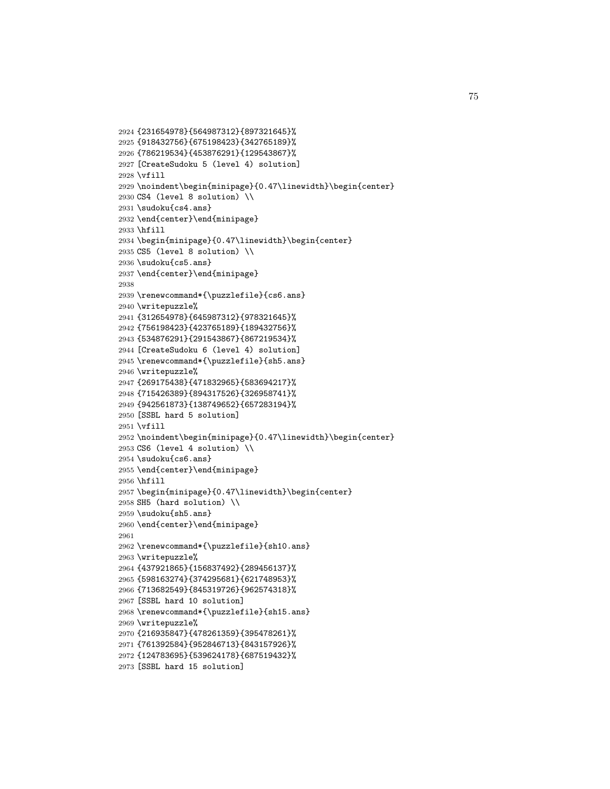```
2924 {231654978}{564987312}{897321645}%
2925 {918432756}{675198423}{342765189}%
2926 {786219534}{453876291}{129543867}%
2927 [CreateSudoku 5 (level 4) solution]
2928 \vfill
2929 \noindent\begin{minipage}{0.47\linewidth}\begin{center}
2930 CS4 (level 8 solution) \\
2931 \sudoku{cs4.ans}
2932 \end{center}\end{minipage}
2933 \hfill
2934 \begin{minipage}{0.47\linewidth}\begin{center}
2935 CS5 (level 8 solution) \\
2936 \sudoku{cs5.ans}
2937 \end{center}\end{minipage}
2938
2939 \renewcommand*{\puzzlefile}{cs6.ans}
2940 \writepuzzle%
2941 {312654978}{645987312}{978321645}%
2942 {756198423}{423765189}{189432756}%
2943 {534876291}{291543867}{867219534}%
2944 [CreateSudoku 6 (level 4) solution]
2945 \renewcommand*{\puzzlefile}{sh5.ans}
2946 \writepuzzle%
2947 {269175438}{471832965}{583694217}%
2948 {715426389}{894317526}{326958741}%
2949 {942561873}{138749652}{657283194}%
2950 [SSBL hard 5 solution]
2951 \vfill
2952 \noindent\begin{minipage}{0.47\linewidth}\begin{center}
2953 CS6 (level 4 solution) \\
2954 \sudoku{cs6.ans}
2955 \end{center}\end{minipage}
2956 \hfill
2957 \begin{minipage}{0.47\linewidth}\begin{center}
2958 SH5 (hard solution) \\
2959 \sudoku{sh5.ans}
2960 \end{center}\end{minipage}
2961
2962 \renewcommand*{\puzzlefile}{sh10.ans}
2963 \writepuzzle%
2964 {437921865}{156837492}{289456137}%
2965 {598163274}{374295681}{621748953}%
2966 {713682549}{845319726}{962574318}%
2967 [SSBL hard 10 solution]
2968 \renewcommand*{\puzzlefile}{sh15.ans}
2969 \writepuzzle%
2970 {216935847}{478261359}{395478261}%
2971 {761392584}{952846713}{843157926}%
2972 {124783695}{539624178}{687519432}%
2973 [SSBL hard 15 solution]
```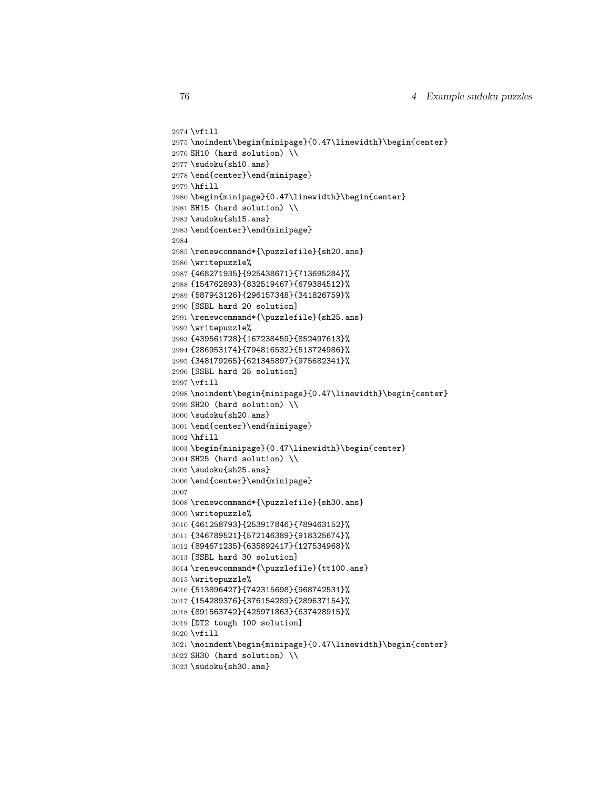```
2974 \vfill
2975 \noindent\begin{minipage}{0.47\linewidth}\begin{center}
2976 SH10 (hard solution) \\
2977 \sudoku{sh10.ans}
2978 \end{center}\end{minipage}
2979 \hfill
2980 \begin{minipage}{0.47\linewidth}\begin{center}
2981 SH15 (hard solution) \\
2982 \sudoku{sh15.ans}
2983 \end{center}\end{minipage}
2984
2985 \renewcommand*{\puzzlefile}{sh20.ans}
2986 \writepuzzle%
2987 {468271935}{925438671}{713695284}%
2988 {154762893}{832519467}{679384512}%
2989 {587943126}{296157348}{341826759}%
2990 [SSBL hard 20 solution]
2991 \renewcommand*{\puzzlefile}{sh25.ans}
2992 \writepuzzle%
2993 {439561728}{167238459}{852497613}%
2994 {286953174}{794816532}{513724986}%
2995 {348179265}{621345897}{975682341}%
2996 [SSBL hard 25 solution]
2997 \vfill
2998 \noindent\begin{minipage}{0.47\linewidth}\begin{center}
2999 SH20 (hard solution) \\
3000 \sudoku{sh20.ans}
3001 \end{center}\end{minipage}
3002 \hfill
3003 \begin{minipage}{0.47\linewidth}\begin{center}
3004 SH25 (hard solution) \\
3005 \sudoku{sh25.ans}
3006 \end{center}\end{minipage}
3007
3008 \renewcommand*{\puzzlefile}{sh30.ans}
3009 \writepuzzle%
3010 {461258793}{253917846}{789463152}%
3011 {346789521}{572146389}{918325674}%
3012 {894671235}{635892417}{127534968}%
3013 [SSBL hard 30 solution]
3014 \renewcommand*{\puzzlefile}{tt100.ans}
3015 \writepuzzle%
3016 {513896427}{742315698}{968742531}%
3017 {154289376}{376154289}{289637154}%
3018 {891563742}{425971863}{637428915}%
3019 [DT2 tough 100 solution]
3020 \vfill
3021 \noindent\begin{minipage}{0.47\linewidth}\begin{center}
3022 SH30 (hard solution) \\
3023 \sudoku{sh30.ans}
```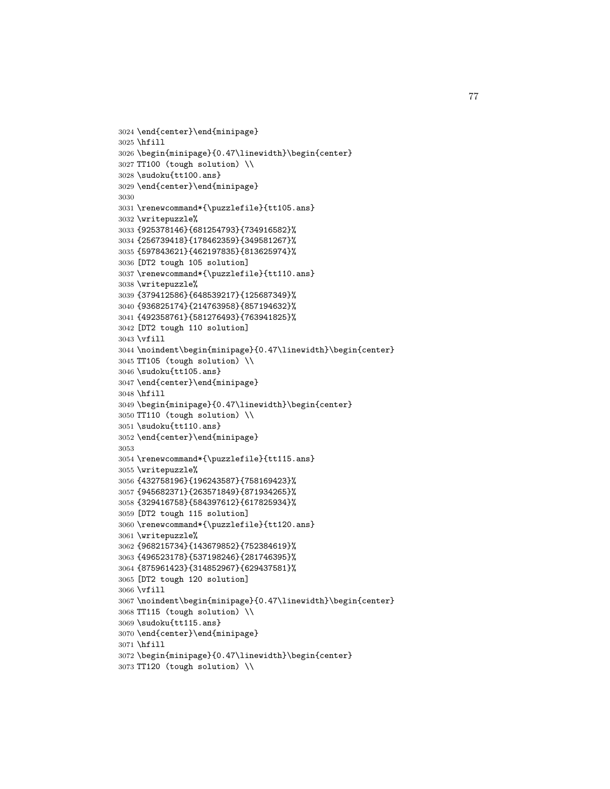```
3024 \end{center}\end{minipage}
3025 \hfill
3026 \begin{minipage}{0.47\linewidth}\begin{center}
3027 TT100 (tough solution) \\
3028 \sudoku{tt100.ans}
3029 \end{center}\end{minipage}
3030
3031 \renewcommand*{\puzzlefile}{tt105.ans}
3032 \writepuzzle%
3033 {925378146}{681254793}{734916582}%
3034 {256739418}{178462359}{349581267}%
3035 {597843621}{462197835}{813625974}%
3036 [DT2 tough 105 solution]
3037 \renewcommand*{\puzzlefile}{tt110.ans}
3038 \writepuzzle%
3039 {379412586}{648539217}{125687349}%
3040 {936825174}{214763958}{857194632}%
3041 {492358761}{581276493}{763941825}%
3042 [DT2 tough 110 solution]
3043 \vfill
3044 \noindent\begin{minipage}{0.47\linewidth}\begin{center}
3045 TT105 (tough solution) \\
3046 \sudoku{tt105.ans}
3047 \end{center}\end{minipage}
3048 \hfill
3049 \begin{minipage}{0.47\linewidth}\begin{center}
3050 TT110 (tough solution) \\
3051 \sudoku{tt110.ans}
3052 \end{center}\end{minipage}
3053
3054 \renewcommand*{\puzzlefile}{tt115.ans}
3055 \writepuzzle%
3056 {432758196}{196243587}{758169423}%
3057 {945682371}{263571849}{871934265}%
3058 {329416758}{584397612}{617825934}%
3059 [DT2 tough 115 solution]
3060 \renewcommand*{\puzzlefile}{tt120.ans}
3061 \writepuzzle%
3062 {968215734}{143679852}{752384619}%
3063 {496523178}{537198246}{281746395}%
3064 {875961423}{314852967}{629437581}%
3065 [DT2 tough 120 solution]
3066 \vfill
3067 \noindent\begin{minipage}{0.47\linewidth}\begin{center}
3068 TT115 (tough solution) \\
3069 \sudoku{tt115.ans}
3070 \end{center}\end{minipage}
3071 \hfill
3072 \begin{minipage}{0.47\linewidth}\begin{center}
3073 TT120 (tough solution) \\
```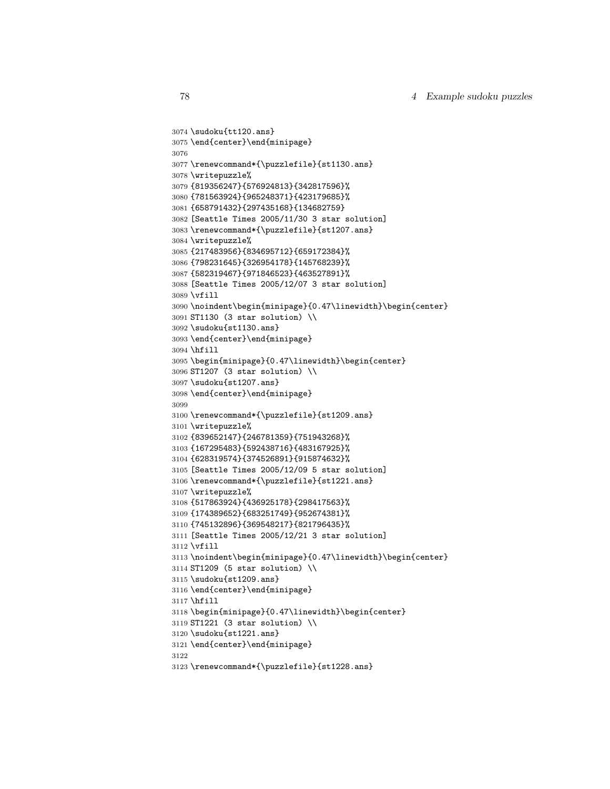```
3074 \sudoku{tt120.ans}
3075 \end{center}\end{minipage}
3076
3077 \renewcommand*{\puzzlefile}{st1130.ans}
3078 \writepuzzle%
3079 {819356247}{576924813}{342817596}%
3080 {781563924}{965248371}{423179685}%
3081 {658791432}{297435168}{134682759}
3082 [Seattle Times 2005/11/30 3 star solution]
3083 \renewcommand*{\puzzlefile}{st1207.ans}
3084 \writepuzzle%
3085 {217483956}{834695712}{659172384}%
3086 {798231645}{326954178}{145768239}%
3087 {582319467}{971846523}{463527891}%
3088 [Seattle Times 2005/12/07 3 star solution]
3089 \vfill
3090 \noindent\begin{minipage}{0.47\linewidth}\begin{center}
3091 ST1130 (3 star solution) \\
3092 \sudoku{st1130.ans}
3093 \end{center}\end{minipage}
3094 \hfill
3095 \begin{minipage}{0.47\linewidth}\begin{center}
3096 ST1207 (3 star solution) \\
3097 \sudoku{st1207.ans}
3098 \end{center}\end{minipage}
3099
3100 \renewcommand*{\puzzlefile}{st1209.ans}
3101 \writepuzzle%
3102 {839652147}{246781359}{751943268}%
3103 {167295483}{592438716}{483167925}%
3104 {628319574}{374526891}{915874632}%
3105 [Seattle Times 2005/12/09 5 star solution]
3106 \renewcommand*{\puzzlefile}{st1221.ans}
3107 \writepuzzle%
3108 {517863924}{436925178}{298417563}%
3109 {174389652}{683251749}{952674381}%
3110 {745132896}{369548217}{821796435}%
3111 [Seattle Times 2005/12/21 3 star solution]
3112 \vfill
3113 \noindent\begin{minipage}{0.47\linewidth}\begin{center}
3114 ST1209 (5 star solution) \\
3115 \sudoku{st1209.ans}
3116 \end{center}\end{minipage}
3117 \hfill
3118 \begin{minipage}{0.47\linewidth}\begin{center}
3119 ST1221 (3 star solution) \\
3120 \sudoku{st1221.ans}
3121 \end{center}\end{minipage}
3122
3123 \renewcommand*{\puzzlefile}{st1228.ans}
```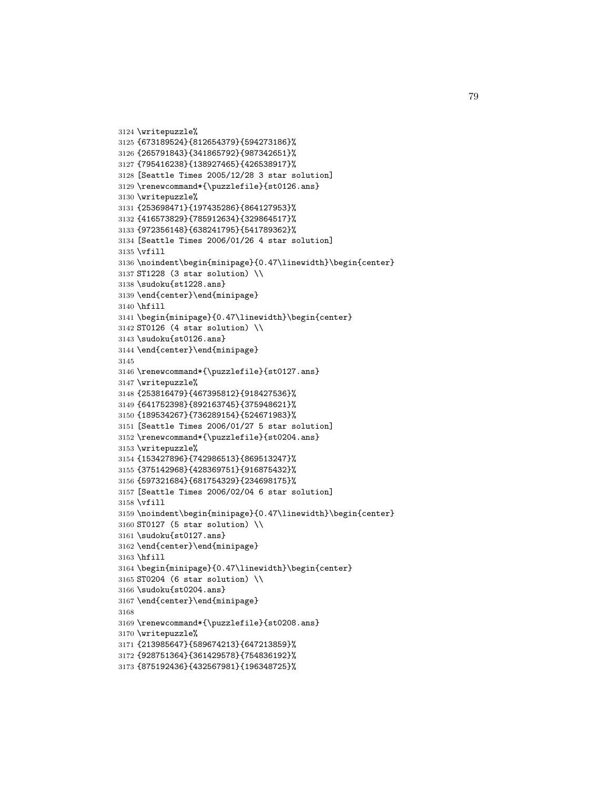```
3124 \writepuzzle%
3125 {673189524}{812654379}{594273186}%
3126 {265791843}{341865792}{987342651}%
3127 {795416238}{138927465}{426538917}%
3128 [Seattle Times 2005/12/28 3 star solution]
3129 \renewcommand*{\puzzlefile}{st0126.ans}
3130 \writepuzzle%
3131 {253698471}{197435286}{864127953}%
3132 {416573829}{785912634}{329864517}%
3133 {972356148}{638241795}{541789362}%
3134 [Seattle Times 2006/01/26 4 star solution]
3135 \vfill
3136 \noindent\begin{minipage}{0.47\linewidth}\begin{center}
3137 ST1228 (3 star solution) \\
3138 \sudoku{st1228.ans}
3139 \end{center}\end{minipage}
3140 \hfill
3141 \begin{minipage}{0.47\linewidth}\begin{center}
3142 ST0126 (4 star solution) \\
3143 \sudoku{st0126.ans}
3144 \end{center}\end{minipage}
3145
3146 \renewcommand*{\puzzlefile}{st0127.ans}
3147 \writepuzzle%
3148 {253816479}{467395812}{918427536}%
3149 {641752398}{892163745}{375948621}%
3150 {189534267}{736289154}{524671983}%
3151 [Seattle Times 2006/01/27 5 star solution]
3152 \renewcommand*{\puzzlefile}{st0204.ans}
3153 \writepuzzle%
3154 {153427896}{742986513}{869513247}%
3155 {375142968}{428369751}{916875432}%
3156 {597321684}{681754329}{234698175}%
3157 [Seattle Times 2006/02/04 6 star solution]
3158 \vfill
3159 \noindent\begin{minipage}{0.47\linewidth}\begin{center}
3160 ST0127 (5 star solution) \\
3161 \sudoku{st0127.ans}
3162 \end{center}\end{minipage}
3163 \hfill
3164 \begin{minipage}{0.47\linewidth}\begin{center}
3165 ST0204 (6 star solution) \\
3166 \sudoku{st0204.ans}
3167 \end{center}\end{minipage}
3168
3169 \renewcommand*{\puzzlefile}{st0208.ans}
3170 \writepuzzle%
3171 {213985647}{589674213}{647213859}%
3172 {928751364}{361429578}{754836192}%
3173 {875192436}{432567981}{196348725}%
```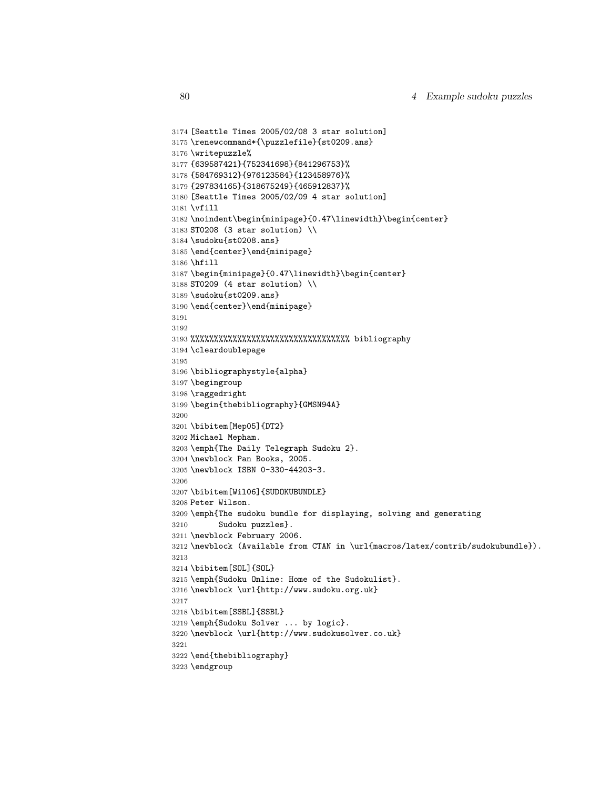```
3174 [Seattle Times 2005/02/08 3 star solution]
3175 \renewcommand*{\puzzlefile}{st0209.ans}
3176 \writepuzzle%
3177 {639587421}{752341698}{841296753}%
3178 {584769312}{976123584}{123458976}%
3179 {297834165}{318675249}{465912837}%
3180 [Seattle Times 2005/02/09 4 star solution]
3181 \vfill
3182 \noindent\begin{minipage}{0.47\linewidth}\begin{center}
3183 ST0208 (3 star solution) \\
3184 \sudoku{st0208.ans}
3185 \end{center}\end{minipage}
3186 \hfill
3187 \begin{minipage}{0.47\linewidth}\begin{center}
3188 ST0209 (4 star solution) \\
3189 \sudoku{st0209.ans}
3190 \end{center}\end{minipage}
3191
3192
3193 %%%%%%%%%%%%%%%%%%%%%%%%%%%%%%%%%% bibliography
3194 \cleardoublepage
3195
3196 \bibliographystyle{alpha}
3197 \begingroup
3198 \raggedright
3199 \begin{thebibliography}{GMSN94A}
3200
3201 \bibitem[Mep05]{DT2}
3202 Michael Mepham.
3203 \emph{The Daily Telegraph Sudoku 2}.
3204 \newblock Pan Books, 2005.
3205 \newblock ISBN 0-330-44203-3.
3206
3207 \bibitem[Wil06]{SUDOKUBUNDLE}
3208 Peter Wilson.
3209 \emph{The sudoku bundle for displaying, solving and generating
3210 Sudoku puzzles}.
3211 \newblock February 2006.
3212 \newblock (Available from CTAN in \url{macros/latex/contrib/sudokubundle}).
3213
3214 \bibitem[SOL]{SOL}
3215 \emph{Sudoku Online: Home of the Sudokulist}.
3216 \newblock \url{http://www.sudoku.org.uk}
3217
3218 \bibitem[SSBL]{SSBL}
3219 \emph{Sudoku Solver ... by logic}.
3220 \newblock \url{http://www.sudokusolver.co.uk}
3221
3222 \end{thebibliography}
3223 \endgroup
```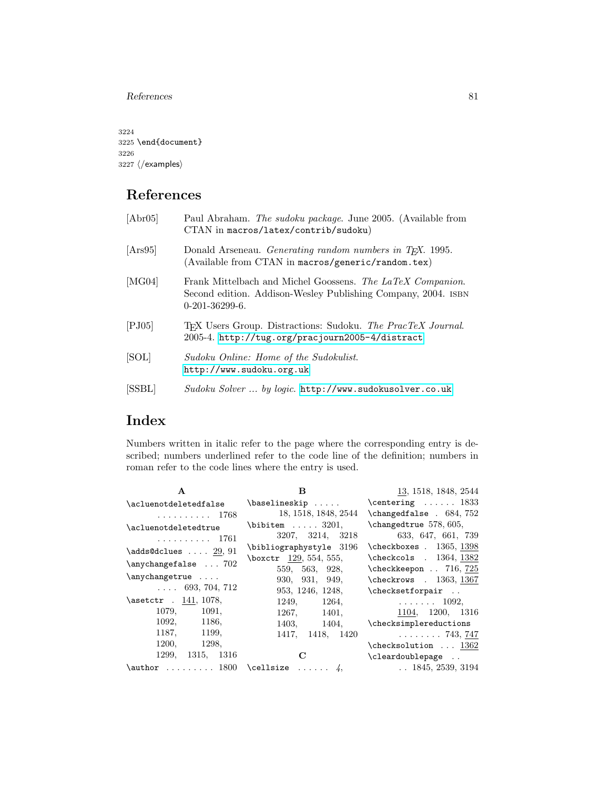References 81

3224 3225 \end{document} 3226 3227  $\langle$ /examples $\rangle$ 

## References

| [Abr05] | Paul Abraham. The sudoku package. June 2005. (Available from<br>CTAN in macros/latex/contrib/sudoku)                                            |
|---------|-------------------------------------------------------------------------------------------------------------------------------------------------|
| [Ans95] | Donald Arseneau. <i>Generating random numbers in T<sub>F</sub>X</i> . 1995.<br>(Available from CTAN in macros/generic/random.tex)               |
| [MG04]  | Frank Mittelbach and Michel Goossens. The LaTeX Companion.<br>Second edition. Addison-Wesley Publishing Company, 2004. ISBN<br>$0-201-36299-6.$ |
| [PJ05]  | T <sub>F</sub> X Users Group. Distractions: Sudoku. The PracTeX Journal.<br>2005-4. http://tug.org/pracjourn2005-4/distract                     |
| [SOL]   | Sudoku Online: Home of the Sudokulist.<br>http://www.sudoku.org.uk                                                                              |
| [SSBL]  | $Subsku$ Solver $\ldots$ by logic. http://www.sudokusolver.co.uk                                                                                |
|         |                                                                                                                                                 |

# Index

Numbers written in italic refer to the page where the corresponding entry is described; numbers underlined refer to the code line of the definition; numbers in roman refer to the code lines where the entry is used.

| A                            | B                         | 13, 1518, 1848, 2544                                                                                                                                                                                                                                                                                                                                                                                                                                                                             |
|------------------------------|---------------------------|--------------------------------------------------------------------------------------------------------------------------------------------------------------------------------------------------------------------------------------------------------------------------------------------------------------------------------------------------------------------------------------------------------------------------------------------------------------------------------------------------|
| \acluenotdeletedfalse        | $\backslash$ baselineskip | $\centerdot$ $\centerdot$ $\centerdot$ $\centerdot$ $\centerdot$ $\centerdot$ $\centerdot$ $\centerdot$ $\centerdot$ $\centerdot$ $\centerdot$ $\centerdot$ $\centerdot$ $\centerdot$ $\centerdot$ $\centerdot$ $\centerdot$ $\centerdot$ $\centerdot$ $\centerdot$ $\centerdot$ $\centerdot$ $\centerdot$ $\centerdot$ $\centerdot$ $\centerdot$ $\centerdot$ $\centerdot$ $\centerdot$ $\centerdot$ $\centerdot$ $\centerdot$ $\centerdot$ $\centerdot$ $\centerdot$ $\centerdot$ $\centerdot$ |
| . 1768                       | 18, 1518, 1848, 2544      | \changedfalse . 684, 752                                                                                                                                                                                                                                                                                                                                                                                                                                                                         |
| \acluenotdeletedtrue         | $\lambda$ 3201,           | $\Lambda$ 578, 605,                                                                                                                                                                                                                                                                                                                                                                                                                                                                              |
| . 1761                       | 3207, 3214, 3218          | 633, 647, 661, 739                                                                                                                                                                                                                                                                                                                                                                                                                                                                               |
| $\ads@dclues \ldots 29,91$   | \bibliographystyle 3196   | $\check{\text{checkboxes}}$ . 1365, 1398                                                                                                                                                                                                                                                                                                                                                                                                                                                         |
|                              | \boxctr 129, 554, 555,    | \checkcols . 1364, 1382                                                                                                                                                                                                                                                                                                                                                                                                                                                                          |
| \anychangefalse  702         | 559, 563, 928,            | \checkkeepon . 716, 725                                                                                                                                                                                                                                                                                                                                                                                                                                                                          |
| \anychangetrue               | 930, 931, 949,            | $\text{checkrows}$ . 1363, 1367                                                                                                                                                                                                                                                                                                                                                                                                                                                                  |
| $\ldots$ 693, 704, 712       | 953, 1246, 1248,          | \checksetforpair                                                                                                                                                                                                                                                                                                                                                                                                                                                                                 |
| $\text{c}$ . 141, 1078,      | 1249, 1264,               | $\ldots \ldots \ldots$ 1092,                                                                                                                                                                                                                                                                                                                                                                                                                                                                     |
| 1079, 1091,                  | 1267, 1401,               | 1104, 1200, 1316                                                                                                                                                                                                                                                                                                                                                                                                                                                                                 |
| 1092, 1186,                  | 1403, 1404,               | \checksimplereductions                                                                                                                                                                                                                                                                                                                                                                                                                                                                           |
| 1187, 1199,                  | 1417, 1418, 1420          | $\ldots \ldots \ldots 743, 747$                                                                                                                                                                                                                                                                                                                                                                                                                                                                  |
| 1200, 1298,                  |                           | $\text{checksolution} \dots 1362$                                                                                                                                                                                                                                                                                                                                                                                                                                                                |
| 1299, 1315, 1316             | $\mathbf C$               | \cleardoublepage                                                                                                                                                                                                                                                                                                                                                                                                                                                                                 |
| \author $1800$ \cellsize  4, |                           | $\ldots$ 1845, 2539, 3194                                                                                                                                                                                                                                                                                                                                                                                                                                                                        |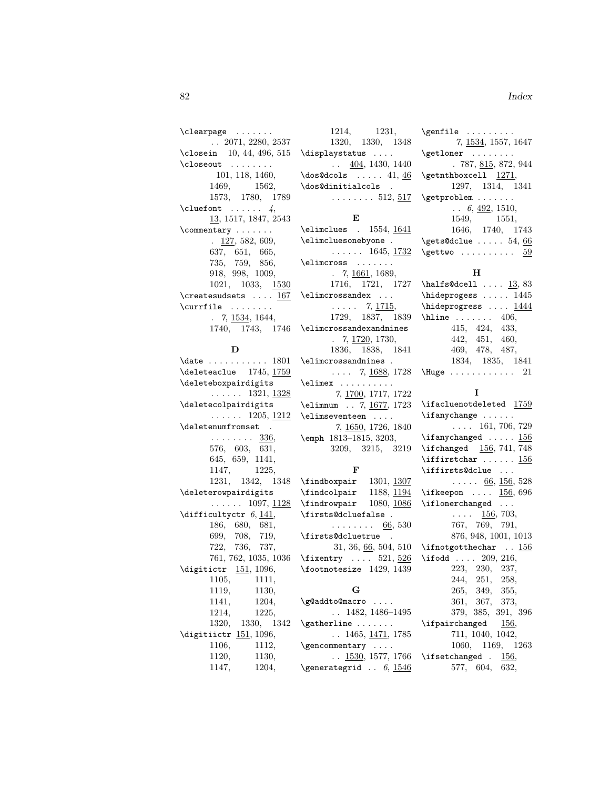\clearpage . . . . . . . . . 2071, 2280, 2537 \closein 10, 44, 496, 515 \closeout ........ 101, 118, 1460, 1469, 1562, 1573, 1780, 1789  $\text{Cluster} \dots \dots \dots$ 13, 1517, 1847, 2543 \commentary . . . . . . . . 127, 582, 609, 637, 651, 665, 735, 759, 856, 918, 998, 1009, 1021, 1033, 1530  $\c$ reatesudsets ....  $\underline{167}$  $\text{currentile} \dots \dots$  $. 7, 1534, 1644,$ 1740, 1743, 1746

### D

\date .......... 1801 \deleteaclue 1745, 1759 \deleteboxpairdigits  $\ldots$  . . . 1321, <u>1328</u> \deletecolpairdigits  $\ldots$  . . 1205, 1212 \deletenumfromset .  $\ldots \ldots$  . 336, 576, 603, 631, 645, 659, 1141, 1147, 1225, 1231, 1342, 1348 \deleterowpairdigits . . . . . . 1097, 1128 \difficultyctr  $6, 141,$ 186, 680, 681, 699, 708, 719, 722, 736, 737, 761, 762, 1035, 1036 \digitictr 151, 1096, 1105, 1111, 1119, 1130, 1141, 1204, 1214, 1225, 1320, 1330, 1342 \digitiictr 151, 1096, 1106, 1112, 1120, 1130, 1147, 1204,

1214, 1231, 1320, 1330, 1348 \displaystatus . . . .  $\ldots$  404, 1430, 1440  $\dots$  41, 46 \dos@dinitialcols .  $\ldots \ldots 512, 517$ E

\elimclues . 1554, 1641 \elimcluesonebyone .  $\ldots$  . . . 1645, <u>1732</u> \elimcross . . . . . . .  $. 7, \underline{1661}, 1689,$ 1716, 1721, 1727 \elimcrossandex ...  $\ldots$  7, <u>1715</u>, 1729, 1837, 1839 \elimcrossandexandnines . 7, 1720, 1730, 1836, 1838, 1841 \elimcrossandnines .  $\ldots$  7, 1688, 1728 \elimex . . . . . . . . . . 7, 1700, 1717, 1722 \elimnum . . 7, 1677, 1723 \elimseventeen . . . . 7, 1650, 1726, 1840 \emph 1813–1815, 3203, 3209, 3215, 3219 F \findboxpair 1301, 1307 \findcolpair 1188, 1194 \findrowpair 1080, 1086 \firsts@dcluefalse .  $\ldots \ldots \ldots$  66, 530 \firsts@dcluetrue . 31, 36, 66, 504, 510 \fixentry  $\ldots$  521, 526 \footnotesize 1429, 1439 G \g@addto@macro . . . . . . 1482, 1486–1495 \gatherline .......

 $\ldots$  1465, <u>1471</u>, 1785 \gencommentary . . . .  $\ldots$  1530, 1577, 1766 \generategrid  $\therefore$  6, 1546

7, 1534, 1557, 1647 \getloner ........  $.787, 815, 872, 944$  $\setminus$ getnthboxcell  $1271$ , 1297, 1314, 1341 \getproblem . . . . . . .  $\ldots$  6,  $\underline{492}$ , 1510, 1549, 1551, 1646, 1740, 1743  $\setminus$ gets@dclue ..... 54, 66  $\setminus$ gettwo . . . . . . . . . .  $59$ 

\genfile .........

### $H$

 $\hbox{\tt halfs@dcell} \ldots$   $\frac{13}{83}$ \hideprogess . . . . . 1445 \hideprogress .... 1444  $\hbox{hline} \ldots$  . . . . . . 406, 415, 424, 433, 442, 451, 460, 469, 478, 487, 1834, 1835, 1841 \Huge . . . . . . . . . . . . 21

### I

\ifacluenotdeleted 1759 \ifanychange ......  $\ldots$  161, 706, 729  $\iint\{156}$ \ifchanged 156, 741, 748 \iffirstchar . . . . . . 156 \iffirsts@dclue ...  $\ldots$  . 66, 156, 528  $\{ifkeepon \dots 156, 696\}$ \iflonerchanged ...  $\ldots$   $\frac{156}{500}$ , 703, 767, 769, 791, 876, 948, 1001, 1013 \ifnotgotthechar . . 156 \ifodd .... 209, 216, 223, 230, 237, 244, 251, 258, 265, 349, 355, 361, 367, 373, 379, 385, 391, 396 \ifpairchanged 156, 711, 1040, 1042, 1060, 1169, 1263 \ifsetchanged . 156, 577, 604, 632,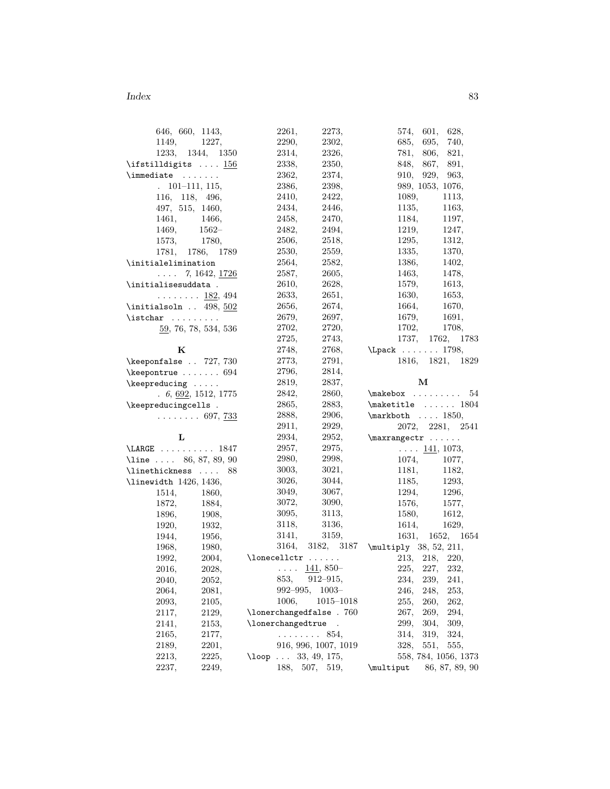| 646, 660, 1143,                           | 2261,<br>2273,                    | 574,<br>601,<br>628,                    |
|-------------------------------------------|-----------------------------------|-----------------------------------------|
| 1149, 1227,                               | 2290,<br>2302,                    | 685,<br>695,<br>740,                    |
| 1233, 1344, 1350                          | 2314,<br>2326,                    | 781,<br>806,<br>821,                    |
| \ifstilldigits $156$                      | 2338,<br>2350,                    | 891,<br>848,<br>867,                    |
| $\{immediate \ldots \ldots$               | 2362,<br>2374,                    | 910,<br>929,<br>963,                    |
| $101 - 111, 115,$<br>$\ddot{\phantom{0}}$ | 2386,<br>2398,                    | 989, 1053, 1076,                        |
| 116, 118, 496,                            | 2410,<br>2422,                    | 1089,<br>1113,                          |
| 497, 515, 1460,                           | 2434,<br>2446,                    | 1135,<br>1163,                          |
| 1461,<br>1466,                            | 2458,<br>2470,                    | 1184,<br>1197,                          |
| $1562-$<br>1469,                          | 2482,<br>2494,                    | 1219,<br>1247,                          |
| 1573,<br>1780,                            | 2506,<br>2518,                    | 1295,<br>1312,                          |
| 1786, 1789<br>1781,                       | 2530,<br>2559,                    | 1335,<br>1370,                          |
| \initialelimination                       | 2564,<br>2582,                    | 1386,<br>1402,                          |
| $\ldots$ 7, 1642, <u>1726</u>             | 2587,<br>2605,                    | 1463,<br>1478,                          |
| \initialisesuddata .                      | 2610,<br>2628,                    | 1613,<br>1579,                          |
| $\ldots \ldots \ldots \frac{182}{94}$     | 2651,<br>2633,                    | 1630,<br>1653,                          |
| $\int$ initialsoln  498, $\frac{502}{ }$  | 2656,<br>2674,                    | 1664,<br>1670,                          |
| $\text{listchar} \dots \dots$             | 2679,<br>2697,                    | 1679,<br>1691,                          |
| 59, 76, 78, 534, 536                      | 2720,<br>2702,                    | 1702,<br>1708,                          |
|                                           | 2743,<br>2725,                    | 1737, 1762,<br>1783                     |
| Κ                                         | 2748,<br>2768,                    | \Lpack  1798,                           |
| \keeponfalse  727, 730                    | 2773,<br>2791,                    | 1816, 1821,<br>1829                     |
|                                           | 2796,<br>2814,                    |                                         |
| $\kappa$ 694                              | 2819,<br>2837,                    | м                                       |
| $\kee$ preducing                          | 2842,<br>2860,                    | $\mathcal{E}$<br>54                     |
| . 6, 692, 1512, 1775                      | 2865,<br>2883,                    | $\verb+\maketitle+ \dots + 1804+$       |
| \keepreducingcells.                       | 2888,<br>2906,                    | $\mathbf{h} \ldots$ 1850,               |
| $\ldots \ldots 697, \frac{733}{120}$      | 2911,<br>2929,                    |                                         |
|                                           |                                   | 2072, 2281, 2541                        |
| L                                         | 2934,<br>2952,                    | $\maxrangectr \ldots$                   |
| $\text{LARGE} \ldots \ldots \ldots 1847$  | 2957,<br>2975,<br>2998,<br>2980,  | $\ldots$ 141, 1073,                     |
| \line  86, 87, 89, 90                     | 3021,                             | 1074,<br>1077,                          |
| \linethickness  88                        | 3003,                             | 1181,<br>1182,                          |
| \linewidth 1426, 1436,                    | 3026,<br>3044,                    | 1185,<br>1293,                          |
| 1514,<br>1860,                            | 3049,<br>3067,                    | 1294,<br>1296,                          |
| 1872,<br>1884,                            | 3072,<br>3090,                    | 1576,<br>1577,                          |
| 1896,<br>1908,                            | 3095,<br>3113,                    | 1580,<br>1612,                          |
| 1920,<br>1932,                            | 3118,<br>3136,                    | 1614,<br>1629,                          |
| 1956,<br>1944,                            | 3159,<br>3141,                    | 1631,<br>1652, 1654                     |
| 1968,<br>1980,                            |                                   | 3164, 3182, 3187 \multiply 38, 52, 211, |
| 1992,                                     | $2004,$ \lonecellctr              | 213, 218, 220,                          |
| 2016,<br>2028,                            | $\ldots$ $\frac{141}{141}$ , 850- | 225,<br>227,<br>232,                    |
| 2040,<br>2052,                            | 853,<br>$912 - 915,$              | 234,<br>239,<br>241,                    |
| 2081,<br>2064,                            | $992 - 995,$<br>$1003 -$          | 246,<br>248,<br>253,                    |
| 2105,<br>2093,                            | 1006,<br>$1015 - 1018$            | 255,<br>260,<br>262,                    |
| 2117,<br>2129,                            | \lonerchangedfalse . 760          | 267,<br>269,<br>294,                    |
| 2153,<br>2141,                            | \lonerchangedtrue<br>$\sim$       | 304,<br>299,<br>309,                    |
| 2165,<br>2177,                            | $\ldots \ldots 854,$              | 314,<br>319,<br>324,                    |
| 2189,<br>2201,                            | 916, 996, 1007, 1019              | 328,<br>551,<br>555,                    |
| 2213,<br>2225,                            | 33, 49, 175,<br>$\log$            | 558, 784, 1056, 1373                    |
| 2237,<br>2249,                            | 188, 507, 519,                    | 86, 87, 89, 90<br>\multiput             |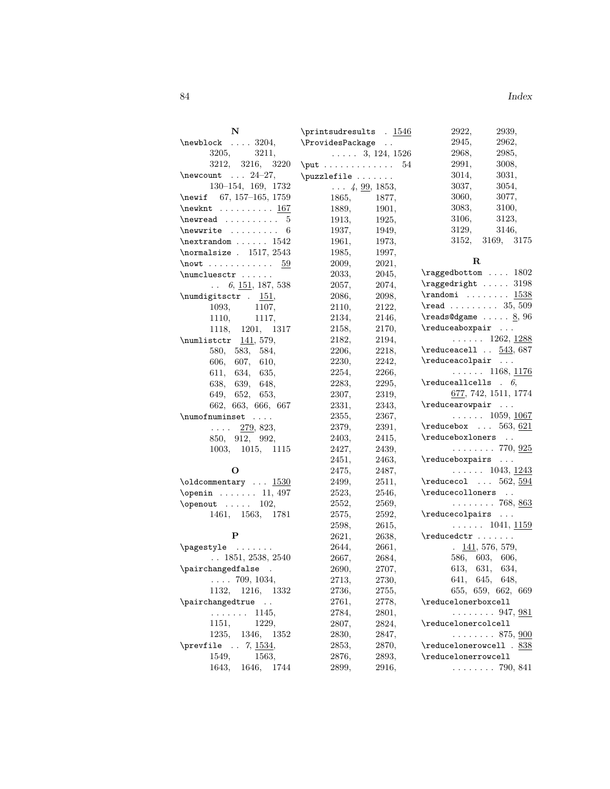| N                                                                                                                                                                                                                                                                                                                                                                                                                  | \printsudresults . 1546              |                | 2922,<br>2939,                                        |
|--------------------------------------------------------------------------------------------------------------------------------------------------------------------------------------------------------------------------------------------------------------------------------------------------------------------------------------------------------------------------------------------------------------------|--------------------------------------|----------------|-------------------------------------------------------|
| $\neq$ \newblock  3204,                                                                                                                                                                                                                                                                                                                                                                                            | \ProvidesPackage                     |                | 2945,<br>2962,                                        |
| 3205,<br>3211,                                                                                                                                                                                                                                                                                                                                                                                                     | $\ldots$ . 3, 124, 1526              |                | 2968,<br>2985,                                        |
| 3212, 3216, 3220                                                                                                                                                                                                                                                                                                                                                                                                   | $\text{put} \ldots \ldots \ldots 54$ |                | 2991,<br>3008,                                        |
| $\neq 24-27$ ,                                                                                                                                                                                                                                                                                                                                                                                                     | \puzzlefile                          |                | 3014,<br>3031,                                        |
| 130-154, 169, 1732                                                                                                                                                                                                                                                                                                                                                                                                 | $\ldots$ 4, <u>99</u> , 1853,        |                | 3037,<br>3054,                                        |
| \newif 67, 157-165, 1759                                                                                                                                                                                                                                                                                                                                                                                           | 1865,                                | 1877,          | 3060,<br>3077,                                        |
| $\neq$ Xnewknt 167                                                                                                                                                                                                                                                                                                                                                                                                 | 1889,                                | 1901,          | 3083,<br>3100,                                        |
| $\text{newread} \dots \dots \dots 5$                                                                                                                                                                                                                                                                                                                                                                               | 1913,                                | 1925,          | 3106,<br>3123,                                        |
|                                                                                                                                                                                                                                                                                                                                                                                                                    | 1937,                                | 1949,          | 3146,<br>3129,                                        |
| $\verb+\nextrandom + \verb+\ldm+ + \verb+\ldm+ + \verb+\ldm++ + \verb+\ldm++ + \verb+\ldm++ + \verb+\ldm+++ \verb+\ldm+++ \verb+\ldm+++ \verb+\ldm+++ \verb+\ldm+++ \verb+\ldm+++ \verb+\ldm+++ \verb+\ldm+++ \verb+\ldm+++ \verb+\ldm+++ \verb+\ldm+++ \verb+\ldm+++ \verb+\ldm+++ \verb+\ldm+++ \verb+\ldm+++ \verb+\ldm+++ \verb+\ldm+++ \verb+\ldm+++ \verb+\ldm+++ \verb+\ldm+++ \verb+\ldm+++ \verb+\ldm+++$ | 1961,                                | 1973,          | 3152,<br>3169, 3175                                   |
| \normalsize $. 1517, 2543$                                                                                                                                                                                                                                                                                                                                                                                         | 1985,                                | 1997,          |                                                       |
| \nowt 59                                                                                                                                                                                                                                                                                                                                                                                                           | 2009,                                | 2021,          | R                                                     |
| $\sum \text{c} \ldots$                                                                                                                                                                                                                                                                                                                                                                                             | 2033,                                | 2045,          | $\text{ragedbottom} \dots 1802$                       |
| $\ldots$ 6, <u>151</u> , 187, 538                                                                                                                                                                                                                                                                                                                                                                                  | 2057,                                | 2074,          | $\text{ragedright} \dots 3198$                        |
| $\text{numdigitsctr}$ . 151,                                                                                                                                                                                                                                                                                                                                                                                       | 2086,                                | 2098,          | $\quad \ldots \quad \ldots \quad \frac{1538}{1538}$   |
| 1093,<br>1107,                                                                                                                                                                                                                                                                                                                                                                                                     | 2110,                                | 2122,          | $\text{read } \ldots \ldots \ldots \quad 35,509$      |
| 1110,<br>1117,                                                                                                                                                                                                                                                                                                                                                                                                     | 2134,                                | 2146,          | $\text{reads@dgame} \dots \underline{8}, 96$          |
| 1118, 1201, 1317                                                                                                                                                                                                                                                                                                                                                                                                   | 2158,                                | 2170,          | $\lvert$ reduceaboxpair                               |
| \numlistctr $141, 579,$                                                                                                                                                                                                                                                                                                                                                                                            | 2182,                                | 2194,          | $\ldots \ldots 1262, \underline{1288}$                |
|                                                                                                                                                                                                                                                                                                                                                                                                                    | 2206,                                | 2218,          | $\text{reduced1} \dots 543, 687$                      |
| 580,<br>583, 584,                                                                                                                                                                                                                                                                                                                                                                                                  |                                      | 2242,          | $\lvert$ $\lvert$                                     |
| 606, 607, 610,                                                                                                                                                                                                                                                                                                                                                                                                     | 2230,                                |                | $\ldots \ldots 1168, \underline{1176}$                |
| 611, 634, 635,                                                                                                                                                                                                                                                                                                                                                                                                     | 2254,                                | 2266,<br>2295, | $\verb+\reducealls + 6+$                              |
| 638, 639, 648,                                                                                                                                                                                                                                                                                                                                                                                                     | 2283,                                |                | 677, 742, 1511, 1774                                  |
| 649, 652, 653,                                                                                                                                                                                                                                                                                                                                                                                                     | 2307,                                | 2319,          | $\lvert$ reducearowpair                               |
| 662, 663, 666, 667                                                                                                                                                                                                                                                                                                                                                                                                 | 2331,                                | 2343,          |                                                       |
| \numofnuminset                                                                                                                                                                                                                                                                                                                                                                                                     | 2355,                                | 2367,          | $\ldots \ldots 1059, 1067$                            |
| $\ldots$ 279, 823,                                                                                                                                                                                                                                                                                                                                                                                                 | 2379,                                | 2391,          | $\text{reducebox} \dots 563, 621$<br>\reduceboxloners |
| 850, 912, 992,                                                                                                                                                                                                                                                                                                                                                                                                     | 2403,                                | 2415,          |                                                       |
| 1003, 1015, 1115                                                                                                                                                                                                                                                                                                                                                                                                   | 2427,                                | 2439,          | $\ldots \ldots 770, \frac{925}{925}$                  |
|                                                                                                                                                                                                                                                                                                                                                                                                                    | 2451,                                | 2463,          | $\lvert$ $\lvert$                                     |
| О                                                                                                                                                                                                                                                                                                                                                                                                                  | 2475,                                | 2487,          | $\ldots \ldots 1043, \underline{1243}$                |
|                                                                                                                                                                                                                                                                                                                                                                                                                    | 2499,                                | 2511,          | $\text{reduced} \dots 562, \underline{594}$           |
| $\operatorname{Nopenin} \ldots \ldots 11, 497$                                                                                                                                                                                                                                                                                                                                                                     | 2523,                                | 2546,          | \reducecolloners                                      |
| $\operatorname{openout} \dots 102,$                                                                                                                                                                                                                                                                                                                                                                                | 2552,                                | 2569,          | $\ldots \ldots 768, 863$                              |
| 1461, 1563, 1781                                                                                                                                                                                                                                                                                                                                                                                                   | 2575,                                | 2592,          | $\verb+\reducecolpairs \,.$                           |
|                                                                                                                                                                                                                                                                                                                                                                                                                    | 2598,                                | 2615,          | $\ldots$ 1041, <u>1159</u>                            |
| P                                                                                                                                                                                                                                                                                                                                                                                                                  | 2621,                                | 2638,          | $\lvert \ldots \rvert$                                |
| $\text{pagestyle} \ldots$                                                                                                                                                                                                                                                                                                                                                                                          | 2644,                                | 2661,          | $\frac{141}{576}$ , 579,                              |
| $\ldots$ 1851, 2538, 2540                                                                                                                                                                                                                                                                                                                                                                                          | 2667,                                | 2684,          | 586, 603, 606,                                        |
| \pairchangedfalse .                                                                                                                                                                                                                                                                                                                                                                                                | 2690,                                | 2707,          | 613, 631, 634,                                        |
| $\ldots$ 709, 1034,                                                                                                                                                                                                                                                                                                                                                                                                | 2713,                                | 2730,          | 641, 645, 648,                                        |
| 1132, 1216, 1332                                                                                                                                                                                                                                                                                                                                                                                                   | 2736,                                | 2755,          | 655, 659, 662, 669                                    |
| \pairchangedtrue                                                                                                                                                                                                                                                                                                                                                                                                   | 2761,                                | 2778,          | \reducelonerboxcell                                   |
| $\ldots \ldots 1145$                                                                                                                                                                                                                                                                                                                                                                                               | 2784,                                | 2801,          | $\ldots \ldots 947, \underline{981}$                  |
| 1151,<br>1229,                                                                                                                                                                                                                                                                                                                                                                                                     | 2807,                                | 2824,          | \reducelonercolcell                                   |
| 1235, 1346, 1352                                                                                                                                                                                                                                                                                                                                                                                                   | 2830,                                | 2847,          | $\ldots \ldots 875, \, \underline{900}$               |
| \prevfile $\ldots$ 7, $\frac{1534}{5}$ ,                                                                                                                                                                                                                                                                                                                                                                           | 2853,                                | 2870,          | $\verb+\reducelonerowcell + 838+$                     |
| 1549,<br>1563,                                                                                                                                                                                                                                                                                                                                                                                                     | 2876,                                | 2893,          | \reducelonerrowcell                                   |
| 1643, 1646, 1744                                                                                                                                                                                                                                                                                                                                                                                                   | 2899,                                | 2916,          | $\ldots \ldots 790, 841$                              |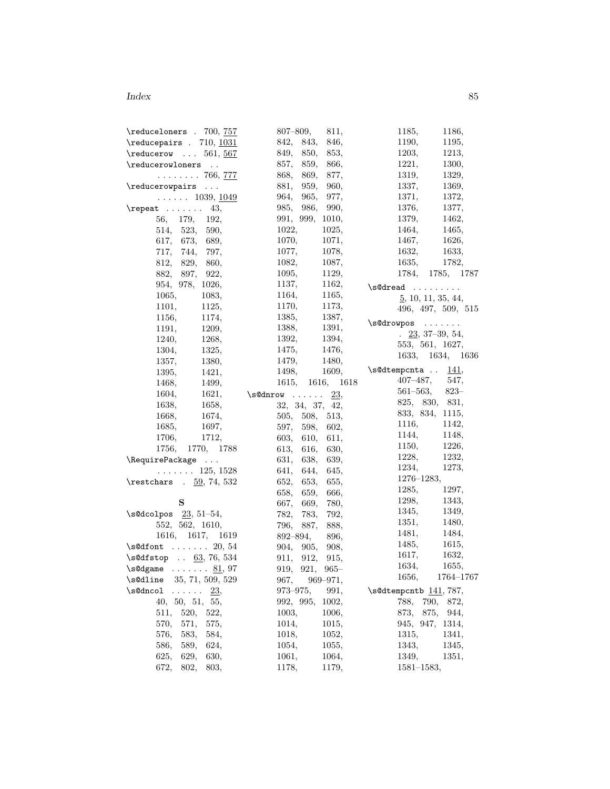| \reduceloners . 700, 757                                                                                                                                                                                                                                                                                                                | 807–809,<br>811,        | 1185,<br>1186,                    |
|-----------------------------------------------------------------------------------------------------------------------------------------------------------------------------------------------------------------------------------------------------------------------------------------------------------------------------------------|-------------------------|-----------------------------------|
| $\lvert$ and $\lvert$ $\lvert$ $\lvert$ $\lvert$ $\lvert$ $\lvert$ $\lvert$ $\lvert$ $\lvert$ $\lvert$ $\lvert$ $\lvert$ $\lvert$ $\lvert$ $\lvert$ $\lvert$ $\lvert$ $\lvert$ $\lvert$ $\lvert$ $\lvert$ $\lvert$ $\lvert$ $\lvert$ $\lvert$ $\lvert$ $\lvert$ $\lvert$ $\lvert$ $\lvert$ $\lvert$ $\lvert$ $\lvert$ $\lvert$ $\lvert$ | 842, 843,<br>846,       | 1190,<br>1195,                    |
| $\text{reducerow} \dots 561, 567$                                                                                                                                                                                                                                                                                                       | 849,<br>850,<br>853,    | 1203,<br>1213,                    |
| \reducerowloners                                                                                                                                                                                                                                                                                                                        | 859,<br>857,<br>866,    | 1221,<br>1300,                    |
| . 766, <u>777</u>                                                                                                                                                                                                                                                                                                                       | 868,<br>869,<br>877,    | 1319,<br>1329,                    |
| \reducerowpairs                                                                                                                                                                                                                                                                                                                         | 959,<br>881,<br>960,    | 1337,<br>1369,                    |
| $\ldots \ldots 1039, \underline{1049}$                                                                                                                                                                                                                                                                                                  | 964,<br>965.<br>977,    | 1371,<br>1372,                    |
| $\text{repeat} \dots \dots \quad 43,$                                                                                                                                                                                                                                                                                                   | 985, 986,<br>990,       | 1376,<br>1377,                    |
| 56, 179, 192,                                                                                                                                                                                                                                                                                                                           | 991, 999, 1010,         | 1379,<br>1462,                    |
| 514, 523, 590,                                                                                                                                                                                                                                                                                                                          | 1022,<br>1025,          | 1464,<br>1465,                    |
| 617, 673, 689,                                                                                                                                                                                                                                                                                                                          | 1070,<br>1071,          | 1467,<br>1626,                    |
| 717, 744,<br>797,                                                                                                                                                                                                                                                                                                                       | 1077,<br>1078,          | 1632,<br>1633,                    |
| 812, 829, 860,                                                                                                                                                                                                                                                                                                                          | 1082,<br>1087,          | 1635,<br>1782,                    |
| 882, 897, 922,                                                                                                                                                                                                                                                                                                                          | 1095,<br>1129,          | 1784, 1785, 1787                  |
| 954, 978, 1026,                                                                                                                                                                                                                                                                                                                         | 1137,<br>1162,          |                                   |
| 1065,<br>1083,                                                                                                                                                                                                                                                                                                                          | 1164,<br>1165,          | $\setminus$ s@dread               |
| 1101,                                                                                                                                                                                                                                                                                                                                   | 1170,<br>1173,          | $\underline{5}$ , 10, 11, 35, 44, |
| 1125,                                                                                                                                                                                                                                                                                                                                   | 1385,<br>1387,          | 496, 497, 509, 515                |
| 1156,<br>1174,                                                                                                                                                                                                                                                                                                                          | 1388,                   | $\s0$ drowpos                     |
| 1191,<br>1209,                                                                                                                                                                                                                                                                                                                          | 1391,                   | $\frac{23}{5}$ , 37-39, 54,       |
| 1240,<br>1268,                                                                                                                                                                                                                                                                                                                          | 1392,<br>1394,          | 553, 561, 1627,                   |
| 1304,<br>1325,                                                                                                                                                                                                                                                                                                                          | 1475,<br>1476,          | 1633, 1634, 1636                  |
| 1357,<br>1380,                                                                                                                                                                                                                                                                                                                          | 1479,<br>1480,          | $\setminus$ s@dtempcnta  141,     |
| 1395,<br>1421,                                                                                                                                                                                                                                                                                                                          | 1609,<br>1498,          | $407 - 487,$<br>547,              |
| 1468,<br>1499,                                                                                                                                                                                                                                                                                                                          | 1615, 1616, 1618        | $561 - 563,$                      |
| 1604,<br>1621,                                                                                                                                                                                                                                                                                                                          | 23,<br>$\s0$ dnrow      | $823-$                            |
| 1638,<br>1658,                                                                                                                                                                                                                                                                                                                          | 32, 34, 37, 42,         | 825, 830, 831,                    |
| 1674,<br>1668,                                                                                                                                                                                                                                                                                                                          | 505, 508, 513,          | 833, 834, 1115,                   |
| 1685,<br>1697,                                                                                                                                                                                                                                                                                                                          | 597,<br>598,<br>602,    | 1116,<br>1142,                    |
| 1706,<br>1712,                                                                                                                                                                                                                                                                                                                          | 603,<br>610,<br>611,    | 1144,<br>1148,                    |
| 1756, 1770, 1788                                                                                                                                                                                                                                                                                                                        | 613,<br>616,<br>630,    | 1150,<br>1226,                    |
| \RequirePackage                                                                                                                                                                                                                                                                                                                         | 631,<br>638,<br>639,    | 1228,<br>1232,                    |
| $\ldots \ldots 125, 1528$                                                                                                                                                                                                                                                                                                               | 641, 644,<br>645,       | 1234,<br>1273,                    |
| \restchars $.59, 74, 532$                                                                                                                                                                                                                                                                                                               | 652,<br>653,<br>655,    | $1276 - 1283,$                    |
|                                                                                                                                                                                                                                                                                                                                         | 658,<br>659,<br>666,    | 1285,<br>1297,                    |
| S                                                                                                                                                                                                                                                                                                                                       | 667,<br>669,<br>780,    | 1298,<br>1343,                    |
| $\setminus$ s@dcolpos 23, 51-54,                                                                                                                                                                                                                                                                                                        | 782,<br>783,<br>792.    | 1345,<br>1349,                    |
| 552, 562, 1610,                                                                                                                                                                                                                                                                                                                         | 796,<br>887,<br>888,    | 1351,<br>1480,                    |
| 1616, 1617, 1619                                                                                                                                                                                                                                                                                                                        | 892–894,<br>896,        | 1481,<br>1484,                    |
| $\setminus$ s@dfont  20, 54                                                                                                                                                                                                                                                                                                             | 904,<br>908,<br>905,    | 1485,<br>1615,                    |
| $\setminus$ s@dfstop  63, 76, 534                                                                                                                                                                                                                                                                                                       | 911,<br>912,<br>915,    | 1617,<br>1632,                    |
| $\sqrt{s}$ Odgame  81, 97                                                                                                                                                                                                                                                                                                               | 919,<br>921,<br>$965 -$ | 1634,<br>1655,                    |
| \s@dline<br>35, 71, 509, 529                                                                                                                                                                                                                                                                                                            | 967,<br>$969 - 971,$    | 1656,<br>$1764\!\!-\!\!1767$      |
| \s@dncol<br>23,<br>1.1.1.1.1                                                                                                                                                                                                                                                                                                            | $973 - 975,$<br>991,    | \s@dtempcntb 141, 787,            |
|                                                                                                                                                                                                                                                                                                                                         |                         |                                   |
| 40, 50, 51, 55,                                                                                                                                                                                                                                                                                                                         | 992, 995,<br>1002,      | 788,<br>790,<br>872,              |
| 520,<br>522,<br>511,                                                                                                                                                                                                                                                                                                                    | 1003,<br>1006,          | 873,<br>875,<br>944,              |
| 571,<br>570,<br>575,                                                                                                                                                                                                                                                                                                                    | 1014,<br>1015,          | 945, 947, 1314,                   |
| 583,<br>576,<br>584,                                                                                                                                                                                                                                                                                                                    | 1018,<br>1052,          | 1315,<br>1341,                    |
| 586,<br>589,<br>624,                                                                                                                                                                                                                                                                                                                    | 1054,<br>1055,          | 1343,<br>1345,                    |
| 625,<br>629,<br>630,                                                                                                                                                                                                                                                                                                                    | 1061,<br>1064,          | 1349,<br>1351,                    |
| 672,<br>802,<br>803,                                                                                                                                                                                                                                                                                                                    | 1178,<br>1179,          | $1581 - 1583,$                    |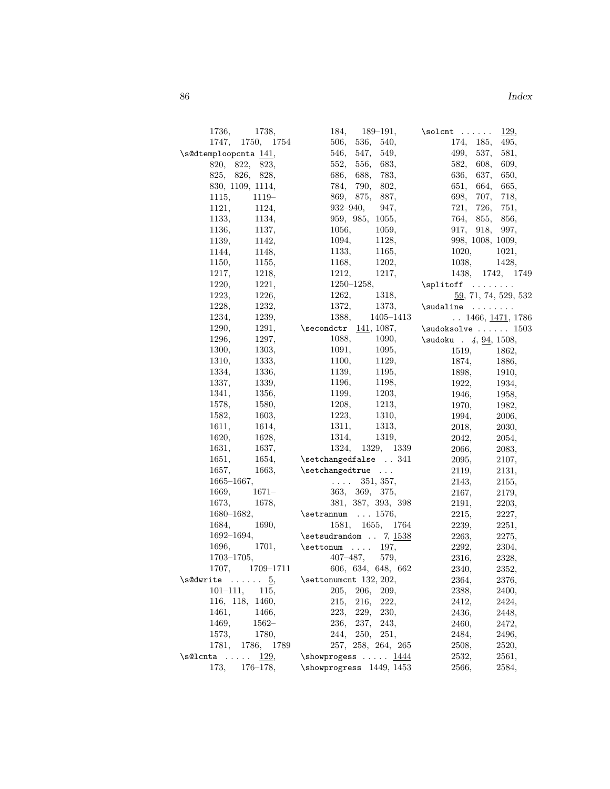| 1736, 1738,                            | $184, 189-191,$                          | $\solimits$<br>129,               |
|----------------------------------------|------------------------------------------|-----------------------------------|
| 1747, 1750, 1754                       | 536, 540,<br>506,                        | 174, 185,<br>495,                 |
| \s@dtemploopcnta 141,                  | 547,<br>549,<br>546,                     | 499,<br>537,<br>581,              |
| 820, 822, 823,                         | 556.<br>683,<br>552,                     | 582,<br>608,<br>609,              |
| 825, 826, 828,                         | 686,<br>688,<br>783,                     | 636,<br>637,<br>650,              |
| 830, 1109, 1114,                       | 790,<br>784,<br>802,                     | 651,<br>664,<br>665,              |
| 1115,<br>1119-                         | 869, 875,<br>887,                        | 698,<br>707, 718,                 |
| 1121,<br>1124,                         | $932 - 940,$<br>947,                     | 721,<br>726, 751,                 |
| 1133, 1134,                            | 959, 985, 1055,                          | 764, 855, 856,                    |
| 1136,<br>1137,                         | 1056,<br>1059.                           | 917, 918, 997,                    |
| 1139,<br>1142,                         | 1094,<br>1128,                           | 998, 1008, 1009,                  |
| 1144,<br>1148,                         | 1133,<br>1165,                           | 1020,<br>1021,                    |
| 1150,<br>1155,                         | 1202,<br>1168,                           | 1038,<br>1428,                    |
| 1218,<br>1217,                         | 1212,<br>1217,                           | 1438, 1742, 1749                  |
| 1220,<br>1221,                         | $1250 - 1258,$                           | $\split$                          |
| 1226,<br>1223,                         | 1262,<br>1318,                           | 59, 71, 74, 529, 532              |
| 1232,<br>1228,                         | $1372,\,$<br>1373,                       | $\sudaline$                       |
| 1239,<br>1234,                         | 1388, 1405-1413                          | $\ldots$ 1466, <u>1471</u> , 1786 |
| 1290,                                  | 1291, $\sech{text}$ $\frac{141}{1087}$ , | $\s$ udoksolve  1503              |
| 1297,<br>1296,                         | 1088,<br>1090,                           | $\s40.4, 94, 1508,$               |
| 1300,<br>1303,                         | 1091,<br>1095,                           | 1519,<br>1862,                    |
| 1310,<br>1333,                         | 1100,<br>1129,                           | 1874,<br>1886,                    |
| 1336,<br>1334.                         | 1139,<br>1195,                           | 1898,<br>1910,                    |
| 1337,<br>1339,                         | 1196,<br>1198,                           | 1922,<br>1934,                    |
| 1341,<br>1356,                         | 1203,<br>1199,                           | 1946,<br>1958,                    |
| 1578, 1580,                            | 1213,<br>1208,                           | 1970,<br>1982,                    |
| 1582,<br>1603,                         | 1223,<br>1310,                           | 1994,<br>2006,                    |
| 1611, 1614,                            | 1313,<br>1311,                           | 2018,<br>2030,                    |
| 1628,<br>1620,                         | 1314,<br>1319,                           | 2042,<br>2054,                    |
| 1631,<br>1637,                         | 1324, 1329, 1339                         | 2066,<br>2083,                    |
| 1651,<br>1654,                         | $\verb+\setchangedfalse + . 341$         | 2095,<br>2107,                    |
| 1657,<br>1663,                         | \setchangedtrue                          | 2119,<br>2131,                    |
| $1665 - 1667,$                         | $\ldots$ 351, 357,                       | 2143,<br>2155,                    |
| 1669,<br>$1671-$                       | 363, 369, 375,                           | 2167,<br>2179,                    |
| 1673,<br>1678,                         | 381, 387, 393, 398                       | 2191,<br>2203,                    |
| $1680 - 1682,$                         | $\setminus$ setrannum  1576,             | 2215,<br>2227,                    |
| 1684,<br>1690,                         | 1581, 1655, 1764                         | 2239,<br>2251,                    |
| $1692 - 1694,$                         | $\setminus$ setsudrandom . 7, 1538       | 2263,<br>2275,                    |
| 1696,<br>1701,                         | $\setminus$ settonum  197,               | 2292,<br>2304,                    |
| $1703 - 1705$ ,                        | $407 - 487,$<br>579.                     | 2316,<br>2328,                    |
| 1707, 1709-1711                        | 606, 634, 648, 662                       | 2340,<br>2352,                    |
| $\setminus$ s@dwrite $\underline{5}$ , | \settonumcnt 132, 202,                   | 2364,<br>2376,                    |
| $101 - 111,$<br>115,                   | 206,<br>205,<br>209,                     | 2388,                             |
|                                        | 222,                                     | 2400,                             |
| 116, 118, 1460,                        | 216,<br>215,                             | 2412,<br>2424,                    |
| 1466,<br>1461,                         | 223,<br>229,<br>230,                     | 2436,<br>2448,                    |
| 1469,<br>$1562-$                       | 237,<br>236,<br>243,                     | 2460,<br>2472,                    |
| 1573,<br>1780,                         | 250, 251,<br>244,                        | 2484,<br>2496,                    |
| 1781,<br>1786,<br>1789                 | 257, 258, 264, 265                       | 2508,<br>2520,                    |
| 129,<br>\s@lcnta<br>$\sim$             | $\lambda$ showprogess $1444$             | 2561,<br>2532,                    |
| 173,<br>$176 - 178,$                   | \showprogress 1449, 1453                 | 2566,<br>2584,                    |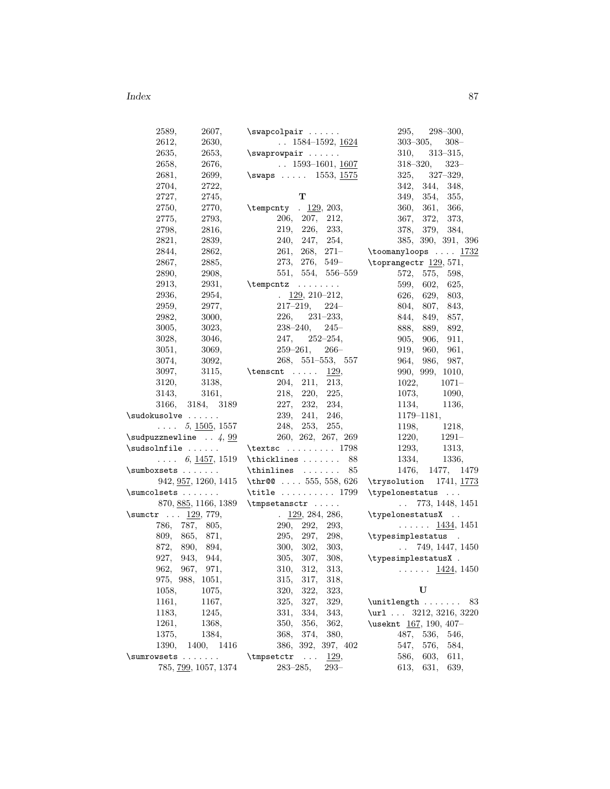| 2589,<br>2607,                             | $\sum_{i=1}^{n}$                       | 295,<br>$298 - 300,$                                             |
|--------------------------------------------|----------------------------------------|------------------------------------------------------------------|
| 2612,<br>2630,                             | $\ldots$ 1584-1592, $\underline{1624}$ | $303 - 305,$<br>$308 -$                                          |
| 2635,<br>2653,                             | $\square$                              | $313 - 315,$<br>310,                                             |
| 2658,<br>2676,                             | $\ldots$ 1593-1601, 1607               | $318 - 320,$<br>$323-$                                           |
| 2681,<br>2699,                             | \swaps $1553, 1575$                    | $325, \quad 327 - 329,$                                          |
| 2704,<br>2722,                             |                                        | 342, 344,<br>348,                                                |
| 2727,<br>2745,                             | т                                      | 349, 354, 355,                                                   |
| 2750,<br>2770,                             | \tempcnty . 129, 203,                  | 360, 361,<br>366,                                                |
| 2775,<br>2793,                             | 206, 207,<br>212,                      | 367,<br>372,<br>373,                                             |
| 2798,<br>2816,                             | 219, 226,<br>233.                      | 378, 379,<br>384,                                                |
| 2839,<br>2821,                             | 240, 247, 254,                         | 385, 390, 391, 396                                               |
| 2844,<br>2862,                             | $261, 268, 271-$                       | $\texttt{\textbackslash}$ toomanyloops $\ldots$ $\frac{1732}{2}$ |
| 2867,<br>2885,                             |                                        | 273, 276, 549-<br>\toprangectr 129, 571,                         |
| 2890,<br>2908,                             | 551, 554, 556–559                      | 575,<br>572,<br>598,                                             |
| 2913,<br>2931,                             | $\text{temperature} \dots \dots$       | 599,<br>602,<br>625,                                             |
| 2936,<br>2954,                             | $\frac{129}{22}$ , 210-212,            | 626,<br>629,<br>803,                                             |
| 2959,<br>2977,                             | $217 - 219,$<br>$224-$                 | 804, 807, 843,                                                   |
| 2982,<br>3000,                             | $226, 231-233,$                        | 844, 849, 857,                                                   |
| 3005,<br>3023,                             | $238 - 240,$<br>$245-$                 | 888, 889, 892,                                                   |
| 3028,<br>3046,                             | $247, 252 - 254,$                      | 905,<br>906,<br>911,                                             |
| 3051,<br>3069,                             | $259 - 261,$<br>$266-$                 | 919,<br>960,<br>961,                                             |
| 3074,<br>3092,                             | $268, 551 - 553, 557$                  | 964, 986,<br>987,                                                |
| 3097,<br>3115,                             | $\text{tensor} \dots$<br>129,          | 990, 999, 1010,                                                  |
| 3120,                                      | 204, 211, 213,                         | $1071 -$                                                         |
| 3138,                                      |                                        | 1022,                                                            |
| 3143,<br>3161,                             | 218, 220, 225,                         | 1073,<br>1090,                                                   |
| 3166,<br>3184, 3189                        | 227, 232,<br>234,                      | 1134,<br>1136,                                                   |
| $\simeq\ldots\ldots$                       | 239, 241, 246,                         | $1179 - 1181,$                                                   |
| $\ldots$ 5, 1505, 1557                     | 248, 253, 255,                         | 1198,<br>1218,                                                   |
| $\simeq$ 4, $99$                           | 260, 262, 267, 269                     | 1220,<br>1291–                                                   |
| $\simeq$                                   | $\text{textsc} \ldots \ldots 1798$     | 1293,<br>1313,                                                   |
| $\ldots$ 6, 1457, 1519                     | $\thicklines$ 88                       | 1334,<br>1336,                                                   |
| \sumboxsets                                | $\th$ inlines<br>85                    | 1476,<br>1477, 1479                                              |
| 942, 957, 1260, 1415                       | \thr@@  555, 558, 626                  |                                                                  |
| \sumcolsets                                | \title $\dots\dots\dots 1799$          | \typelonestatus                                                  |
| 870, <u>885,</u> 1166, 1389                | $\t{tmpsetansctr$                      | 773, 1448, 1451<br>$\sim 10^{-1}$                                |
| $\sum_{r}$ 129, 779,                       | $\frac{129}{284}$ , 284, 286,          | \typelonestatusX                                                 |
| 786, 787, 805,                             | 290, 292,<br>293,                      | $\ldots \ldots$ 1434, 1451                                       |
| 809, 865, 871,                             | 295, 297,<br>298,                      | \typesimplestatus .                                              |
| 872,<br>890,<br>894,                       | 300, 302,<br>303,                      | $\ldots$ 749, 1447, 1450                                         |
| 927, 943, 944,                             |                                        | 305, 307, 308, $\qquad \qquad$ \typesimplestatusX.               |
| 962,<br>967,<br>971,                       | 310,<br>312.<br>313,                   | $\ldots \ldots$ 1424, 1450                                       |
| 975, 988,<br>1051,                         | 315,<br>317,<br>318,                   |                                                                  |
| 1058,<br>1075,                             | 320,<br>322,<br>323,                   | U                                                                |
| 1161,<br>1167,                             | 327,<br>329,<br>325,                   | \unitlength  83                                                  |
| 1183,<br>1245,                             | 331,<br>334,<br>343,                   | \url $3212, 3216, 3220$                                          |
| 1261,<br>1368,                             | 356,<br>350,<br>362,                   | \useknt 167, 190, 407-                                           |
| 1384,<br>1375,                             | 374,<br>368,<br>380,                   | 487,<br>536,<br>546,                                             |
| 1390,<br>1400,<br>1416                     | 386, 392, 397, 402                     | 576,<br>547,<br>584,                                             |
| \sumrowsets<br>$\mathbf{1}$ . $\mathbf{1}$ | <u>129</u> ,<br>\tmpsetctr<br>$\sim$   | 586,<br>603,<br>611,                                             |
| 785, <u>799,</u> 1057, 1374                | $283 - 285,$<br>$293-$                 | 613,<br>631,<br>639,                                             |